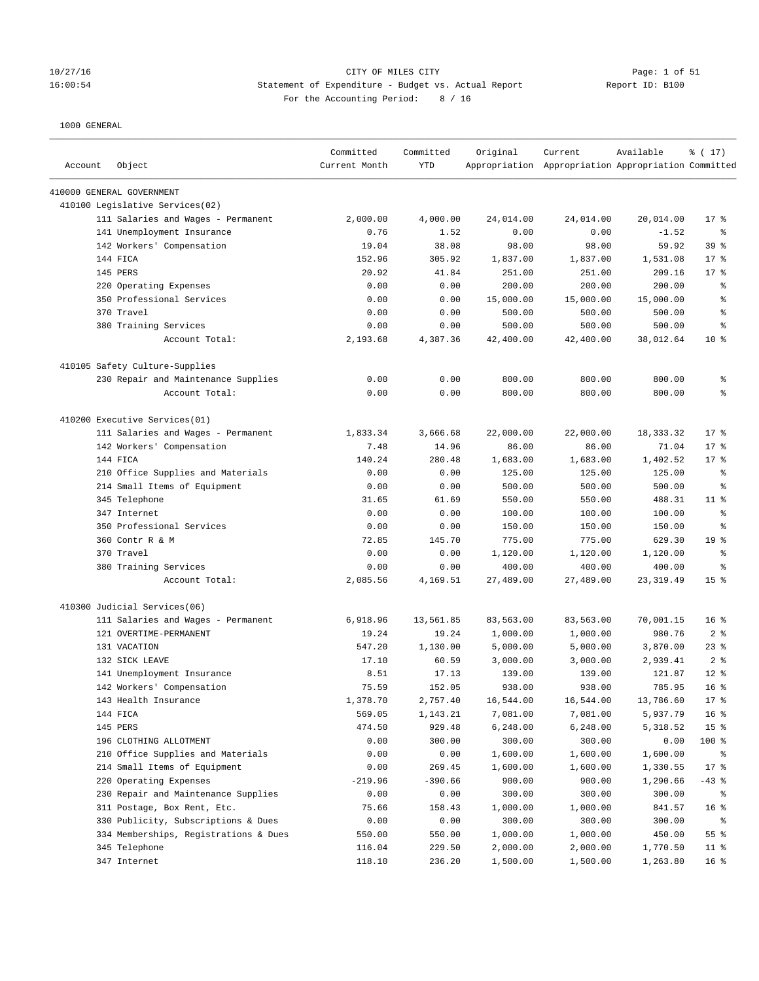### 10/27/16 CITY OF MILES CITY Page: 1 of 51 16:00:54 Statement of Expenditure - Budget vs. Actual Report Report ID: B100 For the Accounting Period: 8 / 16

| Account | Object                                | Committed<br>Current Month | Committed<br><b>YTD</b> | Original  | Current<br>Appropriation Appropriation Appropriation Committed | Available  | % (17)          |
|---------|---------------------------------------|----------------------------|-------------------------|-----------|----------------------------------------------------------------|------------|-----------------|
|         | 410000 GENERAL GOVERNMENT             |                            |                         |           |                                                                |            |                 |
|         | 410100 Legislative Services(02)       |                            |                         |           |                                                                |            |                 |
|         | 111 Salaries and Wages - Permanent    | 2,000.00                   | 4,000.00                | 24,014.00 | 24,014.00                                                      | 20,014.00  | $17*$           |
|         | 141 Unemployment Insurance            | 0.76                       | 1.52                    | 0.00      | 0.00                                                           | $-1.52$    | နွ              |
|         | 142 Workers' Compensation             | 19.04                      | 38.08                   | 98.00     | 98.00                                                          | 59.92      | 39 %            |
|         | 144 FICA                              | 152.96                     | 305.92                  | 1,837.00  | 1,837.00                                                       | 1,531.08   | $17*$           |
|         | <b>145 PERS</b>                       | 20.92                      | 41.84                   | 251.00    | 251.00                                                         | 209.16     | $17*$           |
|         | 220 Operating Expenses                | 0.00                       | 0.00                    | 200.00    | 200.00                                                         | 200.00     | g,              |
|         | 350 Professional Services             | 0.00                       | 0.00                    | 15,000.00 | 15,000.00                                                      | 15,000.00  | န့              |
|         | 370 Travel                            | 0.00                       | 0.00                    | 500.00    | 500.00                                                         | 500.00     | န့              |
|         | 380 Training Services                 | 0.00                       | 0.00                    | 500.00    | 500.00                                                         | 500.00     | န္              |
|         | Account Total:                        | 2,193.68                   | 4,387.36                | 42,400.00 | 42,400.00                                                      | 38,012.64  | $10*$           |
|         | 410105 Safety Culture-Supplies        |                            |                         |           |                                                                |            |                 |
|         | 230 Repair and Maintenance Supplies   | 0.00                       | 0.00                    | 800.00    | 800.00                                                         | 800.00     | န့              |
|         | Account Total:                        | 0.00                       | 0.00                    | 800.00    | 800.00                                                         | 800.00     | နွ              |
|         | 410200 Executive Services(01)         |                            |                         |           |                                                                |            |                 |
|         | 111 Salaries and Wages - Permanent    | 1,833.34                   | 3,666.68                | 22,000.00 | 22,000.00                                                      | 18,333.32  | $17*$           |
|         | 142 Workers' Compensation             | 7.48                       | 14.96                   | 86.00     | 86.00                                                          | 71.04      | $17*$           |
|         | 144 FICA                              | 140.24                     | 280.48                  | 1,683.00  | 1,683.00                                                       | 1,402.52   | $17*$           |
|         | 210 Office Supplies and Materials     | 0.00                       | 0.00                    | 125.00    | 125.00                                                         | 125.00     | ႜ               |
|         | 214 Small Items of Equipment          | 0.00                       | 0.00                    | 500.00    | 500.00                                                         | 500.00     | ႜ               |
|         | 345 Telephone                         | 31.65                      | 61.69                   | 550.00    | 550.00                                                         | 488.31     | $11$ %          |
|         | 347 Internet                          | 0.00                       | 0.00                    | 100.00    | 100.00                                                         | 100.00     | န့              |
|         | 350 Professional Services             | 0.00                       | 0.00                    | 150.00    | 150.00                                                         | 150.00     | ႜ               |
|         | 360 Contr R & M                       | 72.85                      | 145.70                  | 775.00    | 775.00                                                         | 629.30     | 19 <sup>8</sup> |
|         | 370 Travel                            | 0.00                       | 0.00                    | 1,120.00  | 1,120.00                                                       | 1,120.00   | နွ              |
|         | 380 Training Services                 | 0.00                       | 0.00                    | 400.00    | 400.00                                                         | 400.00     | န္              |
|         | Account Total:                        | 2,085.56                   | 4,169.51                | 27,489.00 | 27,489.00                                                      | 23, 319.49 | 15 <sup>°</sup> |
|         | 410300 Judicial Services(06)          |                            |                         |           |                                                                |            |                 |
|         | 111 Salaries and Wages - Permanent    | 6,918.96                   | 13,561.85               | 83,563.00 | 83,563.00                                                      | 70,001.15  | 16 <sup>8</sup> |
|         | 121 OVERTIME-PERMANENT                | 19.24                      | 19.24                   | 1,000.00  | 1,000.00                                                       | 980.76     | 2 <sup>8</sup>  |
|         | 131 VACATION                          | 547.20                     | 1,130.00                | 5,000.00  | 5,000.00                                                       | 3,870.00   | $23$ %          |
|         | 132 SICK LEAVE                        | 17.10                      | 60.59                   | 3,000.00  | 3,000.00                                                       | 2,939.41   | 2 <sup>8</sup>  |
|         | 141 Unemployment Insurance            | 8.51                       | 17.13                   | 139.00    | 139.00                                                         | 121.87     | $12*$           |
|         | 142 Workers' Compensation             | 75.59                      | 152.05                  | 938.00    | 938.00                                                         | 785.95     | 16 <sup>8</sup> |
|         | 143 Health Insurance                  | 1,378.70                   | 2,757.40                | 16,544.00 | 16,544.00                                                      | 13,786.60  | $17*$           |
|         | 144 FICA                              | 569.05                     | 1,143.21                | 7,081.00  | 7,081.00                                                       | 5,937.79   | 16 <sup>°</sup> |
|         | 145 PERS                              | 474.50                     | 929.48                  | 6,248.00  | 6,248.00                                                       | 5,318.52   | 15 <sup>°</sup> |
|         | 196 CLOTHING ALLOTMENT                | 0.00                       | 300.00                  | 300.00    | 300.00                                                         | 0.00       | 100 %           |
|         | 210 Office Supplies and Materials     | 0.00                       | 0.00                    | 1,600.00  | 1,600.00                                                       | 1,600.00   | ႜ               |
|         | 214 Small Items of Equipment          | 0.00                       | 269.45                  | 1,600.00  | 1,600.00                                                       | 1,330.55   | $17*$           |
|         | 220 Operating Expenses                | $-219.96$                  | $-390.66$               | 900.00    | 900.00                                                         | 1,290.66   | $-43$ %         |
|         | 230 Repair and Maintenance Supplies   | 0.00                       | 0.00                    | 300.00    | 300.00                                                         | 300.00     | ႜ               |
|         | 311 Postage, Box Rent, Etc.           | 75.66                      | 158.43                  | 1,000.00  | 1,000.00                                                       | 841.57     | 16 <sup>°</sup> |
|         | 330 Publicity, Subscriptions & Dues   | 0.00                       | 0.00                    | 300.00    | 300.00                                                         | 300.00     | နွ              |
|         | 334 Memberships, Registrations & Dues | 550.00                     | 550.00                  | 1,000.00  | 1,000.00                                                       | 450.00     | 55%             |
|         | 345 Telephone                         | 116.04                     | 229.50                  | 2,000.00  | 2,000.00                                                       | 1,770.50   | $11$ %          |
|         | 347 Internet                          | 118.10                     | 236.20                  | 1,500.00  | 1,500.00                                                       | 1,263.80   | 16 <sup>°</sup> |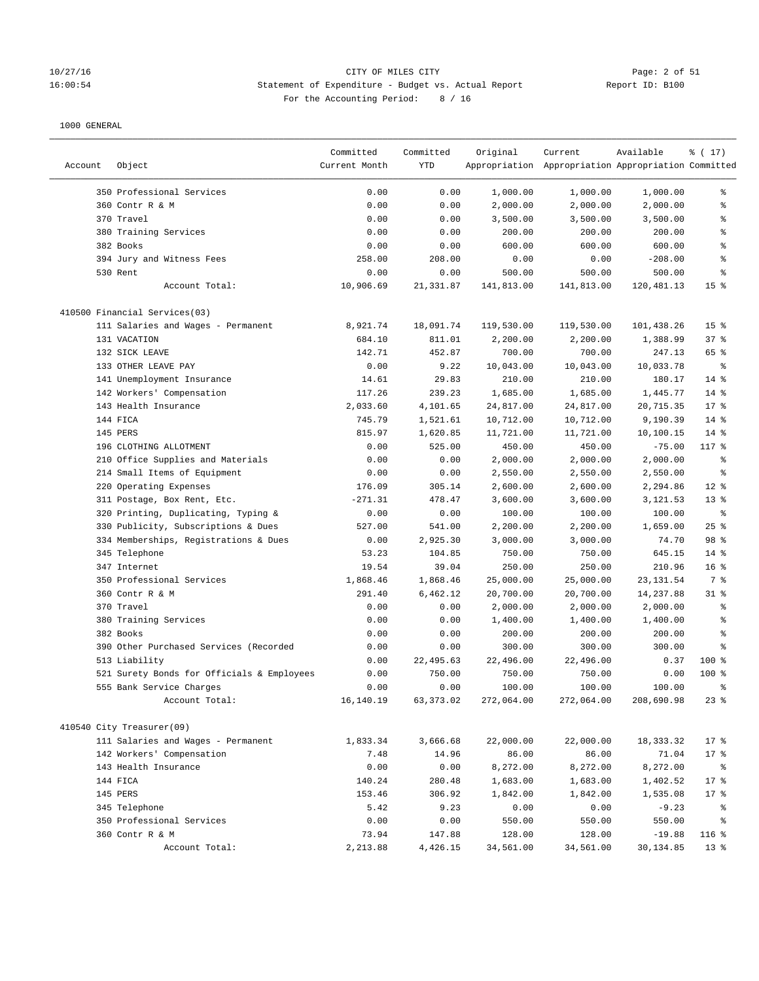### 10/27/16 CITY OF MILES CITY Page: 2 of 51 16:00:54 Statement of Expenditure - Budget vs. Actual Report Report ID: B100 For the Accounting Period: 8 / 16

|         |                                            | Committed     | Committed | Original   | Current                                             | Available  | % (17)          |
|---------|--------------------------------------------|---------------|-----------|------------|-----------------------------------------------------|------------|-----------------|
| Account | Object                                     | Current Month | YTD       |            | Appropriation Appropriation Appropriation Committed |            |                 |
|         | 350 Professional Services                  | 0.00          | 0.00      | 1,000.00   | 1,000.00                                            | 1,000.00   | ి               |
|         | 360 Contr R & M                            | 0.00          | 0.00      | 2,000.00   | 2,000.00                                            | 2,000.00   | ి               |
|         | 370 Travel                                 | 0.00          | 0.00      | 3,500.00   | 3,500.00                                            | 3,500.00   | နွ              |
|         | 380 Training Services                      | 0.00          | 0.00      | 200.00     | 200.00                                              | 200.00     | ి               |
|         | 382 Books                                  | 0.00          | 0.00      | 600.00     | 600.00                                              | 600.00     | န္              |
|         | 394 Jury and Witness Fees                  | 258.00        | 208.00    | 0.00       | 0.00                                                | $-208.00$  | နွ              |
|         | 530 Rent                                   | 0.00          | 0.00      | 500.00     | 500.00                                              | 500.00     | နွ              |
|         | Account Total:                             | 10,906.69     | 21,331.87 | 141,813.00 | 141,813.00                                          | 120,481.13 | 15 <sup>°</sup> |
|         | 410500 Financial Services(03)              |               |           |            |                                                     |            |                 |
|         | 111 Salaries and Wages - Permanent         | 8,921.74      | 18,091.74 | 119,530.00 | 119,530.00                                          | 101,438.26 | 15 <sup>°</sup> |
|         | 131 VACATION                               | 684.10        | 811.01    | 2,200.00   | 2,200.00                                            | 1,388.99   | 37%             |
|         | 132 SICK LEAVE                             | 142.71        | 452.87    | 700.00     | 700.00                                              | 247.13     | 65 %            |
|         | 133 OTHER LEAVE PAY                        | 0.00          | 9.22      | 10,043.00  | 10,043.00                                           | 10,033.78  | ి               |
|         | 141 Unemployment Insurance                 | 14.61         | 29.83     | 210.00     | 210.00                                              | 180.17     | $14$ %          |
|         | 142 Workers' Compensation                  | 117.26        | 239.23    | 1,685.00   | 1,685.00                                            | 1,445.77   | $14$ %          |
|         | 143 Health Insurance                       | 2,033.60      | 4,101.65  | 24,817.00  | 24,817.00                                           | 20,715.35  | $17*$           |
|         | 144 FICA                                   | 745.79        | 1,521.61  | 10,712.00  | 10,712.00                                           | 9,190.39   | $14*$           |
|         | 145 PERS                                   | 815.97        | 1,620.85  | 11,721.00  | 11,721.00                                           | 10,100.15  | $14$ %          |
|         | 196 CLOTHING ALLOTMENT                     | 0.00          | 525.00    | 450.00     | 450.00                                              | $-75.00$   | 117 %           |
|         | 210 Office Supplies and Materials          | 0.00          | 0.00      | 2,000.00   | 2,000.00                                            | 2,000.00   | နွ              |
|         | 214 Small Items of Equipment               | 0.00          | 0.00      | 2,550.00   | 2,550.00                                            | 2,550.00   | နွ              |
|         | 220 Operating Expenses                     | 176.09        | 305.14    | 2,600.00   | 2,600.00                                            | 2,294.86   | $12*$           |
|         | 311 Postage, Box Rent, Etc.                | $-271.31$     | 478.47    | 3,600.00   | 3,600.00                                            | 3,121.53   | $13*$           |
|         | 320 Printing, Duplicating, Typing &        | 0.00          | 0.00      | 100.00     | 100.00                                              | 100.00     | $\epsilon$      |
|         | 330 Publicity, Subscriptions & Dues        | 527.00        | 541.00    | 2,200.00   | 2,200.00                                            | 1,659.00   | 25%             |
|         | 334 Memberships, Registrations & Dues      | 0.00          | 2,925.30  | 3,000.00   | 3,000.00                                            | 74.70      | 98 %            |
|         | 345 Telephone                              | 53.23         | 104.85    | 750.00     | 750.00                                              | 645.15     | $14*$           |
|         | 347 Internet                               | 19.54         | 39.04     | 250.00     | 250.00                                              | 210.96     | 16 <sup>°</sup> |
|         | 350 Professional Services                  | 1,868.46      | 1,868.46  | 25,000.00  | 25,000.00                                           | 23, 131.54 | 7 %             |
|         | 360 Contr R & M                            | 291.40        | 6,462.12  | 20,700.00  | 20,700.00                                           | 14,237.88  | $31$ %          |
|         | 370 Travel                                 | 0.00          | 0.00      | 2,000.00   | 2,000.00                                            | 2,000.00   | နွ              |
|         | 380 Training Services                      | 0.00          | 0.00      | 1,400.00   | 1,400.00                                            | 1,400.00   | る               |
|         | 382 Books                                  | 0.00          | 0.00      | 200.00     | 200.00                                              | 200.00     | る               |
|         | 390 Other Purchased Services (Recorded     | 0.00          | 0.00      | 300.00     | 300.00                                              | 300.00     | နွ              |
|         | 513 Liability                              | 0.00          | 22,495.63 | 22,496.00  | 22,496.00                                           | 0.37       | $100*$          |
|         | 521 Surety Bonds for Officials & Employees | 0.00          | 750.00    | 750.00     | 750.00                                              | 0.00       | $100*$          |
|         | 555 Bank Service Charges                   | 0.00          | 0.00      | 100.00     | 100.00                                              | 100.00     | ま               |
|         | Account Total:                             | 16,140.19     | 63,373.02 | 272,064.00 | 272,064.00                                          | 208,690.98 | $23$ $%$        |
|         | 410540 City Treasurer(09)                  |               |           |            |                                                     |            |                 |
|         | 111 Salaries and Wages - Permanent         | 1,833.34      | 3,666.68  | 22,000.00  | 22,000.00                                           | 18, 333.32 | 17.8            |
|         | 142 Workers' Compensation                  | 7.48          | 14.96     | 86.00      | 86.00                                               | 71.04      | $17*$           |
|         | 143 Health Insurance                       | 0.00          | 0.00      | 8,272.00   | 8,272.00                                            | 8,272.00   | ႜ               |
|         | 144 FICA                                   | 140.24        | 280.48    | 1,683.00   | 1,683.00                                            | 1,402.52   | $17$ %          |
|         | 145 PERS                                   | 153.46        | 306.92    | 1,842.00   | 1,842.00                                            | 1,535.08   | $17$ %          |
|         | 345 Telephone                              | 5.42          | 9.23      | 0.00       | 0.00                                                | $-9.23$    | ႜ               |
|         | 350 Professional Services                  | 0.00          | 0.00      | 550.00     | 550.00                                              | 550.00     | နွ              |
|         | 360 Contr R & M                            | 73.94         | 147.88    | 128.00     | 128.00                                              | $-19.88$   | $116$ %         |
|         | Account Total:                             | 2,213.88      | 4,426.15  | 34,561.00  | 34,561.00                                           | 30,134.85  | 13 <sup>°</sup> |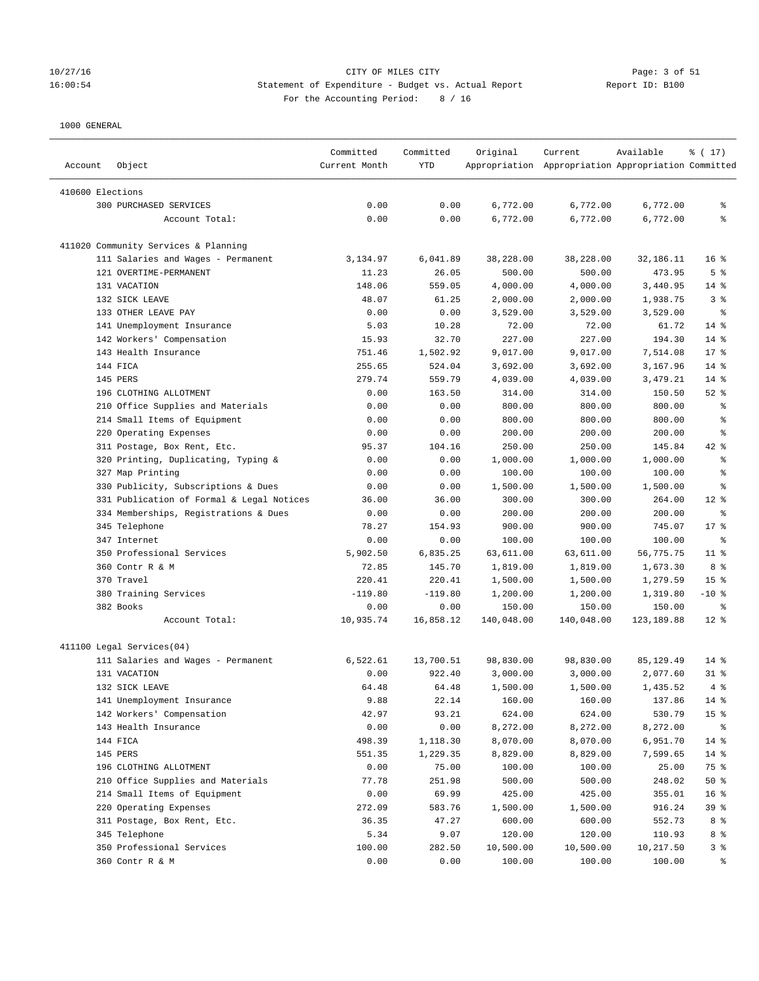### 10/27/16 CITY OF MILES CITY Page: 3 of 51 16:00:54 Statement of Expenditure - Budget vs. Actual Report Report ID: B100 For the Accounting Period: 8 / 16

| Account          | Object                                    | Committed<br>Current Month | Committed<br>YTD | Original   | Current<br>Appropriation Appropriation Appropriation Committed | Available   | % (17)                   |
|------------------|-------------------------------------------|----------------------------|------------------|------------|----------------------------------------------------------------|-------------|--------------------------|
| 410600 Elections |                                           |                            |                  |            |                                                                |             |                          |
|                  | 300 PURCHASED SERVICES                    | 0.00                       | 0.00             | 6,772.00   | 6,772.00                                                       | 6,772.00    | ႜ                        |
|                  | Account Total:                            | 0.00                       | 0.00             | 6,772.00   | 6,772.00                                                       | 6,772.00    | ి                        |
|                  |                                           |                            |                  |            |                                                                |             |                          |
|                  | 411020 Community Services & Planning      |                            |                  |            |                                                                |             |                          |
|                  | 111 Salaries and Wages - Permanent        | 3,134.97                   | 6,041.89         | 38,228.00  | 38,228.00                                                      | 32,186.11   | 16 <sup>8</sup>          |
|                  | 121 OVERTIME-PERMANENT                    | 11.23                      | 26.05            | 500.00     | 500.00                                                         | 473.95      | 5 <sup>°</sup>           |
|                  | 131 VACATION                              | 148.06                     | 559.05           | 4,000.00   | 4,000.00                                                       | 3,440.95    | $14*$                    |
|                  | 132 SICK LEAVE                            | 48.07                      | 61.25            | 2,000.00   | 2,000.00                                                       | 1,938.75    | 3%                       |
|                  | 133 OTHER LEAVE PAY                       | 0.00                       | 0.00             | 3,529.00   | 3,529.00                                                       | 3,529.00    | $\epsilon$               |
|                  | 141 Unemployment Insurance                | 5.03                       | 10.28            | 72.00      | 72.00                                                          | 61.72       | $14$ %                   |
|                  | 142 Workers' Compensation                 | 15.93                      | 32.70            | 227.00     | 227.00                                                         | 194.30      | $14$ %                   |
|                  | 143 Health Insurance                      | 751.46                     | 1,502.92         | 9,017.00   | 9,017.00                                                       | 7,514.08    | $17*$                    |
|                  | 144 FICA                                  | 255.65                     | 524.04           | 3,692.00   | 3,692.00                                                       | 3,167.96    | $14*$                    |
|                  | 145 PERS                                  | 279.74                     | 559.79           | 4,039.00   | 4,039.00                                                       | 3,479.21    | $14*$                    |
|                  | 196 CLOTHING ALLOTMENT                    | 0.00                       | 163.50           | 314.00     | 314.00                                                         | 150.50      | $52$ $%$                 |
|                  | 210 Office Supplies and Materials         | 0.00                       | 0.00             | 800.00     | 800.00                                                         | 800.00      | နွ                       |
|                  | 214 Small Items of Equipment              | 0.00                       | 0.00             | 800.00     | 800.00                                                         | 800.00      | နွ                       |
|                  | 220 Operating Expenses                    | 0.00                       | 0.00             | 200.00     | 200.00                                                         | 200.00      | る                        |
|                  | 311 Postage, Box Rent, Etc.               | 95.37                      | 104.16           | 250.00     | 250.00                                                         | 145.84      | 42 %                     |
|                  | 320 Printing, Duplicating, Typing &       | 0.00                       | 0.00             | 1,000.00   | 1,000.00                                                       | 1,000.00    | နွ                       |
|                  | 327 Map Printing                          | 0.00                       | 0.00             | 100.00     | 100.00                                                         | 100.00      | နွ                       |
|                  | 330 Publicity, Subscriptions & Dues       | 0.00                       | 0.00             | 1,500.00   | 1,500.00                                                       | 1,500.00    | နွ                       |
|                  | 331 Publication of Formal & Legal Notices | 36.00                      | 36.00            | 300.00     | 300.00                                                         | 264.00      | $12*$                    |
|                  | 334 Memberships, Registrations & Dues     | 0.00                       | 0.00             | 200.00     | 200.00                                                         | 200.00      | $\,{}^{\circ}\!\!\delta$ |
|                  | 345 Telephone                             | 78.27                      | 154.93           | 900.00     | 900.00                                                         | 745.07      | $17*$                    |
|                  | 347 Internet                              | 0.00                       | 0.00             | 100.00     | 100.00                                                         | 100.00      | ႜ                        |
|                  | 350 Professional Services                 | 5,902.50                   | 6,835.25         | 63,611.00  | 63,611.00                                                      | 56,775.75   | $11$ %                   |
|                  | 360 Contr R & M                           | 72.85                      | 145.70           | 1,819.00   | 1,819.00                                                       | 1,673.30    | 8 %                      |
|                  | 370 Travel                                | 220.41                     | 220.41           | 1,500.00   | 1,500.00                                                       | 1,279.59    | 15 <sup>8</sup>          |
|                  | 380 Training Services                     | $-119.80$                  | $-119.80$        | 1,200.00   | 1,200.00                                                       | 1,319.80    | $-10$ %                  |
|                  | 382 Books                                 | 0.00                       | 0.00             | 150.00     | 150.00                                                         | 150.00      | ႜ                        |
|                  | Account Total:                            | 10,935.74                  | 16,858.12        | 140,048.00 | 140,048.00                                                     | 123, 189.88 | $12*$                    |
|                  | 411100 Legal Services(04)                 |                            |                  |            |                                                                |             |                          |
|                  | 111 Salaries and Wages - Permanent        | 6,522.61                   | 13,700.51        | 98,830.00  | 98,830.00                                                      | 85, 129.49  | $14$ %                   |
|                  | 131 VACATION                              | 0.00                       | 922.40           | 3,000.00   | 3,000.00                                                       | 2,077.60    | $31$ %                   |
|                  | 132 SICK LEAVE                            | 64.48                      | 64.48            | 1,500.00   | 1,500.00                                                       | 1,435.52    | 4%                       |
|                  | 141 Unemployment Insurance                | 9.88                       | 22.14            | 160.00     | 160.00                                                         | 137.86      | $14*$                    |
|                  | 142 Workers' Compensation                 | 42.97                      | 93.21            | 624.00     | 624.00                                                         | 530.79      | 15 <sup>°</sup>          |
|                  |                                           | 0.00                       | 0.00             | 8,272.00   | 8,272.00                                                       | 8,272.00    |                          |
|                  | 143 Health Insurance                      |                            |                  |            |                                                                |             | ႜ                        |
|                  | 144 FICA                                  | 498.39                     | 1,118.30         | 8,070.00   | 8,070.00                                                       | 6,951.70    | $14*$                    |
|                  | 145 PERS                                  | 551.35                     | 1,229.35         | 8,829.00   | 8,829.00                                                       | 7,599.65    | $14*$                    |
|                  | 196 CLOTHING ALLOTMENT                    | 0.00                       | 75.00            | 100.00     | 100.00                                                         | 25.00       | 75 %                     |
|                  | 210 Office Supplies and Materials         | 77.78                      | 251.98           | 500.00     | 500.00                                                         | 248.02      | 50%                      |
|                  | 214 Small Items of Equipment              | 0.00                       | 69.99            | 425.00     | 425.00                                                         | 355.01      | 16 <sup>°</sup>          |
|                  | 220 Operating Expenses                    | 272.09                     | 583.76           | 1,500.00   | 1,500.00                                                       | 916.24      | 39 %                     |
|                  | 311 Postage, Box Rent, Etc.               | 36.35                      | 47.27            | 600.00     | 600.00                                                         | 552.73      | 8 %                      |
|                  | 345 Telephone                             | 5.34                       | 9.07             | 120.00     | 120.00                                                         | 110.93      | 8 %                      |
|                  | 350 Professional Services                 | 100.00                     | 282.50           | 10,500.00  | 10,500.00                                                      | 10,217.50   | 3%                       |
|                  | 360 Contr R & M                           | 0.00                       | 0.00             | 100.00     | 100.00                                                         | 100.00      | နွ                       |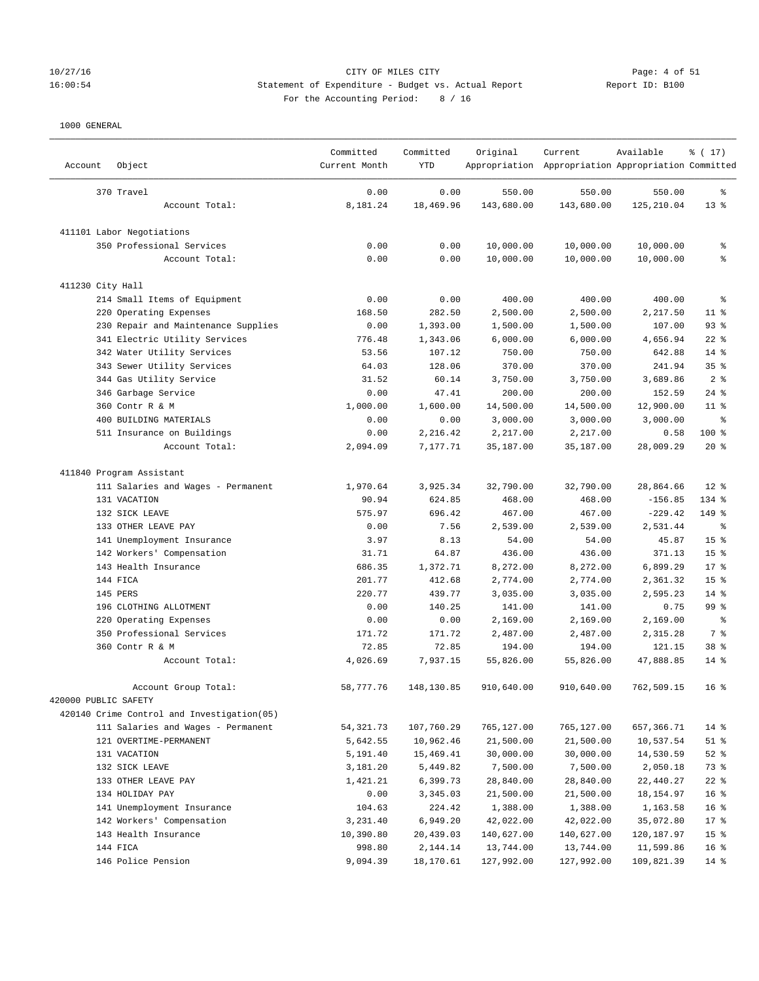## 10/27/16 CITY OF MILES CITY Page: 4 of 51 16:00:54 Statement of Expenditure - Budget vs. Actual Report Report ID: B100 For the Accounting Period: 8 / 16

| Account              | Object                                             | Committed<br>Current Month | Committed<br><b>YTD</b> | Original          | Current<br>Appropriation Appropriation Appropriation Committed | Available              | % (17)                    |
|----------------------|----------------------------------------------------|----------------------------|-------------------------|-------------------|----------------------------------------------------------------|------------------------|---------------------------|
|                      | 370 Travel                                         | 0.00                       | 0.00                    | 550.00            | 550.00                                                         | 550.00                 | န့                        |
|                      | Account Total:                                     | 8,181.24                   | 18,469.96               | 143,680.00        | 143,680.00                                                     | 125,210.04             | $13*$                     |
|                      | 411101 Labor Negotiations                          |                            |                         |                   |                                                                |                        |                           |
|                      | 350 Professional Services                          | 0.00                       | 0.00                    | 10,000.00         | 10,000.00                                                      | 10,000.00              | န့                        |
|                      | Account Total:                                     | 0.00                       | 0.00                    | 10,000.00         | 10,000.00                                                      | 10,000.00              | နွ                        |
| 411230 City Hall     |                                                    |                            |                         |                   |                                                                |                        |                           |
|                      | 214 Small Items of Equipment                       | 0.00                       | 0.00                    | 400.00            | 400.00                                                         | 400.00                 | န့                        |
|                      | 220 Operating Expenses                             | 168.50                     | 282.50                  | 2,500.00          | 2,500.00                                                       | 2,217.50               | $11$ %                    |
|                      | 230 Repair and Maintenance Supplies                | 0.00                       | 1,393.00                | 1,500.00          | 1,500.00                                                       | 107.00                 | 93%                       |
|                      | 341 Electric Utility Services                      | 776.48                     | 1,343.06                | 6,000.00          | 6,000.00                                                       | 4,656.94               | $22$ %                    |
|                      | 342 Water Utility Services                         | 53.56                      | 107.12                  | 750.00            | 750.00                                                         | 642.88                 | $14$ %                    |
|                      | 343 Sewer Utility Services                         | 64.03                      | 128.06                  | 370.00            | 370.00                                                         | 241.94                 | 35%                       |
|                      | 344 Gas Utility Service                            | 31.52                      | 60.14                   | 3,750.00          | 3,750.00                                                       | 3,689.86               | 2 <sup>8</sup>            |
|                      | 346 Garbage Service                                | 0.00                       | 47.41                   | 200.00            | 200.00                                                         | 152.59                 | $24$ %                    |
|                      | 360 Contr R & M                                    | 1,000.00                   | 1,600.00                | 14,500.00         | 14,500.00                                                      | 12,900.00              | $11$ %                    |
|                      | 400 BUILDING MATERIALS                             | 0.00                       | 0.00                    | 3,000.00          | 3,000.00                                                       | 3,000.00               | ႜ                         |
|                      | 511 Insurance on Buildings                         | 0.00                       | 2,216.42                | 2,217.00          | 2,217.00                                                       | 0.58                   | 100 %                     |
|                      | Account Total:                                     | 2,094.09                   | 7,177.71                | 35,187.00         | 35,187.00                                                      | 28,009.29              | $20*$                     |
|                      | 411840 Program Assistant                           |                            |                         |                   |                                                                |                        |                           |
|                      |                                                    | 1,970.64                   | 3,925.34                | 32,790.00         | 32,790.00                                                      | 28,864.66              | $12*$                     |
|                      | 111 Salaries and Wages - Permanent<br>131 VACATION | 90.94                      | 624.85                  |                   |                                                                |                        | 134 %                     |
|                      | 132 SICK LEAVE                                     | 575.97                     | 696.42                  | 468.00<br>467.00  | 468.00<br>467.00                                               | $-156.85$<br>$-229.42$ | 149 %                     |
|                      | 133 OTHER LEAVE PAY                                | 0.00                       | 7.56                    |                   |                                                                |                        | $\,{}^{\circ}\!\!\delta$  |
|                      |                                                    | 3.97                       | 8.13                    | 2,539.00<br>54.00 | 2,539.00<br>54.00                                              | 2,531.44<br>45.87      | 15 <sup>°</sup>           |
|                      | 141 Unemployment Insurance                         |                            |                         | 436.00            |                                                                |                        |                           |
|                      | 142 Workers' Compensation                          | 31.71                      | 64.87                   |                   | 436.00                                                         | 371.13                 | 15 <sup>°</sup>           |
|                      | 143 Health Insurance                               | 686.35                     | 1,372.71                | 8,272.00          | 8,272.00                                                       | 6,899.29               | $17*$                     |
|                      | 144 FICA<br>145 PERS                               | 201.77<br>220.77           | 412.68<br>439.77        | 2,774.00          | 2,774.00                                                       | 2,361.32               | 15 <sup>°</sup><br>$14$ % |
|                      |                                                    |                            |                         | 3,035.00          | 3,035.00                                                       | 2,595.23               |                           |
|                      | 196 CLOTHING ALLOTMENT                             | 0.00                       | 140.25                  | 141.00            | 141.00                                                         | 0.75                   | 99 <sub>8</sub>           |
|                      | 220 Operating Expenses                             | 0.00                       | 0.00                    | 2,169.00          | 2,169.00                                                       | 2,169.00               | နွ                        |
|                      | 350 Professional Services                          | 171.72                     | 171.72                  | 2,487.00          | 2,487.00                                                       | 2,315.28               | 7 %                       |
|                      | 360 Contr R & M                                    | 72.85                      | 72.85                   | 194.00            | 194.00                                                         | 121.15                 | 38 <sup>8</sup>           |
|                      | Account Total:                                     | 4,026.69                   | 7,937.15                | 55,826.00         | 55,826.00                                                      | 47,888.85              | $14$ %                    |
|                      | Account Group Total:                               | 58,777.76                  | 148,130.85              | 910,640.00        | 910,640.00                                                     | 762,509.15             | 16 <sup>8</sup>           |
| 420000 PUBLIC SAFETY |                                                    |                            |                         |                   |                                                                |                        |                           |
|                      | 420140 Crime Control and Investigation(05)         |                            |                         |                   |                                                                |                        |                           |
|                      | 111 Salaries and Wages - Permanent                 | 54,321.73                  | 107,760.29              | 765,127.00        | 765,127.00                                                     | 657,366.71             | $14$ %                    |
|                      | 121 OVERTIME-PERMANENT                             | 5,642.55                   | 10,962.46               | 21,500.00         | 21,500.00                                                      | 10,537.54              | $51$ %                    |
|                      | 131 VACATION                                       | 5,191.40                   | 15,469.41               | 30,000.00         | 30,000.00                                                      | 14,530.59              | $52$ $%$                  |
|                      | 132 SICK LEAVE                                     | 3,181.20                   | 5,449.82                | 7,500.00          | 7,500.00                                                       | 2,050.18               | 73 %                      |
|                      | 133 OTHER LEAVE PAY                                | 1,421.21                   | 6,399.73                | 28,840.00         | 28,840.00                                                      | 22,440.27              | $22$ %                    |
|                      | 134 HOLIDAY PAY                                    | 0.00                       | 3,345.03                | 21,500.00         | 21,500.00                                                      | 18,154.97              | 16 <sup>°</sup>           |
|                      | 141 Unemployment Insurance                         | 104.63                     | 224.42                  | 1,388.00          | 1,388.00                                                       | 1,163.58               | 16 <sup>8</sup>           |
|                      | 142 Workers' Compensation                          | 3,231.40                   | 6,949.20                | 42,022.00         | 42,022.00                                                      | 35,072.80              | 17 <sub>8</sub>           |
|                      | 143 Health Insurance                               | 10,390.80                  | 20,439.03               | 140,627.00        | 140,627.00                                                     | 120, 187.97            | 15 <sub>8</sub>           |
|                      | 144 FICA                                           | 998.80                     | 2,144.14                | 13,744.00         | 13,744.00                                                      | 11,599.86              | 16 <sup>°</sup>           |
|                      | 146 Police Pension                                 | 9,094.39                   | 18,170.61               | 127,992.00        | 127,992.00                                                     | 109,821.39             | $14$ %                    |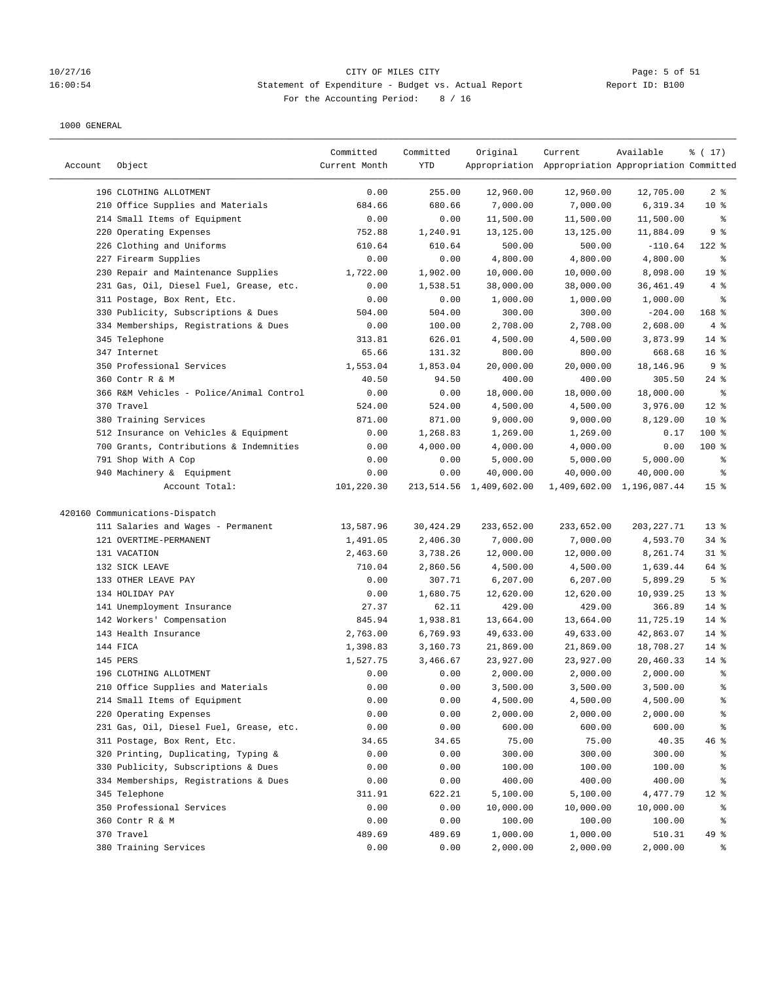## 10/27/16 Page: 5 of 51<br>16:00:54 Statement of Expenditure - Budget vs. Actual Report 11 (16:00:54 16:00:54 Statement of Expenditure - Budget vs. Actual Report For the Accounting Period: 8 / 16

| Account | Object                                   | Committed<br>Current Month | Committed<br>YTD | Original                | Current<br>Appropriation Appropriation Appropriation Committed | Available                 | % (17)          |
|---------|------------------------------------------|----------------------------|------------------|-------------------------|----------------------------------------------------------------|---------------------------|-----------------|
|         |                                          |                            |                  |                         |                                                                |                           |                 |
|         | 196 CLOTHING ALLOTMENT                   | 0.00                       | 255.00           | 12,960.00               | 12,960.00                                                      | 12,705.00                 | 2 <sup>8</sup>  |
|         | 210 Office Supplies and Materials        | 684.66                     | 680.66           | 7,000.00                | 7,000.00                                                       | 6,319.34                  | $10*$           |
|         | 214 Small Items of Equipment             | 0.00                       | 0.00             | 11,500.00               | 11,500.00                                                      | 11,500.00                 | နွ              |
|         | 220 Operating Expenses                   | 752.88                     | 1,240.91         | 13,125.00               | 13,125.00                                                      | 11,884.09                 | 9%              |
|         | 226 Clothing and Uniforms                | 610.64                     | 610.64           | 500.00                  | 500.00                                                         | $-110.64$                 | $122$ %         |
|         | 227 Firearm Supplies                     | 0.00                       | 0.00             | 4,800.00                | 4,800.00                                                       | 4,800.00                  | ್ಠಿ             |
|         | 230 Repair and Maintenance Supplies      | 1,722.00                   | 1,902.00         | 10,000.00               | 10,000.00                                                      | 8,098.00                  | 19 <sup>°</sup> |
|         | 231 Gas, Oil, Diesel Fuel, Grease, etc.  | 0.00                       | 1,538.51         | 38,000.00               | 38,000.00                                                      | 36,461.49                 | 4%              |
|         | 311 Postage, Box Rent, Etc.              | 0.00                       | 0.00             | 1,000.00                | 1,000.00                                                       | 1,000.00                  | ್ಠಿ             |
|         | 330 Publicity, Subscriptions & Dues      | 504.00                     | 504.00           | 300.00                  | 300.00                                                         | $-204.00$                 | 168 %           |
|         | 334 Memberships, Registrations & Dues    | 0.00                       | 100.00           | 2,708.00                | 2,708.00                                                       | 2,608.00                  | 4%              |
|         | 345 Telephone                            | 313.81                     | 626.01           | 4,500.00                | 4,500.00                                                       | 3,873.99                  | $14$ %          |
|         | 347 Internet                             | 65.66                      | 131.32           | 800.00                  | 800.00                                                         | 668.68                    | 16 <sup>8</sup> |
|         | 350 Professional Services                | 1,553.04                   | 1,853.04         | 20,000.00               | 20,000.00                                                      | 18,146.96                 | 9%              |
|         | 360 Contr R & M                          | 40.50                      | 94.50            | 400.00                  | 400.00                                                         | 305.50                    | $24$ %          |
|         | 366 R&M Vehicles - Police/Animal Control | 0.00                       | 0.00             | 18,000.00               | 18,000.00                                                      | 18,000.00                 | ್ಠಿ             |
|         | 370 Travel                               | 524.00                     | 524.00           | 4,500.00                | 4,500.00                                                       | 3,976.00                  | $12*$           |
|         | 380 Training Services                    | 871.00                     | 871.00           | 9,000.00                | 9,000.00                                                       | 8,129.00                  | 10 <sup>°</sup> |
|         | 512 Insurance on Vehicles & Equipment    | 0.00                       | 1,268.83         | 1,269.00                | 1,269.00                                                       | 0.17                      | 100 %           |
|         | 700 Grants, Contributions & Indemnities  | 0.00                       | 4,000.00         | 4,000.00                | 4,000.00                                                       | 0.00                      | $100$ %         |
|         | 791 Shop With A Cop                      | 0.00                       | 0.00             | 5,000.00                | 5,000.00                                                       | 5,000.00                  | နွ              |
|         | 940 Machinery & Equipment                | 0.00                       | 0.00             | 40,000.00               | 40,000.00                                                      | 40,000.00                 | နွ              |
|         | Account Total:                           | 101,220.30                 |                  | 213,514.56 1,409,602.00 |                                                                | 1,409,602.00 1,196,087.44 | 15 <sup>8</sup> |
|         |                                          |                            |                  |                         |                                                                |                           |                 |
|         | 420160 Communications-Dispatch           |                            |                  |                         |                                                                |                           |                 |
|         | 111 Salaries and Wages - Permanent       | 13,587.96                  | 30,424.29        | 233,652.00              | 233,652.00                                                     | 203, 227.71               | 13 <sup>°</sup> |
|         | 121 OVERTIME-PERMANENT                   | 1,491.05                   | 2,406.30         | 7,000.00                | 7,000.00                                                       | 4,593.70                  | $34$ $%$        |
|         | 131 VACATION                             | 2,463.60                   | 3,738.26         | 12,000.00               | 12,000.00                                                      | 8,261.74                  | $31$ %          |
|         | 132 SICK LEAVE                           | 710.04                     | 2,860.56         | 4,500.00                | 4,500.00                                                       | 1,639.44                  | 64 %            |
|         | 133 OTHER LEAVE PAY                      | 0.00                       | 307.71           | 6,207.00                | 6,207.00                                                       | 5,899.29                  | 5 <sup>8</sup>  |
|         | 134 HOLIDAY PAY                          | 0.00                       | 1,680.75         | 12,620.00               | 12,620.00                                                      | 10,939.25                 | $13*$           |
|         | 141 Unemployment Insurance               | 27.37                      | 62.11            | 429.00                  | 429.00                                                         | 366.89                    | $14$ %          |
|         | 142 Workers' Compensation                | 845.94                     | 1,938.81         | 13,664.00               | 13,664.00                                                      | 11,725.19                 | $14$ %          |
|         | 143 Health Insurance                     | 2,763.00                   | 6,769.93         | 49,633.00               | 49,633.00                                                      | 42,863.07                 | $14$ %          |
|         | 144 FICA                                 | 1,398.83                   | 3,160.73         | 21,869.00               | 21,869.00                                                      | 18,708.27                 | $14$ %          |
|         | 145 PERS                                 | 1,527.75                   | 3,466.67         | 23,927.00               | 23,927.00                                                      | 20,460.33                 | $14$ %          |
|         | 196 CLOTHING ALLOTMENT                   | 0.00                       | 0.00             | 2,000.00                | 2,000.00                                                       | 2,000.00                  | ್ಠಿ             |
|         | 210 Office Supplies and Materials        | 0.00                       | 0.00             | 3,500.00                | 3,500.00                                                       | 3,500.00                  | နွ              |
|         | 214 Small Items of Equipment             | 0.00                       | 0.00             | 4,500.00                | 4,500.00                                                       | 4,500.00                  | န့              |
|         | 220 Operating Expenses                   | 0.00                       | 0.00             | 2,000.00                | 2,000.00                                                       | 2,000.00                  | ိစ              |
|         | 231 Gas, Oil, Diesel Fuel, Grease, etc.  | 0.00                       | 0.00             | 600.00                  | 600.00                                                         | 600.00                    | ိစ              |
|         | 311 Postage, Box Rent, Etc.              | 34.65                      | 34.65            | 75.00                   | 75.00                                                          | 40.35                     | 46%             |
|         | 320 Printing, Duplicating, Typing &      | 0.00                       | 0.00             | 300.00                  | 300.00                                                         | 300.00                    | ိစ              |
|         | 330 Publicity, Subscriptions & Dues      | 0.00                       | 0.00             | 100.00                  | 100.00                                                         | 100.00                    | န့              |
|         | 334 Memberships, Registrations & Dues    | 0.00                       | 0.00             | 400.00                  | 400.00                                                         | 400.00                    | ိစ              |
|         | 345 Telephone                            | 311.91                     | 622.21           | 5,100.00                | 5,100.00                                                       | 4,477.79                  | $12$ %          |
|         | 350 Professional Services                | 0.00                       | 0.00             | 10,000.00               | 10,000.00                                                      | 10,000.00                 | ႜ               |
|         | 360 Contr R & M                          | 0.00                       | 0.00             | 100.00                  | 100.00                                                         | 100.00                    | ိစ              |
|         | 370 Travel                               | 489.69                     | 489.69           | 1,000.00                | 1,000.00                                                       | 510.31                    | 49 %            |
|         | 380 Training Services                    | 0.00                       | 0.00             | 2,000.00                | 2,000.00                                                       | 2,000.00                  | ್ಠಿ             |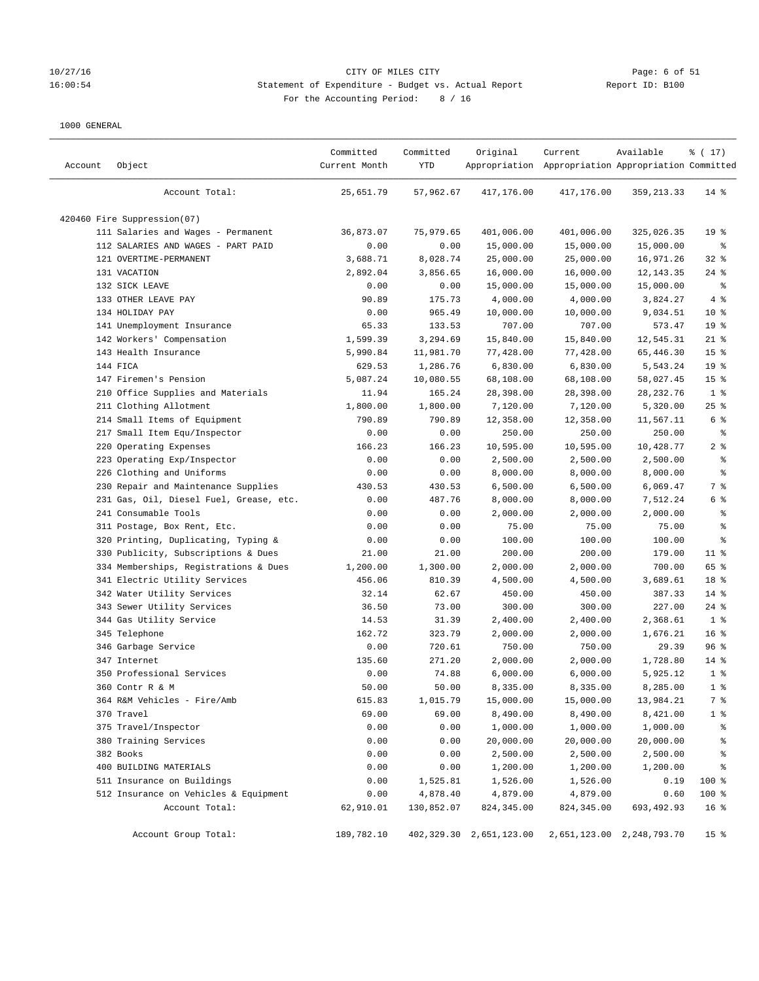## 10/27/16 Page: 6 of 51<br>16:00:54 Statement of Expenditure - Budget vs. Actual Report 11 (16:00:54 16:00:54 Statement of Expenditure - Budget vs. Actual Report For the Accounting Period: 8 / 16

| Account | Object                                  | Committed<br>Current Month | Committed<br>YTD | Original                | Current<br>Appropriation Appropriation Appropriation Committed | Available                 | % (17)          |
|---------|-----------------------------------------|----------------------------|------------------|-------------------------|----------------------------------------------------------------|---------------------------|-----------------|
|         | Account Total:                          | 25,651.79                  | 57,962.67        | 417,176.00              | 417,176.00                                                     | 359, 213.33               | $14$ %          |
|         | 420460 Fire Suppression(07)             |                            |                  |                         |                                                                |                           |                 |
|         | 111 Salaries and Wages - Permanent      | 36,873.07                  | 75,979.65        | 401,006.00              | 401,006.00                                                     | 325,026.35                | 19 <sup>°</sup> |
|         | 112 SALARIES AND WAGES - PART PAID      | 0.00                       | 0.00             | 15,000.00               | 15,000.00                                                      | 15,000.00                 | ႜ               |
|         | 121 OVERTIME-PERMANENT                  | 3,688.71                   | 8,028.74         | 25,000.00               | 25,000.00                                                      | 16,971.26                 | $32$ $%$        |
|         | 131 VACATION                            | 2,892.04                   | 3,856.65         | 16,000.00               | 16,000.00                                                      | 12,143.35                 | $24$ %          |
|         | 132 SICK LEAVE                          | 0.00                       | 0.00             | 15,000.00               | 15,000.00                                                      | 15,000.00                 | နွ              |
|         | 133 OTHER LEAVE PAY                     | 90.89                      | 175.73           | 4,000.00                | 4,000.00                                                       | 3,824.27                  | 4%              |
|         | 134 HOLIDAY PAY                         | 0.00                       | 965.49           | 10,000.00               | 10,000.00                                                      | 9,034.51                  | 10 <sup>°</sup> |
|         | 141 Unemployment Insurance              | 65.33                      | 133.53           | 707.00                  | 707.00                                                         | 573.47                    | 19 <sup>°</sup> |
|         | 142 Workers' Compensation               | 1,599.39                   | 3,294.69         | 15,840.00               | 15,840.00                                                      | 12,545.31                 | $21$ %          |
|         | 143 Health Insurance                    | 5,990.84                   | 11,981.70        | 77,428.00               | 77,428.00                                                      | 65,446.30                 | 15 <sup>8</sup> |
|         | 144 FICA                                | 629.53                     | 1,286.76         | 6,830.00                | 6,830.00                                                       | 5,543.24                  | 19 <sup>°</sup> |
|         | 147 Firemen's Pension                   | 5,087.24                   | 10,080.55        | 68,108.00               | 68,108.00                                                      | 58,027.45                 | 15 <sub>8</sub> |
|         | 210 Office Supplies and Materials       | 11.94                      | 165.24           | 28,398.00               | 28,398.00                                                      | 28,232.76                 | 1 <sup>8</sup>  |
|         | 211 Clothing Allotment                  | 1,800.00                   | 1,800.00         | 7,120.00                | 7,120.00                                                       | 5,320.00                  | $25$ %          |
|         | 214 Small Items of Equipment            | 790.89                     | 790.89           | 12,358.00               | 12,358.00                                                      | 11,567.11                 | 6 %             |
|         | 217 Small Item Equ/Inspector            | 0.00                       | 0.00             | 250.00                  | 250.00                                                         | 250.00                    | နွ              |
|         | 220 Operating Expenses                  | 166.23                     | 166.23           | 10,595.00               | 10,595.00                                                      | 10,428.77                 | 2 <sub>8</sub>  |
|         | 223 Operating Exp/Inspector             | 0.00                       | 0.00             | 2,500.00                | 2,500.00                                                       | 2,500.00                  | ್ಠಿ             |
|         | 226 Clothing and Uniforms               | 0.00                       | 0.00             | 8,000.00                | 8,000.00                                                       | 8,000.00                  | နွ              |
|         | 230 Repair and Maintenance Supplies     | 430.53                     | 430.53           | 6,500.00                | 6,500.00                                                       | 6,069.47                  | 7 %             |
|         | 231 Gas, Oil, Diesel Fuel, Grease, etc. | 0.00                       | 487.76           | 8,000.00                | 8,000.00                                                       | 7,512.24                  | 6 %             |
|         | 241 Consumable Tools                    | 0.00                       | 0.00             | 2,000.00                | 2,000.00                                                       | 2,000.00                  | ್ಠಿ             |
|         | 311 Postage, Box Rent, Etc.             | 0.00                       | 0.00             | 75.00                   | 75.00                                                          | 75.00                     | ್ಠಿ             |
|         | 320 Printing, Duplicating, Typing &     | 0.00                       | 0.00             | 100.00                  | 100.00                                                         | 100.00                    | န့              |
|         | 330 Publicity, Subscriptions & Dues     | 21.00                      | 21.00            | 200.00                  | 200.00                                                         | 179.00                    | $11$ %          |
|         | 334 Memberships, Registrations & Dues   | 1,200.00                   | 1,300.00         | 2,000.00                | 2,000.00                                                       | 700.00                    | 65 %            |
|         | 341 Electric Utility Services           | 456.06                     | 810.39           | 4,500.00                | 4,500.00                                                       | 3,689.61                  | 18 %            |
|         | 342 Water Utility Services              | 32.14                      | 62.67            | 450.00                  | 450.00                                                         | 387.33                    | $14$ %          |
|         | 343 Sewer Utility Services              | 36.50                      | 73.00            | 300.00                  | 300.00                                                         | 227.00                    | $24$ %          |
|         | 344 Gas Utility Service                 | 14.53                      | 31.39            | 2,400.00                | 2,400.00                                                       | 2,368.61                  | 1 <sup>8</sup>  |
|         | 345 Telephone                           | 162.72                     | 323.79           | 2,000.00                | 2,000.00                                                       | 1,676.21                  | 16 <sup>8</sup> |
|         | 346 Garbage Service                     | 0.00                       | 720.61           | 750.00                  | 750.00                                                         | 29.39                     | 96%             |
|         | 347 Internet                            | 135.60                     | 271.20           | 2,000.00                | 2,000.00                                                       | 1,728.80                  | $14$ %          |
|         | 350 Professional Services               | 0.00                       | 74.88            | 6,000.00                | 6,000.00                                                       | 5,925.12                  | 1 <sup>8</sup>  |
|         | 360 Contr R & M                         | 50.00                      | 50.00            | 8,335.00                | 8,335.00                                                       | 8,285.00                  | 1 <sup>8</sup>  |
|         | 364 R&M Vehicles - Fire/Amb             | 615.83                     | 1,015.79         | 15,000.00               | 15,000.00                                                      | 13,984.21                 | 7 %             |
|         | 370 Travel                              | 69.00                      | 69.00            | 8,490.00                | 8,490.00                                                       | 8,421.00                  | $1$ %           |
|         | 375 Travel/Inspector                    | 0.00                       | 0.00             | 1,000.00                | 1,000.00                                                       | 1,000.00                  | ိင              |
|         | 380 Training Services                   | 0.00                       | 0.00             | 20,000.00               | 20,000.00                                                      | 20,000.00                 | န့              |
|         | 382 Books                               | 0.00                       | 0.00             | 2,500.00                | 2,500.00                                                       | 2,500.00                  | န့              |
|         | 400 BUILDING MATERIALS                  | 0.00                       | 0.00             | 1,200.00                | 1,200.00                                                       | 1,200.00                  | န့              |
|         | 511 Insurance on Buildings              | 0.00                       | 1,525.81         | 1,526.00                | 1,526.00                                                       | 0.19                      | 100 %           |
|         | 512 Insurance on Vehicles & Equipment   | 0.00                       | 4,878.40         | 4,879.00                | 4,879.00                                                       | 0.60                      | 100 %           |
|         | Account Total:                          | 62,910.01                  | 130,852.07       | 824,345.00              | 824, 345.00                                                    | 693,492.93                | 16 <sup>8</sup> |
|         | Account Group Total:                    | 189,782.10                 |                  | 402,329.30 2,651,123.00 |                                                                | 2,651,123.00 2,248,793.70 | 15 <sub>8</sub> |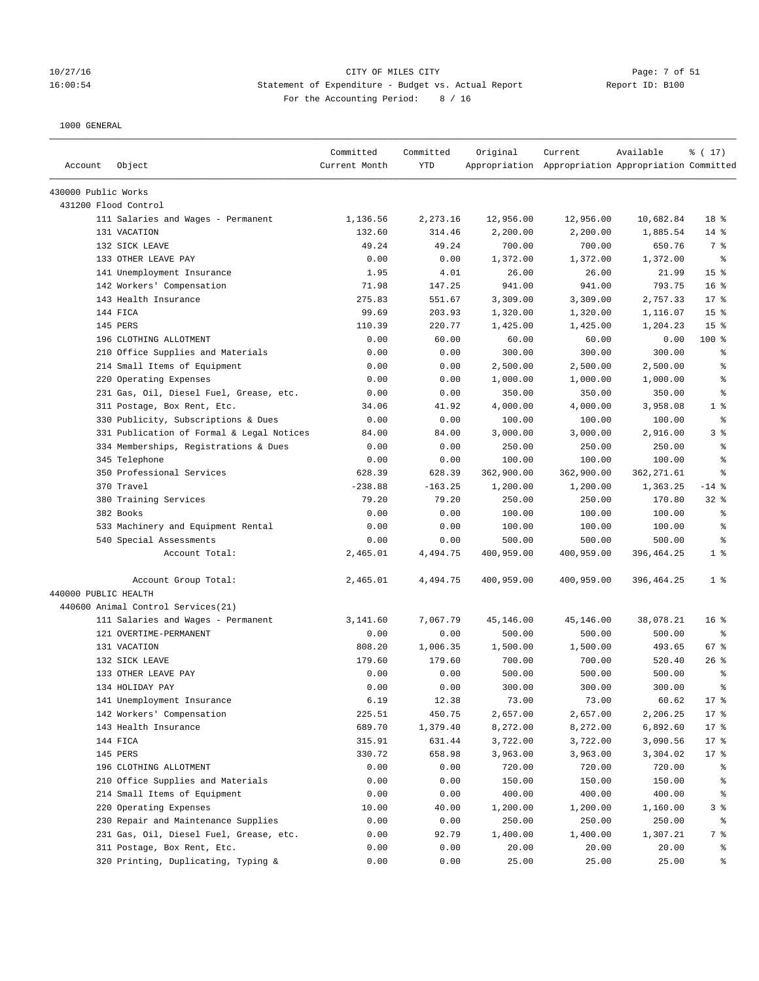### 10/27/16 CITY OF MILES CITY Page: 7 of 51 16:00:54 Statement of Expenditure - Budget vs. Actual Report Report ID: B100 For the Accounting Period: 8 / 16

| Account              | Object                                    | Committed<br>Current Month | Committed<br><b>YTD</b> | Original   | Current<br>Appropriation Appropriation Appropriation Committed | Available   | % (17)          |
|----------------------|-------------------------------------------|----------------------------|-------------------------|------------|----------------------------------------------------------------|-------------|-----------------|
| 430000 Public Works  |                                           |                            |                         |            |                                                                |             |                 |
|                      | 431200 Flood Control                      |                            |                         |            |                                                                |             |                 |
|                      | 111 Salaries and Wages - Permanent        | 1,136.56                   | 2,273.16                | 12,956.00  | 12,956.00                                                      | 10,682.84   | 18 %            |
|                      | 131 VACATION                              | 132.60                     | 314.46                  | 2,200.00   | 2,200.00                                                       | 1,885.54    | $14$ %          |
|                      | 132 SICK LEAVE                            | 49.24                      | 49.24                   | 700.00     | 700.00                                                         | 650.76      | 7 %             |
|                      | 133 OTHER LEAVE PAY                       | 0.00                       | 0.00                    | 1,372.00   | 1,372.00                                                       | 1,372.00    | နွ              |
|                      | 141 Unemployment Insurance                | 1.95                       | 4.01                    | 26.00      | 26.00                                                          | 21.99       | 15 <sup>°</sup> |
|                      | 142 Workers' Compensation                 | 71.98                      | 147.25                  | 941.00     | 941.00                                                         | 793.75      | 16 <sup>8</sup> |
|                      | 143 Health Insurance                      | 275.83                     | 551.67                  | 3,309.00   | 3,309.00                                                       | 2,757.33    | $17*$           |
|                      | 144 FICA                                  | 99.69                      | 203.93                  | 1,320.00   | 1,320.00                                                       | 1,116.07    | 15 <sup>°</sup> |
|                      | 145 PERS                                  | 110.39                     | 220.77                  | 1,425.00   | 1,425.00                                                       | 1,204.23    | 15 <sup>°</sup> |
|                      | 196 CLOTHING ALLOTMENT                    | 0.00                       | 60.00                   | 60.00      | 60.00                                                          | 0.00        | $100$ %         |
|                      | 210 Office Supplies and Materials         | 0.00                       | 0.00                    | 300.00     | 300.00                                                         | 300.00      | နွ              |
|                      | 214 Small Items of Equipment              | 0.00                       | 0.00                    | 2,500.00   | 2,500.00                                                       | 2,500.00    | ి               |
|                      | 220 Operating Expenses                    | 0.00                       | 0.00                    | 1,000.00   | 1,000.00                                                       | 1,000.00    | ి               |
|                      | 231 Gas, Oil, Diesel Fuel, Grease, etc.   | 0.00                       | 0.00                    | 350.00     | 350.00                                                         | 350.00      | る               |
|                      | 311 Postage, Box Rent, Etc.               | 34.06                      | 41.92                   | 4,000.00   | 4,000.00                                                       | 3,958.08    | 1 <sup>°</sup>  |
|                      | 330 Publicity, Subscriptions & Dues       | 0.00                       | 0.00                    | 100.00     | 100.00                                                         | 100.00      | နွ              |
|                      | 331 Publication of Formal & Legal Notices | 84.00                      | 84.00                   | 3,000.00   | 3,000.00                                                       | 2,916.00    | 3%              |
|                      | 334 Memberships, Registrations & Dues     | 0.00                       | 0.00                    | 250.00     | 250.00                                                         | 250.00      | ್ಠಿ             |
|                      | 345 Telephone                             | 0.00                       | 0.00                    | 100.00     | 100.00                                                         | 100.00      | る               |
|                      | 350 Professional Services                 | 628.39                     | 628.39                  | 362,900.00 | 362,900.00                                                     | 362, 271.61 | နွ              |
|                      | 370 Travel                                | $-238.88$                  | $-163.25$               | 1,200.00   | 1,200.00                                                       | 1,363.25    | $-14$ %         |
|                      | 380 Training Services                     | 79.20                      | 79.20                   | 250.00     | 250.00                                                         | 170.80      | $32$ $%$        |
|                      | 382 Books                                 | 0.00                       | 0.00                    | 100.00     | 100.00                                                         | 100.00      | ್ಠಿ             |
|                      | 533 Machinery and Equipment Rental        | 0.00                       | 0.00                    | 100.00     | 100.00                                                         | 100.00      | る               |
|                      | 540 Special Assessments                   | 0.00                       | 0.00                    | 500.00     | 500.00                                                         | 500.00      | る               |
|                      | Account Total:                            | 2,465.01                   | 4,494.75                | 400,959.00 | 400,959.00                                                     | 396,464.25  | 1 <sup>8</sup>  |
|                      | Account Group Total:                      | 2,465.01                   | 4,494.75                | 400,959.00 | 400,959.00                                                     | 396,464.25  | 1 <sup>8</sup>  |
| 440000 PUBLIC HEALTH |                                           |                            |                         |            |                                                                |             |                 |
|                      | 440600 Animal Control Services (21)       |                            |                         |            |                                                                |             |                 |
|                      | 111 Salaries and Wages - Permanent        | 3,141.60                   | 7,067.79                | 45,146.00  | 45,146.00                                                      | 38,078.21   | 16 <sup>8</sup> |
|                      | 121 OVERTIME-PERMANENT                    | 0.00                       | 0.00                    | 500.00     | 500.00                                                         | 500.00      | နွ              |
|                      | 131 VACATION                              | 808.20                     | 1,006.35                | 1,500.00   | 1,500.00                                                       | 493.65      | 67 %            |
|                      | 132 SICK LEAVE                            | 179.60                     | 179.60                  | 700.00     | 700.00                                                         | 520.40      | $26$ %          |
|                      | 133 OTHER LEAVE PAY                       | 0.00                       | 0.00                    | 500.00     | 500.00                                                         | 500.00      | る               |
|                      | 134 HOLIDAY PAY                           | 0.00                       | 0.00                    | 300.00     | 300.00                                                         | 300.00      | 昙               |
|                      | 141 Unemployment Insurance                | 6.19                       | 12.38                   | 73.00      | 73.00                                                          | 60.62       | $17*$           |
|                      | 142 Workers' Compensation                 | 225.51                     | 450.75                  | 2,657.00   | 2,657.00                                                       | 2,206.25    | $17$ %          |
|                      | 143 Health Insurance                      | 689.70                     | 1,379.40                | 8,272.00   | 8,272.00                                                       | 6,892.60    | 17 <sub>8</sub> |
|                      | 144 FICA                                  | 315.91                     | 631.44                  | 3,722.00   | 3,722.00                                                       | 3,090.56    | $17*$           |
|                      | 145 PERS                                  | 330.72                     | 658.98                  | 3,963.00   | 3,963.00                                                       | 3,304.02    | $17$ %          |
|                      | 196 CLOTHING ALLOTMENT                    | 0.00                       | 0.00                    | 720.00     | 720.00                                                         | 720.00      | ႜ               |
|                      | 210 Office Supplies and Materials         | 0.00                       | 0.00                    | 150.00     | 150.00                                                         | 150.00      | နွ              |
|                      | 214 Small Items of Equipment              | 0.00                       | 0.00                    | 400.00     | 400.00                                                         | 400.00      | နွ              |
|                      | 220 Operating Expenses                    | 10.00                      | 40.00                   | 1,200.00   | 1,200.00                                                       | 1,160.00    | 3%              |
|                      | 230 Repair and Maintenance Supplies       | 0.00                       | 0.00                    | 250.00     | 250.00                                                         | 250.00      | ႜ               |
|                      | 231 Gas, Oil, Diesel Fuel, Grease, etc.   | 0.00                       | 92.79                   | 1,400.00   | 1,400.00                                                       | 1,307.21    | 7 %             |
|                      | 311 Postage, Box Rent, Etc.               | 0.00                       | 0.00                    | 20.00      | 20.00                                                          | 20.00       | နွ              |
|                      | 320 Printing, Duplicating, Typing &       | 0.00                       | 0.00                    | 25.00      | 25.00                                                          | 25.00       | ್ಠಿ             |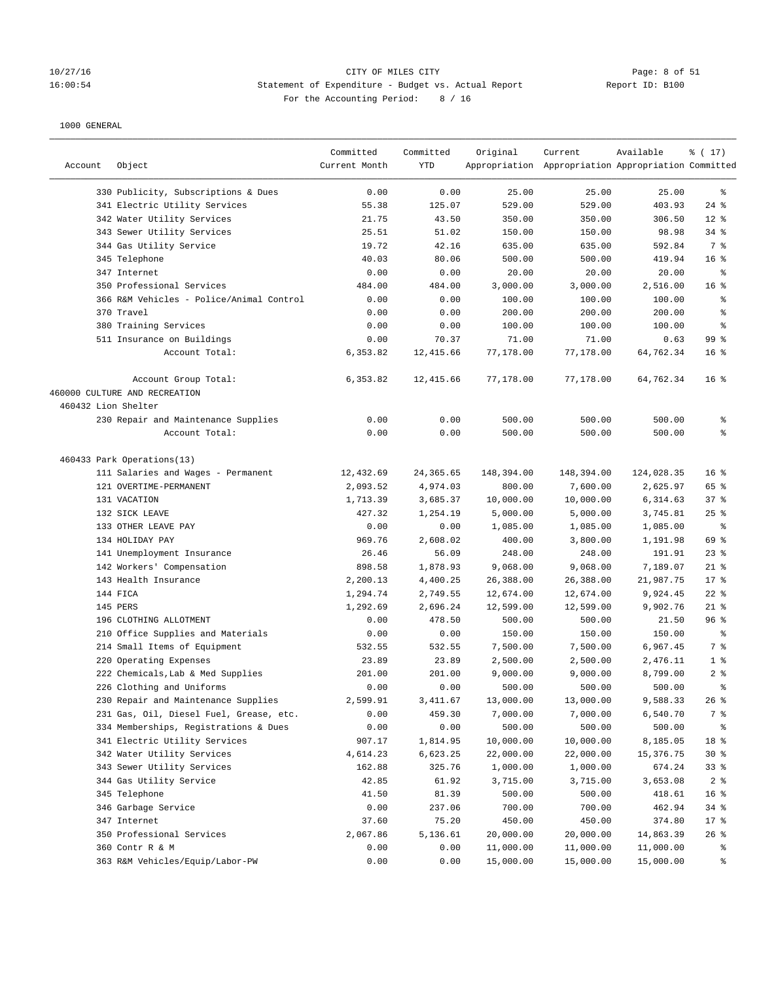## 10/27/16 CITY OF MILES CITY Page: 8 of 51 16:00:54 Statement of Expenditure - Budget vs. Actual Report Changer Report ID: B100 For the Accounting Period: 8 / 16

| Account             | Object                                   | Committed<br>Current Month | Committed<br><b>YTD</b> | Original   | Current<br>Appropriation Appropriation Appropriation Committed | Available  | % (17)          |
|---------------------|------------------------------------------|----------------------------|-------------------------|------------|----------------------------------------------------------------|------------|-----------------|
|                     | 330 Publicity, Subscriptions & Dues      | 0.00                       | 0.00                    | 25.00      | 25.00                                                          | 25.00      | ႜ               |
|                     | 341 Electric Utility Services            | 55.38                      | 125.07                  | 529.00     | 529.00                                                         | 403.93     | $24$ $%$        |
|                     | 342 Water Utility Services               | 21.75                      | 43.50                   | 350.00     | 350.00                                                         | 306.50     | $12*$           |
|                     | 343 Sewer Utility Services               | 25.51                      | 51.02                   | 150.00     | 150.00                                                         | 98.98      | 34%             |
|                     | 344 Gas Utility Service                  | 19.72                      | 42.16                   | 635.00     | 635.00                                                         | 592.84     | 7 %             |
|                     | 345 Telephone                            | 40.03                      | 80.06                   | 500.00     | 500.00                                                         | 419.94     | 16 <sup>8</sup> |
|                     | 347 Internet                             | 0.00                       | 0.00                    | 20.00      | 20.00                                                          | 20.00      | နွ              |
|                     | 350 Professional Services                | 484.00                     | 484.00                  | 3,000.00   | 3,000.00                                                       | 2,516.00   | 16 <sup>8</sup> |
|                     | 366 R&M Vehicles - Police/Animal Control | 0.00                       | 0.00                    | 100.00     | 100.00                                                         | 100.00     | ್ಠಿ             |
|                     | 370 Travel                               | 0.00                       | 0.00                    | 200.00     | 200.00                                                         | 200.00     | ್ಠಿ             |
|                     | 380 Training Services                    | 0.00                       | 0.00                    | 100.00     | 100.00                                                         | 100.00     | နွ              |
|                     | 511 Insurance on Buildings               | 0.00                       | 70.37                   | 71.00      | 71.00                                                          | 0.63       | 99 <sup>8</sup> |
|                     | Account Total:                           | 6,353.82                   | 12,415.66               | 77,178.00  | 77,178.00                                                      | 64,762.34  | 16 <sup>8</sup> |
|                     | Account Group Total:                     | 6,353.82                   | 12, 415.66              | 77,178.00  | 77,178.00                                                      | 64,762.34  | 16 <sup>8</sup> |
|                     | 460000 CULTURE AND RECREATION            |                            |                         |            |                                                                |            |                 |
| 460432 Lion Shelter |                                          |                            |                         |            |                                                                |            |                 |
|                     | 230 Repair and Maintenance Supplies      | 0.00                       | 0.00                    | 500.00     | 500.00                                                         | 500.00     | နွ              |
|                     | Account Total:                           | 0.00                       | 0.00                    | 500.00     | 500.00                                                         | 500.00     | ి               |
|                     | 460433 Park Operations(13)               |                            |                         |            |                                                                |            |                 |
|                     | 111 Salaries and Wages - Permanent       | 12,432.69                  | 24, 365.65              | 148,394.00 | 148,394.00                                                     | 124,028.35 | 16 <sup>8</sup> |
|                     | 121 OVERTIME-PERMANENT                   | 2,093.52                   | 4,974.03                | 800.00     | 7,600.00                                                       | 2,625.97   | 65 %            |
|                     | 131 VACATION                             | 1,713.39                   | 3,685.37                | 10,000.00  | 10,000.00                                                      | 6,314.63   | 37%             |
|                     | 132 SICK LEAVE                           | 427.32                     | 1,254.19                | 5,000.00   | 5,000.00                                                       | 3,745.81   | $25$ %          |
|                     | 133 OTHER LEAVE PAY                      | 0.00                       | 0.00                    | 1,085.00   | 1,085.00                                                       | 1,085.00   | နွ              |
|                     | 134 HOLIDAY PAY                          | 969.76                     | 2,608.02                | 400.00     | 3,800.00                                                       | 1,191.98   | 69 %            |
|                     | 141 Unemployment Insurance               | 26.46                      | 56.09                   | 248.00     | 248.00                                                         | 191.91     | $23$ $%$        |
|                     | 142 Workers' Compensation                | 898.58                     | 1,878.93                | 9,068.00   | 9,068.00                                                       | 7,189.07   | $21$ %          |
|                     | 143 Health Insurance                     | 2,200.13                   | 4,400.25                | 26,388.00  | 26,388.00                                                      | 21,987.75  | $17*$           |
|                     | 144 FICA                                 | 1,294.74                   | 2,749.55                | 12,674.00  | 12,674.00                                                      | 9,924.45   | $22$ %          |
|                     | 145 PERS                                 | 1,292.69                   | 2,696.24                | 12,599.00  | 12,599.00                                                      | 9,902.76   | $21$ %          |
|                     | 196 CLOTHING ALLOTMENT                   | 0.00                       | 478.50                  | 500.00     | 500.00                                                         | 21.50      | 96 <sup>8</sup> |
|                     | 210 Office Supplies and Materials        | 0.00                       | 0.00                    | 150.00     | 150.00                                                         | 150.00     | $\epsilon$      |
|                     | 214 Small Items of Equipment             | 532.55                     | 532.55                  | 7,500.00   | 7,500.00                                                       | 6,967.45   | 7 %             |
|                     | 220 Operating Expenses                   | 23.89                      | 23.89                   | 2,500.00   | 2,500.00                                                       | 2,476.11   | 1 <sup>8</sup>  |
|                     | 222 Chemicals, Lab & Med Supplies        | 201.00                     | 201.00                  | 9,000.00   | 9,000.00                                                       | 8,799.00   | 2%              |
|                     | 226 Clothing and Uniforms                | 0.00                       | 0.00                    | 500.00     | 500.00                                                         | 500.00     | ÷,              |
|                     | 230 Repair and Maintenance Supplies      | 2,599.91                   | 3,411.67                | 13,000.00  | 13,000.00                                                      | 9,588.33   | 26%             |
|                     | 231 Gas, Oil, Diesel Fuel, Grease, etc.  | 0.00                       | 459.30                  | 7,000.00   | 7,000.00                                                       | 6,540.70   | 7 %             |
|                     | 334 Memberships, Registrations & Dues    | 0.00                       | 0.00                    | 500.00     | 500.00                                                         | 500.00     | ៖               |
|                     | 341 Electric Utility Services            | 907.17                     | 1,814.95                | 10,000.00  | 10,000.00                                                      | 8,185.05   | 18 %            |
|                     | 342 Water Utility Services               | 4,614.23                   | 6,623.25                | 22,000.00  | 22,000.00                                                      | 15,376.75  | $30*$           |
|                     | 343 Sewer Utility Services               | 162.88                     | 325.76                  | 1,000.00   | 1,000.00                                                       | 674.24     | 33%             |
|                     | 344 Gas Utility Service                  | 42.85                      | 61.92                   | 3,715.00   | 3,715.00                                                       | 3,653.08   | 2 <sup>8</sup>  |
|                     | 345 Telephone                            | 41.50                      | 81.39                   | 500.00     | 500.00                                                         | 418.61     | 16 <sup>°</sup> |
|                     | 346 Garbage Service                      | 0.00                       | 237.06                  | 700.00     | 700.00                                                         | 462.94     | 34 %            |
|                     | 347 Internet                             | 37.60                      | 75.20                   | 450.00     | 450.00                                                         | 374.80     | 17 <sub>8</sub> |
|                     | 350 Professional Services                | 2,067.86                   | 5,136.61                | 20,000.00  | 20,000.00                                                      | 14,863.39  | 26%             |
|                     | 360 Contr R & M                          | 0.00                       | 0.00                    | 11,000.00  | 11,000.00                                                      | 11,000.00  | နွ              |
|                     | 363 R&M Vehicles/Equip/Labor-PW          | 0.00                       | 0.00                    | 15,000.00  | 15,000.00                                                      | 15,000.00  | နွ              |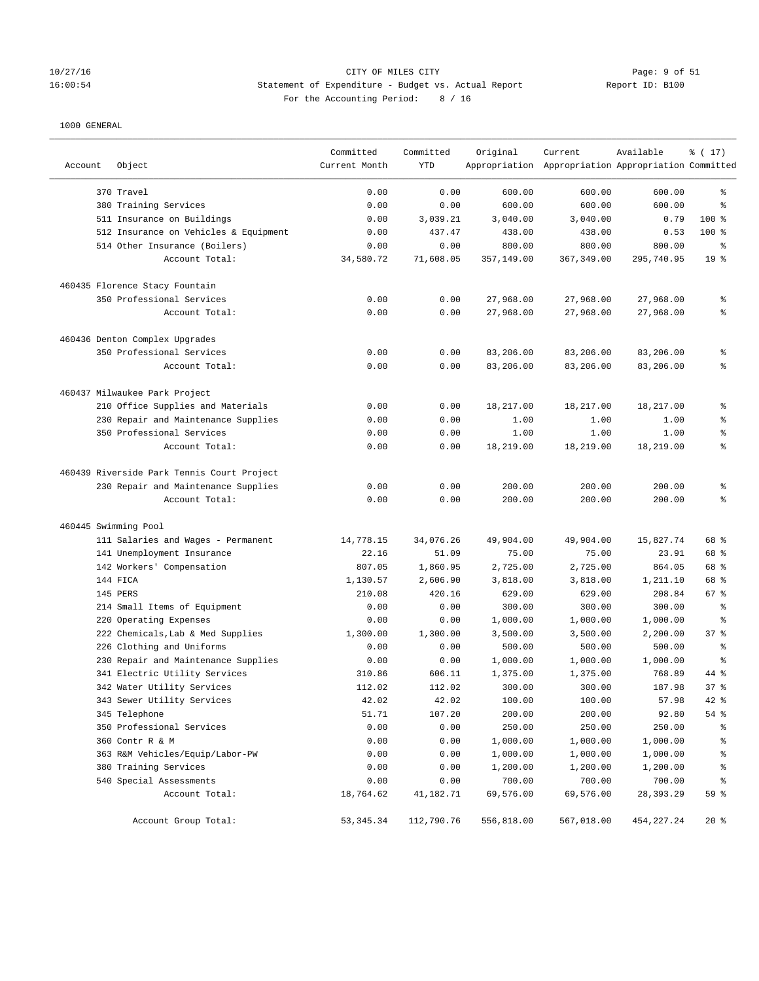## 10/27/16 CITY OF MILES CITY Page: 9 of 51 16:00:54 Statement of Expenditure - Budget vs. Actual Report Changer Report ID: B100 For the Accounting Period: 8 / 16

| Account              | Object                                           | Committed<br>Current Month | Committed<br>YTD | Original             | Current<br>Appropriation Appropriation Appropriation Committed | Available          | % (17)                         |
|----------------------|--------------------------------------------------|----------------------------|------------------|----------------------|----------------------------------------------------------------|--------------------|--------------------------------|
|                      | 370 Travel                                       | 0.00                       | 0.00             | 600.00               | 600.00                                                         | 600.00             | ి                              |
|                      | 380 Training Services                            | 0.00                       | 0.00             | 600.00               | 600.00                                                         | 600.00             | ి                              |
|                      | 511 Insurance on Buildings                       | 0.00                       | 3,039.21         | 3,040.00             | 3,040.00                                                       | 0.79               | $100$ %                        |
|                      | 512 Insurance on Vehicles & Equipment            | 0.00                       | 437.47           | 438.00               | 438.00                                                         | 0.53               | 100 %                          |
|                      | 514 Other Insurance (Boilers)                    | 0.00                       | 0.00             | 800.00               | 800.00                                                         | 800.00             | ್ಠಿ                            |
|                      | Account Total:                                   | 34,580.72                  | 71,608.05        | 357,149.00           | 367,349.00                                                     | 295,740.95         | 19 <sup>°</sup>                |
|                      | 460435 Florence Stacy Fountain                   |                            |                  |                      |                                                                |                    |                                |
|                      | 350 Professional Services                        | 0.00                       | 0.00             | 27,968.00            | 27,968.00                                                      | 27,968.00          | ್ಠಿ                            |
|                      | Account Total:                                   | 0.00                       | 0.00             | 27,968.00            | 27,968.00                                                      | 27,968.00          | ៖                              |
|                      | 460436 Denton Complex Upgrades                   |                            |                  |                      |                                                                |                    |                                |
|                      | 350 Professional Services                        | 0.00                       | 0.00             | 83,206.00            | 83,206.00                                                      | 83,206.00          | ್ಠಿ                            |
|                      | Account Total:                                   | 0.00                       | 0.00             | 83,206.00            | 83,206.00                                                      | 83,206.00          | ి                              |
|                      | 460437 Milwaukee Park Project                    |                            |                  |                      |                                                                |                    |                                |
|                      | 210 Office Supplies and Materials                | 0.00                       | 0.00             | 18,217.00            | 18,217.00                                                      | 18,217.00          | ್ಠಿ                            |
|                      | 230 Repair and Maintenance Supplies              | 0.00                       | 0.00             | 1.00                 | 1.00                                                           | 1.00               | ್ಠಿ                            |
|                      | 350 Professional Services                        | 0.00                       | 0.00             | 1.00                 | 1.00                                                           | 1.00               | ್ಠಿ                            |
|                      | Account Total:                                   | 0.00                       | 0.00             | 18,219.00            | 18,219.00                                                      | 18,219.00          | ್ಠಿ                            |
|                      | 460439 Riverside Park Tennis Court Project       |                            |                  |                      |                                                                |                    |                                |
|                      | 230 Repair and Maintenance Supplies              | 0.00                       | 0.00             | 200.00               | 200.00                                                         | 200.00             | ್ಠಿ                            |
|                      | Account Total:                                   | 0.00                       | 0.00             | 200.00               | 200.00                                                         | 200.00             | ి                              |
| 460445 Swimming Pool |                                                  |                            |                  |                      |                                                                |                    |                                |
|                      | 111 Salaries and Wages - Permanent               | 14,778.15                  | 34,076.26        | 49,904.00            | 49,904.00                                                      | 15,827.74          | 68 %                           |
|                      | 141 Unemployment Insurance                       | 22.16                      | 51.09            | 75.00                | 75.00                                                          | 23.91              | 68 %                           |
|                      | 142 Workers' Compensation                        | 807.05                     | 1,860.95         | 2,725.00             | 2,725.00                                                       | 864.05             | 68 %                           |
|                      | 144 FICA                                         | 1,130.57                   | 2,606.90         | 3,818.00             | 3,818.00                                                       | 1,211.10           | 68 %                           |
|                      | 145 PERS                                         | 210.08                     | 420.16           | 629.00               | 629.00                                                         | 208.84             | 67%                            |
|                      | 214 Small Items of Equipment                     | 0.00                       | 0.00             | 300.00               | 300.00                                                         | 300.00             | နွ                             |
|                      | 220 Operating Expenses                           | 0.00                       | 0.00             | 1,000.00             | 1,000.00                                                       | 1,000.00           | နွ                             |
|                      | 222 Chemicals, Lab & Med Supplies                | 1,300.00                   | 1,300.00         | 3,500.00             | 3,500.00                                                       | 2,200.00           | 37%                            |
|                      | 226 Clothing and Uniforms                        | 0.00                       | 0.00             | 500.00               | 500.00                                                         | 500.00             | ್ಠಿ                            |
|                      | 230 Repair and Maintenance Supplies              | 0.00                       | 0.00             | 1,000.00             | 1,000.00                                                       | 1,000.00           | ి                              |
|                      | 341 Electric Utility Services                    | 310.86                     | 606.11           | 1,375.00             | 1,375.00                                                       | 768.89             | 44 %                           |
|                      | 342 Water Utility Services                       | 112.02                     | 112.02           | 300.00               | 300.00                                                         | 187.98             | 378                            |
|                      | 343 Sewer Utility Services                       | 42.02                      | 42.02            | 100.00               | 100.00                                                         | 57.98              | 42 %                           |
|                      | 345 Telephone                                    | 51.71                      | 107.20           | 200.00               | 200.00                                                         | 92.80              | 54%                            |
|                      | 350 Professional Services                        | 0.00                       | 0.00             | 250.00               | 250.00                                                         | 250.00             | န့                             |
|                      | 360 Contr R & M                                  | 0.00                       | 0.00             | 1,000.00             | 1,000.00                                                       | 1,000.00           | န့                             |
|                      | 363 R&M Vehicles/Equip/Labor-PW                  | 0.00                       | 0.00             | 1,000.00<br>1,200.00 | 1,000.00                                                       | 1,000.00           | န့                             |
|                      | 380 Training Services<br>540 Special Assessments | 0.00<br>0.00               | 0.00<br>0.00     | 700.00               | 1,200.00<br>700.00                                             | 1,200.00<br>700.00 | န့<br>$\,{}^{\circ}\!\!\delta$ |
|                      | Account Total:                                   | 18,764.62                  | 41,182.71        | 69,576.00            | 69,576.00                                                      | 28,393.29          | 59 %                           |
|                      | Account Group Total:                             | 53, 345.34                 | 112,790.76       | 556,818.00           | 567,018.00                                                     | 454, 227. 24       | 20%                            |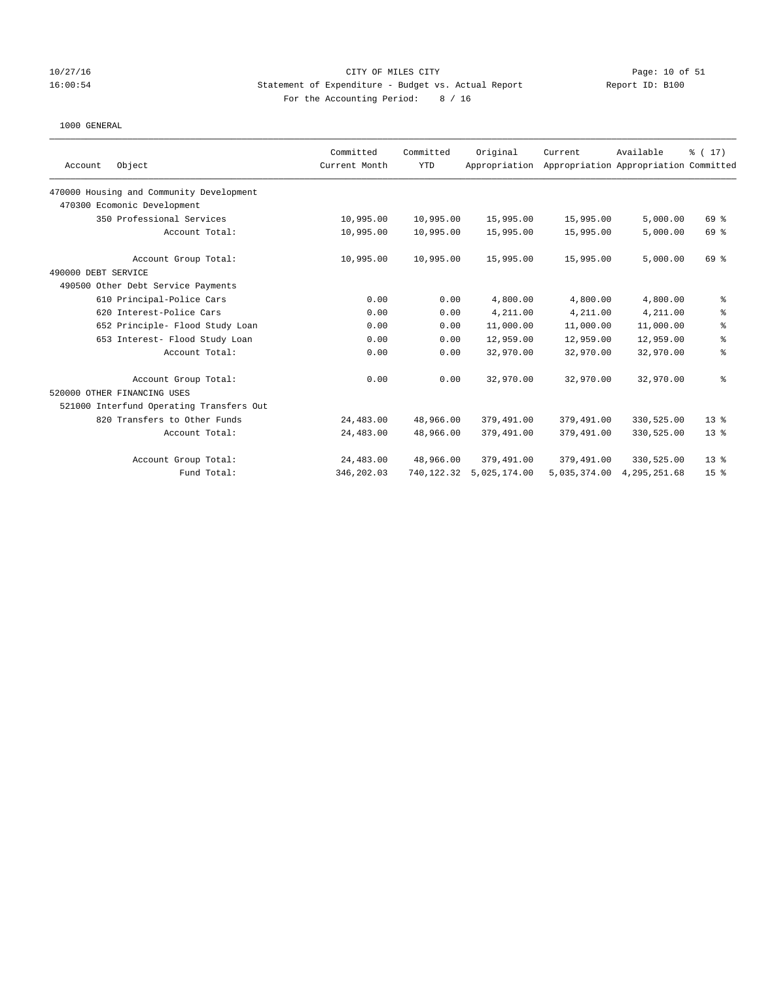### 10/27/16 CITY OF MILES CITY Page: 10 of 51 16:00:54 Statement of Expenditure - Budget vs. Actual Report Report ID: B100 For the Accounting Period: 8 / 16

|                                          | Committed     | Committed  | Original      | Current      | Available                             | $\frac{1}{6}$ ( 17) |
|------------------------------------------|---------------|------------|---------------|--------------|---------------------------------------|---------------------|
| Object<br>Account                        | Current Month | <b>YTD</b> | Appropriation |              | Appropriation Appropriation Committed |                     |
| 470000 Housing and Community Development |               |            |               |              |                                       |                     |
| 470300 Ecomonic Development              |               |            |               |              |                                       |                     |
| 350 Professional Services                | 10,995.00     | 10,995.00  | 15,995.00     | 15,995.00    | 5,000.00                              | 69 %                |
| Account Total:                           | 10,995.00     | 10,995.00  | 15,995.00     | 15,995.00    | 5,000.00                              | 69 %                |
| Account Group Total:                     | 10,995.00     | 10,995.00  | 15,995.00     | 15,995.00    | 5,000.00                              | 69%                 |
| 490000 DEBT SERVICE                      |               |            |               |              |                                       |                     |
| 490500 Other Debt Service Payments       |               |            |               |              |                                       |                     |
| 610 Principal-Police Cars                | 0.00          | 0.00       | 4,800.00      | 4,800.00     | 4,800.00                              | ್ಠಿ                 |
| 620 Interest-Police Cars                 | 0.00          | 0.00       | 4,211.00      | 4,211.00     | 4,211.00                              | ి                   |
| 652 Principle- Flood Study Loan          | 0.00          | 0.00       | 11,000.00     | 11,000.00    | 11,000.00                             | ್ಠಿ                 |
| 653 Interest- Flood Study Loan           | 0.00          | 0.00       | 12,959.00     | 12,959.00    | 12,959.00                             | နွ                  |
| Account Total:                           | 0.00          | 0.00       | 32,970.00     | 32,970.00    | 32,970.00                             | နွ                  |
| Account Group Total:                     | 0.00          | 0.00       | 32,970.00     | 32,970.00    | 32,970.00                             | ి                   |
| 520000 OTHER FINANCING USES              |               |            |               |              |                                       |                     |
| 521000 Interfund Operating Transfers Out |               |            |               |              |                                       |                     |
| 820 Transfers to Other Funds             | 24,483.00     | 48,966.00  | 379,491.00    | 379,491.00   | 330,525.00                            | 13 <sup>8</sup>     |
| Account Total:                           | 24,483.00     | 48,966.00  | 379,491.00    | 379,491.00   | 330,525.00                            | $13*$               |
| Account Group Total:                     | 24,483.00     | 48,966.00  | 379,491.00    | 379,491.00   | 330,525.00                            | $13*$               |
| Fund Total:                              | 346,202.03    | 740,122.32 | 5.025.174.00  | 5,035,374.00 | 4, 295, 251, 68                       | 15 <sup>°</sup>     |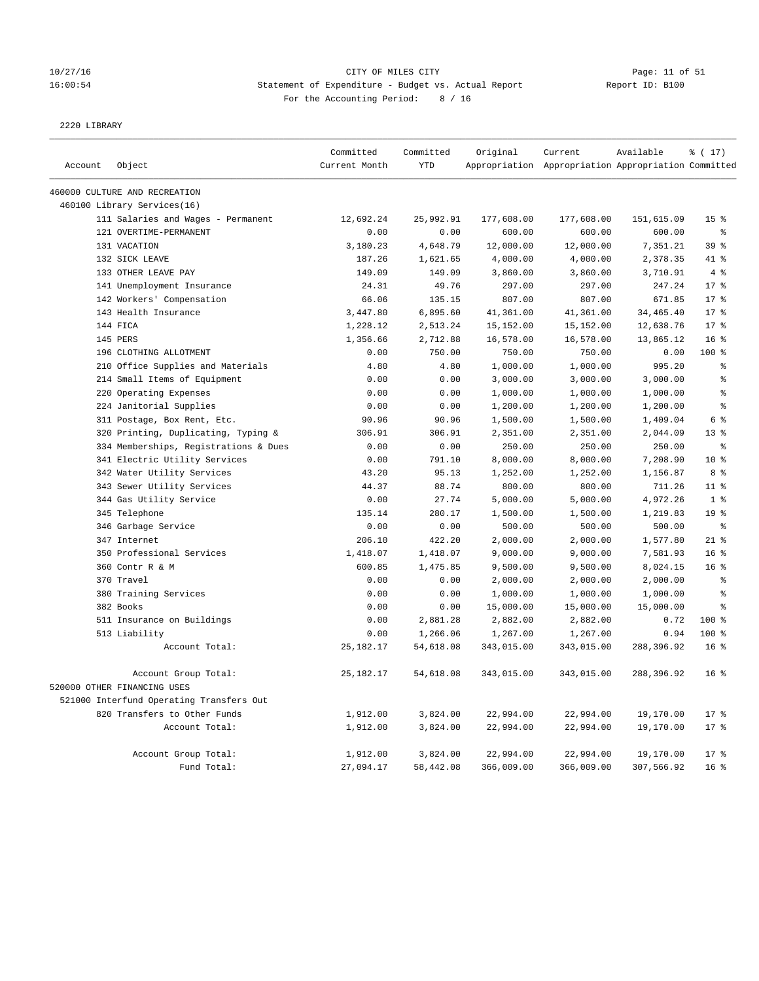## 10/27/16 Page: 11 of 51 16:00:54 Statement of Expenditure - Budget vs. Actual Report Report ID: B100 For the Accounting Period: 8 / 16

2220 LIBRARY

|         |                                          | Committed     | Committed  | Original   | Current                                             | Available  | % (17)          |
|---------|------------------------------------------|---------------|------------|------------|-----------------------------------------------------|------------|-----------------|
| Account | Object                                   | Current Month | <b>YTD</b> |            | Appropriation Appropriation Appropriation Committed |            |                 |
|         | 460000 CULTURE AND RECREATION            |               |            |            |                                                     |            |                 |
|         | 460100 Library Services(16)              |               |            |            |                                                     |            |                 |
|         | 111 Salaries and Wages - Permanent       | 12,692.24     | 25,992.91  | 177,608.00 | 177,608.00                                          | 151,615.09 | 15 <sup>°</sup> |
|         | 121 OVERTIME-PERMANENT                   | 0.00          | 0.00       | 600.00     | 600.00                                              | 600.00     | g.              |
|         | 131 VACATION                             | 3,180.23      | 4,648.79   | 12,000.00  | 12,000.00                                           | 7,351.21   | 39 %            |
|         | 132 SICK LEAVE                           | 187.26        | 1,621.65   | 4,000.00   | 4,000.00                                            | 2,378.35   | 41 %            |
|         | 133 OTHER LEAVE PAY                      | 149.09        | 149.09     | 3,860.00   | 3,860.00                                            | 3,710.91   | 4%              |
|         | 141 Unemployment Insurance               | 24.31         | 49.76      | 297.00     | 297.00                                              | 247.24     | $17*$           |
|         | 142 Workers' Compensation                | 66.06         | 135.15     | 807.00     | 807.00                                              | 671.85     | 17.8            |
|         | 143 Health Insurance                     | 3,447.80      | 6,895.60   | 41,361.00  | 41,361.00                                           | 34,465.40  | $17*$           |
|         | 144 FICA                                 | 1,228.12      | 2,513.24   | 15,152.00  | 15,152.00                                           | 12,638.76  | 17.8            |
|         | 145 PERS                                 | 1,356.66      | 2,712.88   | 16,578.00  | 16,578.00                                           | 13,865.12  | 16 <sup>°</sup> |
|         | 196 CLOTHING ALLOTMENT                   | 0.00          | 750.00     | 750.00     | 750.00                                              | 0.00       | 100 %           |
|         | 210 Office Supplies and Materials        | 4.80          | 4.80       | 1,000.00   | 1,000.00                                            | 995.20     | る               |
|         | 214 Small Items of Equipment             | 0.00          | 0.00       | 3,000.00   | 3,000.00                                            | 3,000.00   | $\,$ 8          |
|         | 220 Operating Expenses                   | 0.00          | 0.00       | 1,000.00   | 1,000.00                                            | 1,000.00   | $\,$ 8          |
|         | 224 Janitorial Supplies                  | 0.00          | 0.00       | 1,200.00   | 1,200.00                                            | 1,200.00   | $\,$ $\,$ $\,$  |
|         | 311 Postage, Box Rent, Etc.              | 90.96         | 90.96      | 1,500.00   | 1,500.00                                            | 1,409.04   | 6 <sup>°</sup>  |
|         | 320 Printing, Duplicating, Typing &      | 306.91        | 306.91     | 2,351.00   | 2,351.00                                            | 2,044.09   | $13*$           |
|         | 334 Memberships, Registrations & Dues    | 0.00          | 0.00       | 250.00     | 250.00                                              | 250.00     | န္              |
|         | 341 Electric Utility Services            | 0.00          | 791.10     | 8,000.00   | 8,000.00                                            | 7,208.90   | $10*$           |
|         | 342 Water Utility Services               | 43.20         | 95.13      | 1,252.00   | 1,252.00                                            | 1,156.87   | 8 %             |
|         | 343 Sewer Utility Services               | 44.37         | 88.74      | 800.00     | 800.00                                              | 711.26     | $11$ %          |
|         | 344 Gas Utility Service                  | 0.00          | 27.74      | 5,000.00   | 5,000.00                                            | 4,972.26   | 1 <sup>°</sup>  |
|         | 345 Telephone                            | 135.14        | 280.17     | 1,500.00   | 1,500.00                                            | 1,219.83   | 19 <sup>°</sup> |
|         | 346 Garbage Service                      | 0.00          | 0.00       | 500.00     | 500.00                                              | 500.00     | g.              |
|         | 347 Internet                             | 206.10        | 422.20     | 2,000.00   | 2,000.00                                            | 1,577.80   | $21$ %          |
|         | 350 Professional Services                | 1,418.07      | 1,418.07   | 9,000.00   | 9,000.00                                            | 7,581.93   | 16 <sup>8</sup> |
|         | 360 Contr R & M                          | 600.85        | 1,475.85   | 9,500.00   | 9,500.00                                            | 8,024.15   | 16 <sup>°</sup> |
|         | 370 Travel                               | 0.00          | 0.00       | 2,000.00   | 2,000.00                                            | 2,000.00   | g.              |
|         | 380 Training Services                    | 0.00          | 0.00       | 1,000.00   | 1,000.00                                            | 1,000.00   | $\,$ 8          |
|         | 382 Books                                | 0.00          | 0.00       | 15,000.00  | 15,000.00                                           | 15,000.00  | $\epsilon$      |
|         | 511 Insurance on Buildings               | 0.00          | 2,881.28   | 2,882.00   | 2,882.00                                            | 0.72       | $100*$          |
|         | 513 Liability                            | 0.00          | 1,266.06   | 1,267.00   | 1,267.00                                            | 0.94       | 100 %           |
|         | Account Total:                           | 25, 182. 17   | 54,618.08  | 343,015.00 | 343,015.00                                          | 288,396.92 | 16 <sup>8</sup> |
|         | Account Group Total:                     | 25, 182. 17   | 54,618.08  | 343,015.00 | 343,015.00                                          | 288,396.92 | 16 <sup>8</sup> |
|         | 520000 OTHER FINANCING USES              |               |            |            |                                                     |            |                 |
|         | 521000 Interfund Operating Transfers Out |               |            |            |                                                     |            |                 |
|         | 820 Transfers to Other Funds             | 1,912.00      | 3,824.00   | 22,994.00  | 22,994.00                                           | 19,170.00  | $17*$           |
|         | Account Total:                           | 1,912.00      | 3,824.00   | 22,994.00  | 22,994.00                                           | 19,170.00  | $17*$           |
|         |                                          |               |            |            |                                                     |            |                 |
|         | Account Group Total:                     | 1,912.00      | 3,824.00   | 22,994.00  | 22,994.00                                           | 19,170.00  | $17*$           |
|         | Fund Total:                              | 27,094.17     | 58,442.08  | 366,009.00 | 366,009.00                                          | 307,566.92 | 16 <sup>°</sup> |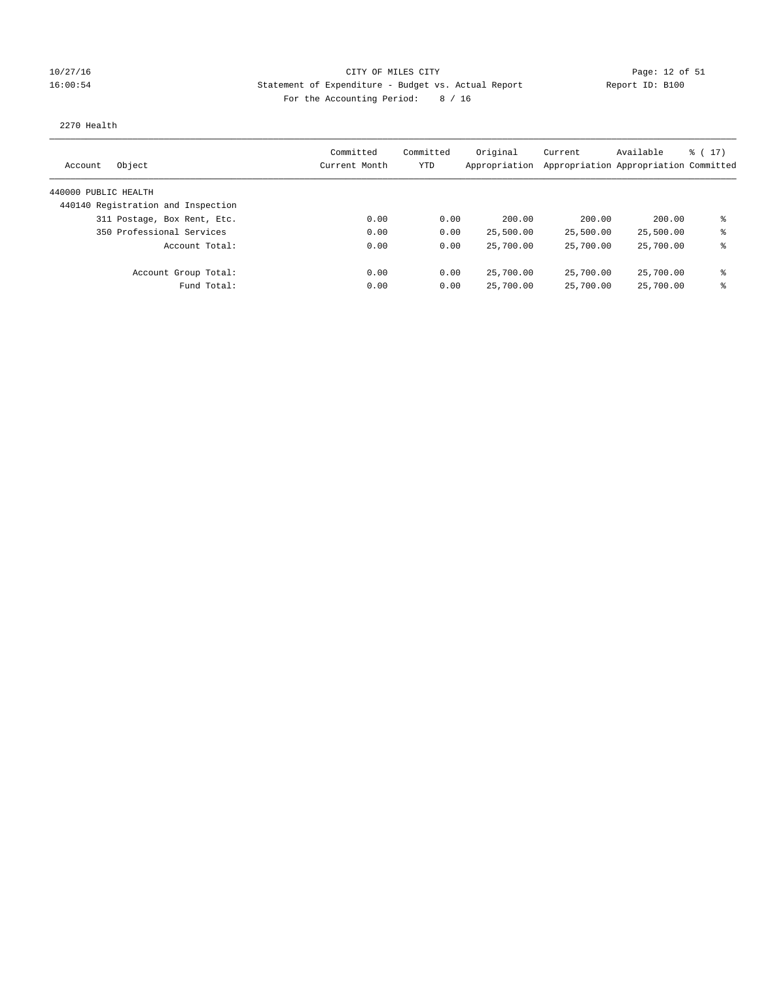## 10/27/16 CITY OF MILES CITY Page: 12 of 51 16:00:54 Statement of Expenditure - Budget vs. Actual Report Report ID: B100 For the Accounting Period: 8 / 16

### 2270 Health

| Object<br>Account                  | Committed<br>Current Month | Committed<br>YTD | Original<br>Appropriation | Current<br>Appropriation Appropriation Committed | Available | $\frac{1}{6}$ ( 17 ) |
|------------------------------------|----------------------------|------------------|---------------------------|--------------------------------------------------|-----------|----------------------|
| 440000 PUBLIC HEALTH               |                            |                  |                           |                                                  |           |                      |
| 440140 Registration and Inspection |                            |                  |                           |                                                  |           |                      |
| 311 Postage, Box Rent, Etc.        | 0.00                       | 0.00             | 200.00                    | 200.00                                           | 200.00    | ⊱                    |
| 350 Professional Services          | 0.00                       | 0.00             | 25,500.00                 | 25,500.00                                        | 25,500.00 | နွ                   |
| Account Total:                     | 0.00                       | 0.00             | 25,700.00                 | 25,700.00                                        | 25,700.00 | ⊱                    |
| Account Group Total:               | 0.00                       | 0.00             | 25,700.00                 | 25,700.00                                        | 25,700.00 | နွ                   |
| Fund Total:                        | 0.00                       | 0.00             | 25,700.00                 | 25,700.00                                        | 25,700.00 | နွ                   |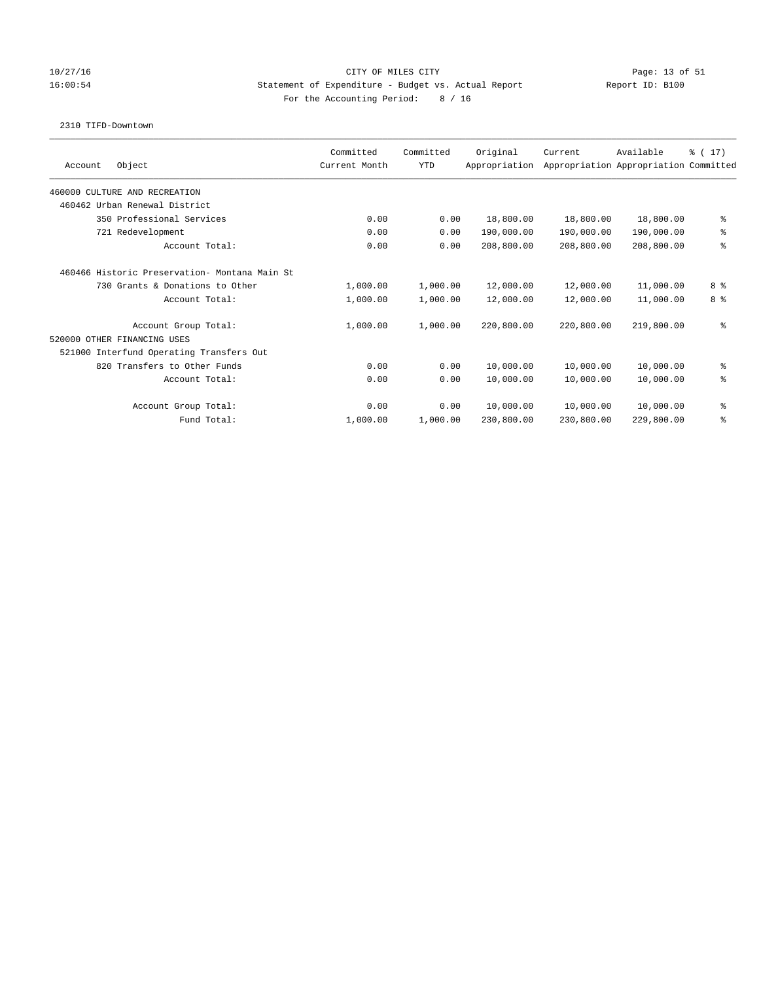### 10/27/16 CITY OF MILES CITY Page: 13 of 51 16:00:54 Statement of Expenditure - Budget vs. Actual Report Report ID: B100 For the Accounting Period: 8 / 16

### 2310 TIFD-Downtown

|                                                | Committed     | Committed  | Original      | Current    | Available                             | $\frac{1}{2}$ (17) |
|------------------------------------------------|---------------|------------|---------------|------------|---------------------------------------|--------------------|
| Object<br>Account                              | Current Month | <b>YTD</b> | Appropriation |            | Appropriation Appropriation Committed |                    |
| 460000 CULTURE AND RECREATION                  |               |            |               |            |                                       |                    |
| 460462 Urban Renewal District                  |               |            |               |            |                                       |                    |
| 350 Professional Services                      | 0.00          | 0.00       | 18,800.00     | 18,800.00  | 18,800.00                             | နွ                 |
| 721 Redevelopment                              | 0.00          | 0.00       | 190,000.00    | 190,000.00 | 190,000.00                            | ್ಠಿ                |
| Account Total:                                 | 0.00          | 0.00       | 208,800.00    | 208,800.00 | 208,800.00                            | ి                  |
| 460466 Historic Preservation- Montana Main St. |               |            |               |            |                                       |                    |
| 730 Grants & Donations to Other                | 1,000.00      | 1,000.00   | 12,000.00     | 12,000.00  | 11,000.00                             | 8 %                |
| Account Total:                                 | 1,000.00      | 1,000.00   | 12,000.00     | 12,000.00  | 11,000.00                             | 8 %                |
| Account Group Total:                           | 1,000.00      | 1,000.00   | 220,800.00    | 220,800.00 | 219,800.00                            | る                  |
| 520000 OTHER FINANCING USES                    |               |            |               |            |                                       |                    |
| 521000 Interfund Operating Transfers Out       |               |            |               |            |                                       |                    |
| 820 Transfers to Other Funds                   | 0.00          | 0.00       | 10,000.00     | 10,000.00  | 10,000.00                             | နွ                 |
| Account Total:                                 | 0.00          | 0.00       | 10,000.00     | 10,000.00  | 10,000.00                             | る                  |
| Account Group Total:                           | 0.00          | 0.00       | 10,000.00     | 10,000.00  | 10,000.00                             | နွ                 |
| Fund Total:                                    | 1,000.00      | 1,000.00   | 230,800.00    | 230,800.00 | 229,800.00                            | ి                  |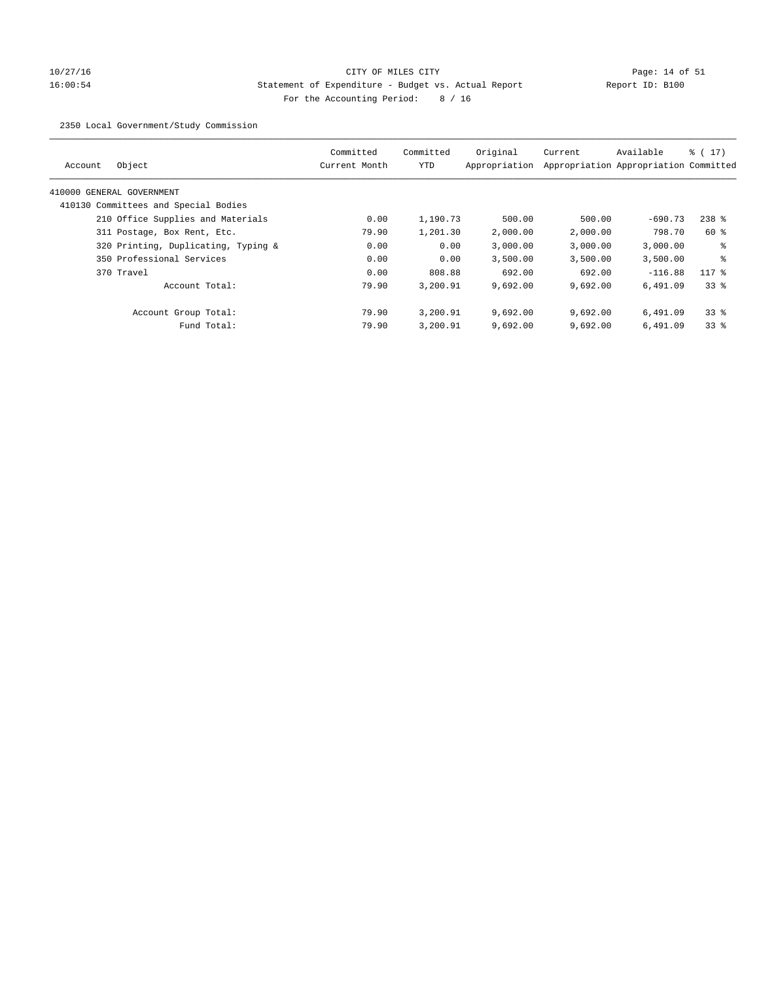# 10/27/16 Page: 14 of 51 16:00:54 Statement of Expenditure - Budget vs. Actual Report Report ID: B100 For the Accounting Period: 8 / 16

2350 Local Government/Study Commission

| Object<br>Account                    | Committed<br>Current Month | Committed<br>YTD | Original<br>Appropriation | Current  | Available<br>Appropriation Appropriation Committed | $\frac{1}{2}$ (17) |
|--------------------------------------|----------------------------|------------------|---------------------------|----------|----------------------------------------------------|--------------------|
|                                      |                            |                  |                           |          |                                                    |                    |
| 410000 GENERAL GOVERNMENT            |                            |                  |                           |          |                                                    |                    |
| 410130 Committees and Special Bodies |                            |                  |                           |          |                                                    |                    |
| 210 Office Supplies and Materials    | 0.00                       | 1,190.73         | 500.00                    | 500.00   | $-690.73$                                          | $238$ $%$          |
| 311 Postage, Box Rent, Etc.          | 79.90                      | 1,201.30         | 2,000.00                  | 2,000.00 | 798.70                                             | 60 %               |
| 320 Printing, Duplicating, Typing &  | 0.00                       | 0.00             | 3.000.00                  | 3,000.00 | 3.000.00                                           | ႜ                  |
| 350 Professional Services            | 0.00                       | 0.00             | 3,500.00                  | 3,500.00 | 3,500.00                                           | နွ                 |
| 370 Travel                           | 0.00                       | 808.88           | 692.00                    | 692.00   | $-116.88$                                          | $117$ %            |
| Account Total:                       | 79.90                      | 3,200.91         | 9,692.00                  | 9,692.00 | 6.491.09                                           | 338                |
| Account Group Total:                 | 79.90                      | 3,200.91         | 9.692.00                  | 9.692.00 | 6,491.09                                           | 338                |
| Fund Total:                          | 79.90                      | 3,200.91         | 9,692.00                  | 9,692.00 | 6,491.09                                           | 338                |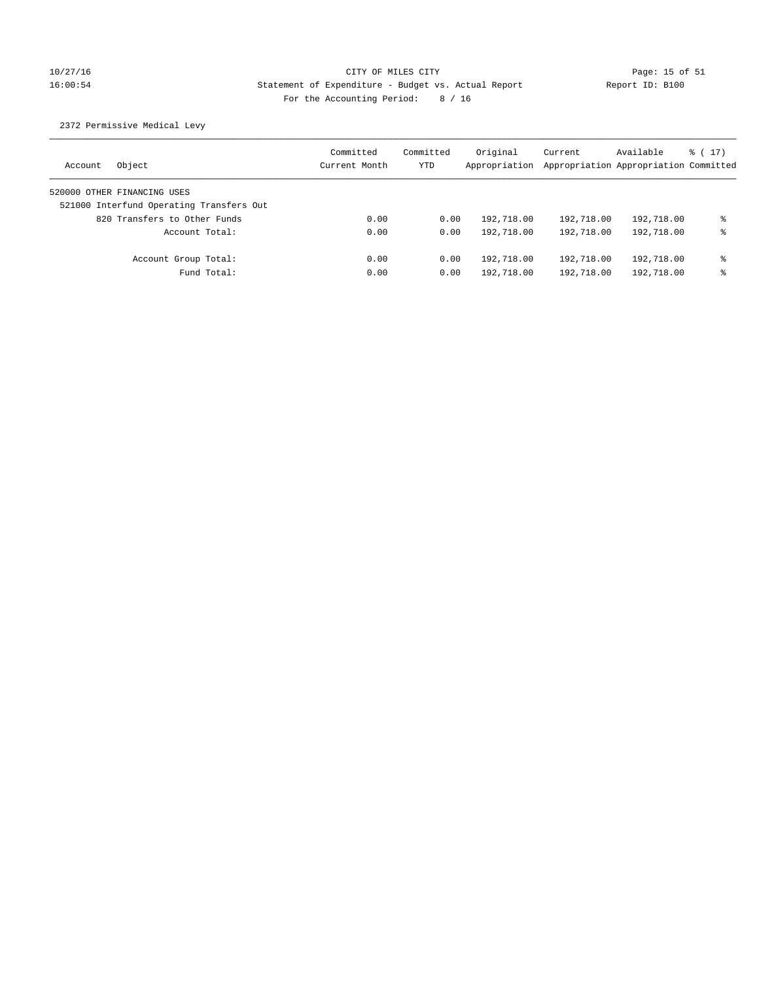## 10/27/16 CITY OF MILES CITY Page: 15 of 51 16:00:54 Statement of Expenditure - Budget vs. Actual Report Report ID: B100 For the Accounting Period: 8 / 16

2372 Permissive Medical Levy

| Object<br>Account                        | Committed<br>Current Month | Committed<br>YTD | Original<br>Appropriation | Current    | Available<br>Appropriation Appropriation Committed | $\frac{1}{6}$ ( 17 ) |
|------------------------------------------|----------------------------|------------------|---------------------------|------------|----------------------------------------------------|----------------------|
| 520000 OTHER FINANCING USES              |                            |                  |                           |            |                                                    |                      |
| 521000 Interfund Operating Transfers Out |                            |                  |                           |            |                                                    |                      |
| 820 Transfers to Other Funds             | 0.00                       | 0.00             | 192,718.00                | 192,718.00 | 192,718.00                                         | နွ                   |
| Account Total:                           | 0.00                       | 0.00             | 192,718.00                | 192,718.00 | 192,718.00                                         | ⊱                    |
| Account Group Total:                     | 0.00                       | 0.00             | 192,718.00                | 192,718.00 | 192,718.00                                         | နွ                   |
| Fund Total:                              | 0.00                       | 0.00             | 192,718.00                | 192,718.00 | 192,718.00                                         | ⊱                    |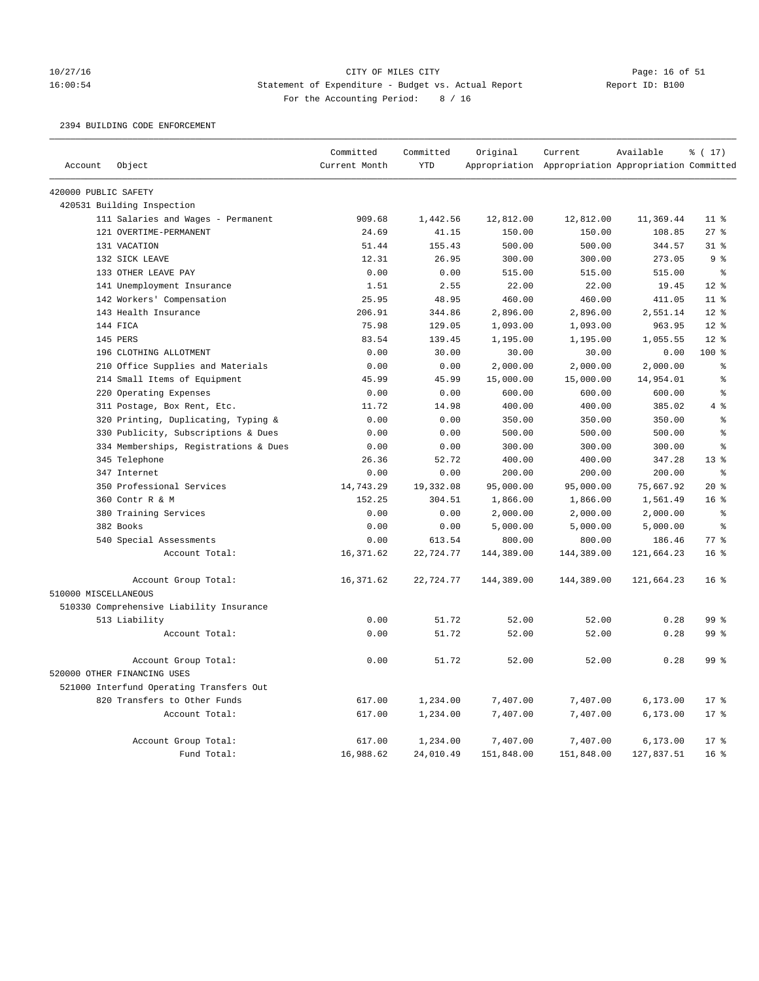# 10/27/16 CITY OF MILES CITY<br>16:00:54 Statement of Expenditure - Budget vs. Actual Report Report ID: B100 16:00:54 Statement of Expenditure - Budget vs. Actual Report For the Accounting Period: 8 / 16

### 2394 BUILDING CODE ENFORCEMENT

|                      |                                          | Committed     | Committed  | Original   | Current                                             | Available  | $\frac{1}{2}$ (17) |
|----------------------|------------------------------------------|---------------|------------|------------|-----------------------------------------------------|------------|--------------------|
| Account              | Object                                   | Current Month | <b>YTD</b> |            | Appropriation Appropriation Appropriation Committed |            |                    |
| 420000 PUBLIC SAFETY |                                          |               |            |            |                                                     |            |                    |
|                      | 420531 Building Inspection               |               |            |            |                                                     |            |                    |
|                      | 111 Salaries and Wages - Permanent       | 909.68        | 1,442.56   | 12,812.00  | 12,812.00                                           | 11,369.44  | 11 <sup>8</sup>    |
|                      | 121 OVERTIME-PERMANENT                   | 24.69         | 41.15      | 150.00     | 150.00                                              | 108.85     | 27%                |
|                      | 131 VACATION                             | 51.44         | 155.43     | 500.00     | 500.00                                              | 344.57     | $31$ %             |
|                      | 132 SICK LEAVE                           | 12.31         | 26.95      | 300.00     | 300.00                                              | 273.05     | 9%                 |
|                      | 133 OTHER LEAVE PAY                      | 0.00          | 0.00       | 515.00     | 515.00                                              | 515.00     | $\epsilon$         |
|                      | 141 Unemployment Insurance               | 1.51          | 2.55       | 22.00      | 22.00                                               | 19.45      | $12*$              |
|                      | 142 Workers' Compensation                | 25.95         | 48.95      | 460.00     | 460.00                                              | 411.05     | 11 <sup>8</sup>    |
|                      | 143 Health Insurance                     | 206.91        | 344.86     | 2,896.00   | 2,896.00                                            | 2,551.14   | $12*$              |
|                      | 144 FICA                                 | 75.98         | 129.05     | 1,093.00   | 1,093.00                                            | 963.95     | $12*$              |
|                      | 145 PERS                                 | 83.54         | 139.45     | 1,195.00   | 1,195.00                                            | 1,055.55   | $12*$              |
|                      | 196 CLOTHING ALLOTMENT                   | 0.00          | 30.00      | 30.00      | 30.00                                               | 0.00       | 100%               |
|                      | 210 Office Supplies and Materials        | 0.00          | 0.00       | 2,000.00   | 2,000.00                                            | 2,000.00   | နွ                 |
|                      | 214 Small Items of Equipment             | 45.99         | 45.99      | 15,000.00  | 15,000.00                                           | 14,954.01  | နွ                 |
|                      | 220 Operating Expenses                   | 0.00          | 0.00       | 600.00     | 600.00                                              | 600.00     | ş                  |
|                      | 311 Postage, Box Rent, Etc.              | 11.72         | 14.98      | 400.00     | 400.00                                              | 385.02     | 4%                 |
|                      | 320 Printing, Duplicating, Typing &      | 0.00          | 0.00       | 350.00     | 350.00                                              | 350.00     | $\epsilon$         |
|                      | 330 Publicity, Subscriptions & Dues      | 0.00          | 0.00       | 500.00     | 500.00                                              | 500.00     | နွ                 |
|                      | 334 Memberships, Registrations & Dues    | 0.00          | 0.00       | 300.00     | 300.00                                              | 300.00     | နွ                 |
|                      | 345 Telephone                            | 26.36         | 52.72      | 400.00     | 400.00                                              | 347.28     | 13 <sup>8</sup>    |
|                      | 347 Internet                             | 0.00          | 0.00       | 200.00     | 200.00                                              | 200.00     | $\epsilon$         |
|                      | 350 Professional Services                | 14,743.29     | 19,332.08  | 95,000.00  | 95,000.00                                           | 75,667.92  | $20*$              |
|                      | 360 Contr R & M                          | 152.25        | 304.51     | 1,866.00   | 1,866.00                                            | 1,561.49   | 16 <sup>8</sup>    |
|                      | 380 Training Services                    | 0.00          | 0.00       | 2,000.00   | 2,000.00                                            | 2,000.00   | နွ                 |
|                      | 382 Books                                | 0.00          | 0.00       | 5,000.00   | 5,000.00                                            | 5,000.00   | $\approx$          |
|                      | 540 Special Assessments                  | 0.00          | 613.54     | 800.00     | 800.00                                              | 186.46     | 77%                |
|                      | Account Total:                           | 16, 371.62    | 22,724.77  | 144,389.00 | 144,389.00                                          | 121,664.23 | 16 <sup>8</sup>    |
|                      | Account Group Total:                     | 16,371.62     | 22,724.77  | 144,389.00 | 144,389.00                                          | 121,664.23 | 16 <sup>8</sup>    |
| 510000 MISCELLANEOUS |                                          |               |            |            |                                                     |            |                    |
|                      | 510330 Comprehensive Liability Insurance |               |            |            |                                                     |            |                    |
|                      | 513 Liability                            | 0.00          | 51.72      | 52.00      | 52.00                                               | 0.28       | 99 %               |
|                      | Account Total:                           | 0.00          | 51.72      | 52.00      | 52.00                                               | 0.28       | 99 %               |
|                      | Account Group Total:                     | 0.00          | 51.72      | 52.00      | 52.00                                               | 0.28       | 99 <sup>8</sup>    |
|                      | 520000 OTHER FINANCING USES              |               |            |            |                                                     |            |                    |
|                      | 521000 Interfund Operating Transfers Out |               |            |            |                                                     |            |                    |
|                      | 820 Transfers to Other Funds             | 617.00        | 1,234.00   | 7,407.00   | 7,407.00                                            | 6, 173.00  | $17*$              |
|                      | Account Total:                           | 617.00        | 1,234.00   | 7,407.00   | 7,407.00                                            | 6,173.00   | $17*$              |
|                      | Account Group Total:                     | 617.00        | 1,234.00   | 7,407.00   | 7,407.00                                            | 6,173.00   | 17 <sup>8</sup>    |
|                      | Fund Total:                              | 16,988.62     | 24,010.49  | 151,848.00 | 151,848.00                                          | 127,837.51 | 16 <sup>8</sup>    |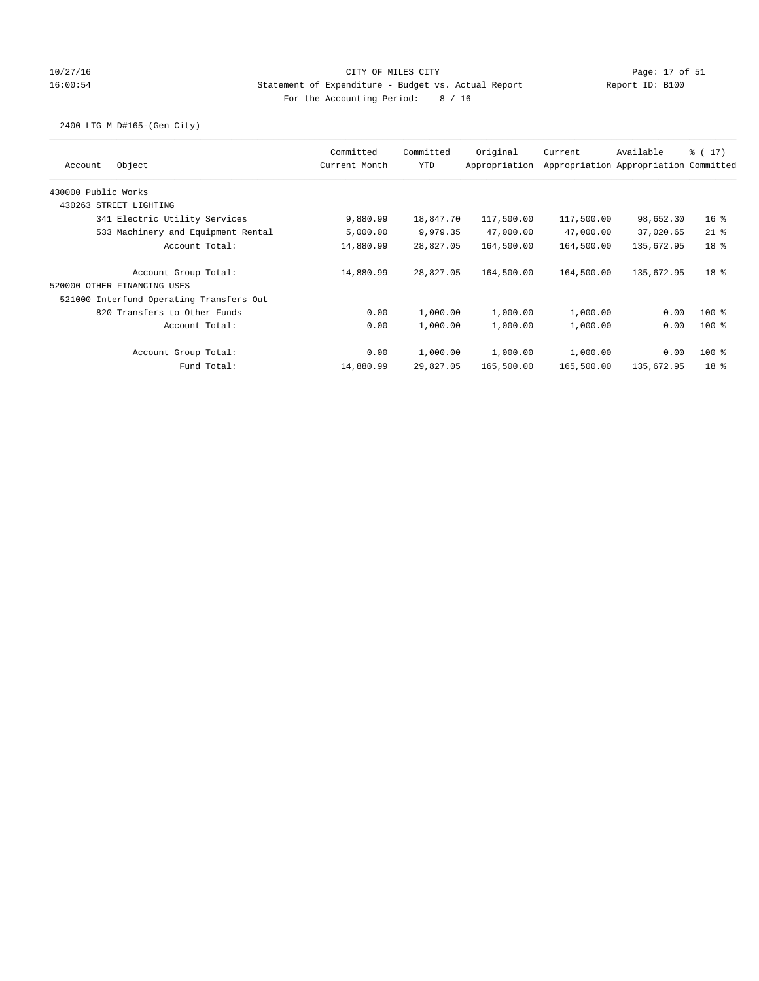## 10/27/16 CITY OF MILES CITY Page: 17 of 51 16:00:54 Statement of Expenditure - Budget vs. Actual Report Report ID: B100 For the Accounting Period: 8 / 16

## 2400 LTG M D#165-(Gen City)

| Object<br>Account                        | Committed<br>Current Month | Committed<br><b>YTD</b> | Original<br>Appropriation | Current    | Available<br>Appropriation Appropriation Committed | % (17)          |
|------------------------------------------|----------------------------|-------------------------|---------------------------|------------|----------------------------------------------------|-----------------|
| 430000 Public Works                      |                            |                         |                           |            |                                                    |                 |
| 430263 STREET LIGHTING                   |                            |                         |                           |            |                                                    |                 |
|                                          |                            |                         |                           |            |                                                    |                 |
| 341 Electric Utility Services            | 9,880.99                   | 18,847.70               | 117,500.00                | 117,500.00 | 98,652.30                                          | 16 <sup>8</sup> |
| 533 Machinery and Equipment Rental       | 5,000.00                   | 9,979.35                | 47,000.00                 | 47,000.00  | 37,020.65                                          | $21$ %          |
| Account Total:                           | 14,880.99                  | 28,827.05               | 164,500.00                | 164,500.00 | 135,672.95                                         | 18 <sup>8</sup> |
| Account Group Total:                     | 14,880.99                  | 28,827.05               | 164,500.00                | 164,500.00 | 135,672.95                                         | 18 <sup>8</sup> |
| 520000 OTHER FINANCING USES              |                            |                         |                           |            |                                                    |                 |
| 521000 Interfund Operating Transfers Out |                            |                         |                           |            |                                                    |                 |
| 820 Transfers to Other Funds             | 0.00                       | 1,000.00                | 1,000.00                  | 1,000.00   | 0.00                                               | $100$ %         |
| Account Total:                           | 0.00                       | 1,000.00                | 1,000.00                  | 1,000.00   | 0.00                                               | $100*$          |
| Account Group Total:                     | 0.00                       | 1,000.00                | 1,000.00                  | 1,000.00   | 0.00                                               | $100$ %         |
| Fund Total:                              | 14,880.99                  | 29,827.05               | 165,500.00                | 165,500.00 | 135,672.95                                         | 18 <sup>8</sup> |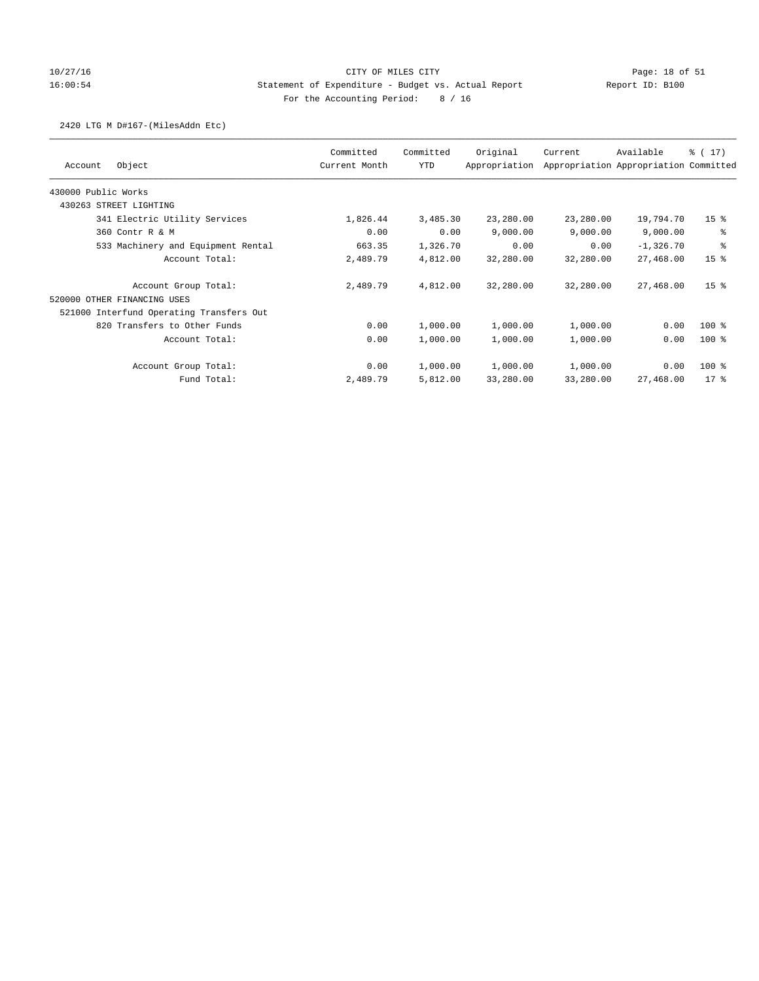## 10/27/16 CITY OF MILES CITY Page: 18 of 51 16:00:54 Statement of Expenditure - Budget vs. Actual Report Report ID: B100 For the Accounting Period: 8 / 16

### 2420 LTG M D#167-(MilesAddn Etc)

|                                          | Committed     | Committed  | Original      | Current   | Available                             | $\frac{1}{6}$ ( 17) |
|------------------------------------------|---------------|------------|---------------|-----------|---------------------------------------|---------------------|
| Object<br>Account                        | Current Month | <b>YTD</b> | Appropriation |           | Appropriation Appropriation Committed |                     |
| 430000 Public Works                      |               |            |               |           |                                       |                     |
| 430263 STREET LIGHTING                   |               |            |               |           |                                       |                     |
| 341 Electric Utility Services            | 1,826.44      | 3,485.30   | 23,280.00     | 23,280.00 | 19,794.70                             | 15 <sup>8</sup>     |
| 360 Contr R & M                          | 0.00          | 0.00       | 9,000.00      | 9,000.00  | 9,000.00                              | ి                   |
| 533 Machinery and Equipment Rental       | 663.35        | 1,326.70   | 0.00          | 0.00      | $-1,326.70$                           | နွ                  |
| Account Total:                           | 2,489.79      | 4,812.00   | 32,280.00     | 32,280.00 | 27,468.00                             | 15 <sup>8</sup>     |
| Account Group Total:                     | 2,489.79      | 4,812.00   | 32,280.00     | 32,280.00 | 27,468.00                             | 15 <sup>8</sup>     |
| 520000 OTHER FINANCING USES              |               |            |               |           |                                       |                     |
| 521000 Interfund Operating Transfers Out |               |            |               |           |                                       |                     |
| 820 Transfers to Other Funds             | 0.00          | 1,000.00   | 1,000.00      | 1,000.00  | 0.00                                  | $100*$              |
| Account Total:                           | 0.00          | 1,000.00   | 1,000.00      | 1,000.00  | 0.00                                  | $100*$              |
| Account Group Total:                     | 0.00          | 1,000.00   | 1,000.00      | 1,000.00  | 0.00                                  | 100 %               |
| Fund Total:                              | 2,489.79      | 5,812.00   | 33,280.00     | 33,280.00 | 27,468.00                             | $17*$               |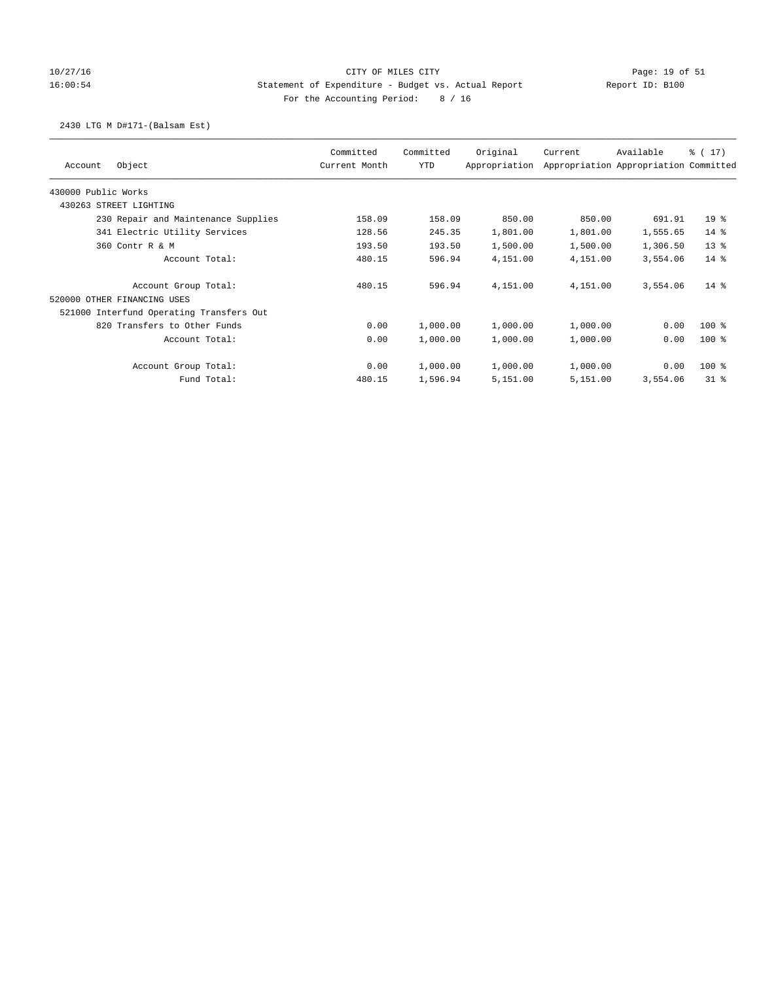## 10/27/16 CITY OF MILES CITY Page: 19 of 51 16:00:54 Statement of Expenditure - Budget vs. Actual Report Report ID: B100 For the Accounting Period: 8 / 16

### 2430 LTG M D#171-(Balsam Est)

|                                          | Committed     | Committed  | Original      | Current  | Available                             | $\frac{1}{6}$ ( 17) |
|------------------------------------------|---------------|------------|---------------|----------|---------------------------------------|---------------------|
| Object<br>Account                        | Current Month | <b>YTD</b> | Appropriation |          | Appropriation Appropriation Committed |                     |
| 430000 Public Works                      |               |            |               |          |                                       |                     |
| 430263 STREET LIGHTING                   |               |            |               |          |                                       |                     |
| 230 Repair and Maintenance Supplies      | 158.09        | 158.09     | 850.00        | 850.00   | 691.91                                | 19 <sup>°</sup>     |
| 341 Electric Utility Services            | 128.56        | 245.35     | 1,801.00      | 1,801.00 | 1,555.65                              | $14*$               |
| 360 Contr R & M                          | 193.50        | 193.50     | 1,500.00      | 1,500.00 | 1,306.50                              | $13*$               |
| Account Total:                           | 480.15        | 596.94     | 4,151.00      | 4,151.00 | 3,554.06                              | 14 %                |
| Account Group Total:                     | 480.15        | 596.94     | 4,151.00      | 4,151.00 | 3,554.06                              | $14*$               |
| 520000 OTHER FINANCING USES              |               |            |               |          |                                       |                     |
| 521000 Interfund Operating Transfers Out |               |            |               |          |                                       |                     |
| 820 Transfers to Other Funds             | 0.00          | 1,000.00   | 1,000.00      | 1,000.00 | 0.00                                  | $100$ %             |
| Account Total:                           | 0.00          | 1,000.00   | 1,000.00      | 1,000.00 | 0.00                                  | $100*$              |
| Account Group Total:                     | 0.00          | 1,000.00   | 1,000.00      | 1,000.00 | 0.00                                  | 100 %               |
| Fund Total:                              | 480.15        | 1,596.94   | 5,151.00      | 5,151.00 | 3,554.06                              | 318                 |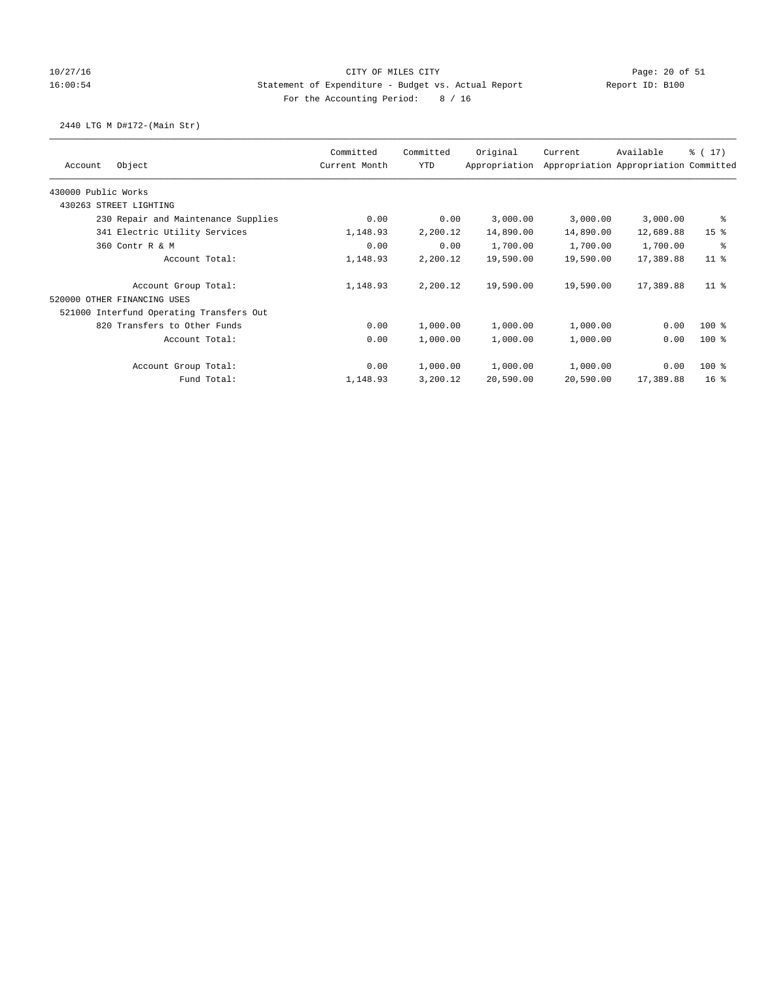## 10/27/16 CITY OF MILES CITY Page: 20 of 51 16:00:54 Statement of Expenditure - Budget vs. Actual Report Report ID: B100 For the Accounting Period: 8 / 16

## 2440 LTG M D#172-(Main Str)

|                                          | Committed<br>Current Month | Committed  | Original<br>Appropriation | Current   | Available<br>Appropriation Appropriation Committed | $\frac{1}{6}$ ( 17) |
|------------------------------------------|----------------------------|------------|---------------------------|-----------|----------------------------------------------------|---------------------|
| Object<br>Account                        |                            | <b>YTD</b> |                           |           |                                                    |                     |
| 430000 Public Works                      |                            |            |                           |           |                                                    |                     |
| 430263 STREET LIGHTING                   |                            |            |                           |           |                                                    |                     |
| 230 Repair and Maintenance Supplies      | 0.00                       | 0.00       | 3,000.00                  | 3,000.00  | 3,000.00                                           | ႜ                   |
| 341 Electric Utility Services            | 1,148.93                   | 2,200.12   | 14,890.00                 | 14,890.00 | 12,689.88                                          | 15 <sup>8</sup>     |
| 360 Contr R & M                          | 0.00                       | 0.00       | 1,700.00                  | 1,700.00  | 1,700.00                                           | ႜ                   |
| Account Total:                           | 1,148.93                   | 2,200.12   | 19,590.00                 | 19,590.00 | 17,389.88                                          | $11$ %              |
| Account Group Total:                     | 1,148.93                   | 2,200.12   | 19,590.00                 | 19,590.00 | 17,389.88                                          | $11$ %              |
| 520000 OTHER FINANCING USES              |                            |            |                           |           |                                                    |                     |
| 521000 Interfund Operating Transfers Out |                            |            |                           |           |                                                    |                     |
| 820 Transfers to Other Funds             | 0.00                       | 1,000.00   | 1,000.00                  | 1,000.00  | 0.00                                               | $100*$              |
| Account Total:                           | 0.00                       | 1,000.00   | 1,000.00                  | 1,000.00  | 0.00                                               | $100*$              |
| Account Group Total:                     | 0.00                       | 1,000.00   | 1,000.00                  | 1,000.00  | 0.00                                               | 100 %               |
| Fund Total:                              | 1,148.93                   | 3,200.12   | 20,590.00                 | 20,590.00 | 17,389.88                                          | 16 <sup>8</sup>     |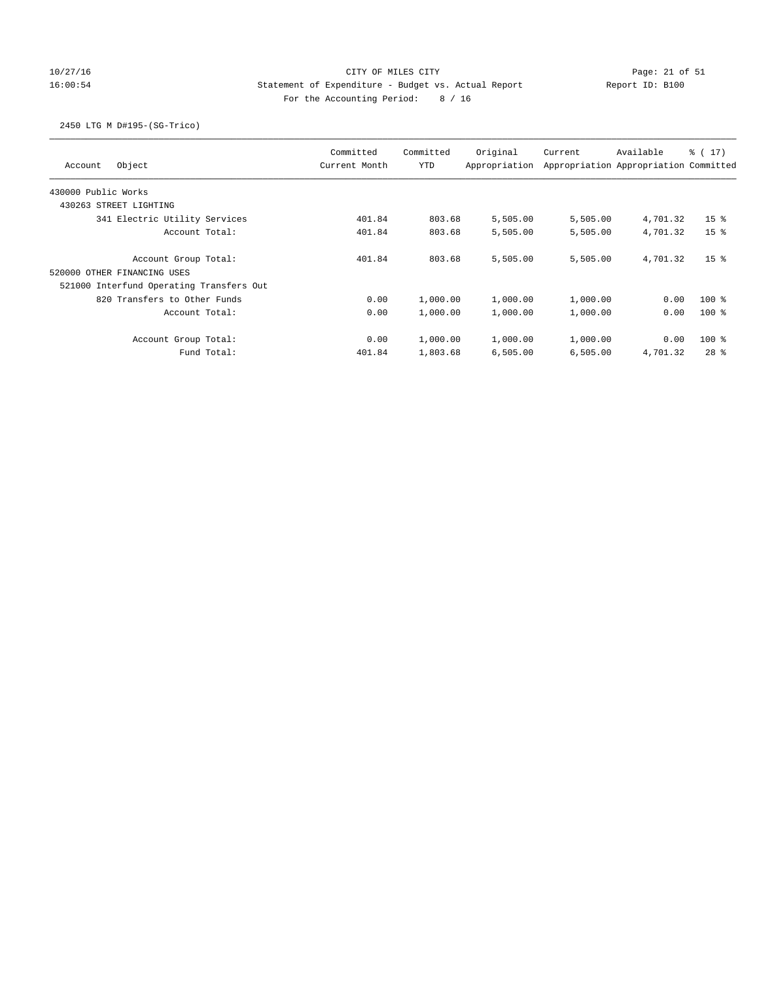## 10/27/16 CITY OF MILES CITY Page: 21 of 51 16:00:54 Statement of Expenditure - Budget vs. Actual Report Report ID: B100 For the Accounting Period: 8 / 16

## 2450 LTG M D#195-(SG-Trico)

| Object<br>Account                        | Committed<br>Current Month | Committed<br><b>YTD</b> | Original<br>Appropriation | Current  | Available<br>Appropriation Appropriation Committed | % (17)          |
|------------------------------------------|----------------------------|-------------------------|---------------------------|----------|----------------------------------------------------|-----------------|
| 430000 Public Works                      |                            |                         |                           |          |                                                    |                 |
| 430263 STREET LIGHTING                   |                            |                         |                           |          |                                                    |                 |
| 341 Electric Utility Services            | 401.84                     | 803.68                  | 5,505.00                  | 5,505.00 | 4,701.32                                           | 15 <sup>8</sup> |
| Account Total:                           | 401.84                     | 803.68                  | 5,505.00                  | 5,505.00 | 4,701.32                                           | 15 <sup>8</sup> |
| Account Group Total:                     | 401.84                     | 803.68                  | 5,505.00                  | 5,505.00 | 4,701.32                                           | 15 <sup>8</sup> |
| 520000 OTHER FINANCING USES              |                            |                         |                           |          |                                                    |                 |
| 521000 Interfund Operating Transfers Out |                            |                         |                           |          |                                                    |                 |
| 820 Transfers to Other Funds             | 0.00                       | 1,000.00                | 1,000.00                  | 1,000.00 | 0.00                                               | $100$ %         |
| Account Total:                           | 0.00                       | 1,000.00                | 1,000.00                  | 1,000.00 | 0.00                                               | $100*$          |
| Account Group Total:                     | 0.00                       | 1,000.00                | 1,000.00                  | 1,000.00 | 0.00                                               | $100*$          |
| Fund Total:                              | 401.84                     | 1,803.68                | 6,505.00                  | 6,505.00 | 4,701.32                                           | $28$ $%$        |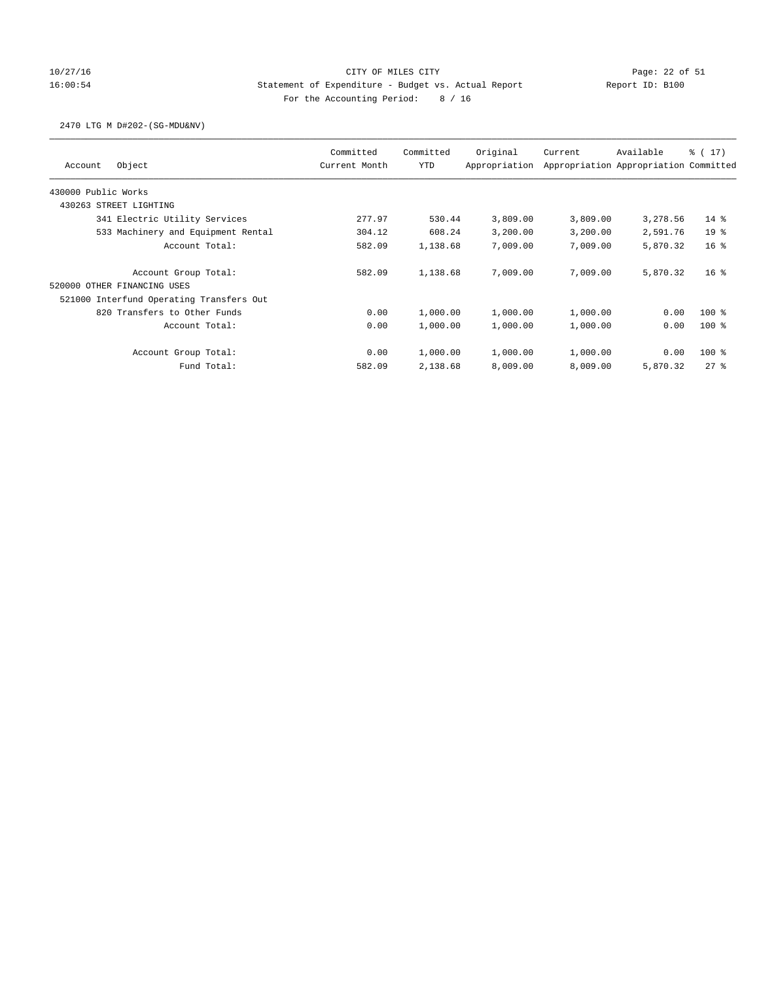# 10/27/16 Page: 22 of 51 16:00:54 Statement of Expenditure - Budget vs. Actual Report Report ID: B100 For the Accounting Period: 8 / 16

### 2470 LTG M D#202-(SG-MDU&NV)

| Object<br>Account                        | Committed<br>Current Month | Committed<br>YTD | Original<br>Appropriation | Current  | Available<br>Appropriation Appropriation Committed | $\frac{1}{2}$ ( 17 ) |
|------------------------------------------|----------------------------|------------------|---------------------------|----------|----------------------------------------------------|----------------------|
| 430000 Public Works                      |                            |                  |                           |          |                                                    |                      |
| 430263 STREET LIGHTING                   |                            |                  |                           |          |                                                    |                      |
| 341 Electric Utility Services            | 277.97                     | 530.44           | 3,809.00                  | 3,809.00 | 3,278.56                                           | $14*$                |
| 533 Machinery and Equipment Rental       | 304.12                     | 608.24           | 3,200.00                  | 3,200.00 | 2,591.76                                           | 19 <sup>8</sup>      |
| Account Total:                           | 582.09                     | 1,138.68         | 7,009.00                  | 7,009.00 | 5,870.32                                           | 16 <sup>8</sup>      |
| Account Group Total:                     | 582.09                     | 1,138.68         | 7,009.00                  | 7,009.00 | 5,870.32                                           | $16*$                |
| 520000 OTHER FINANCING USES              |                            |                  |                           |          |                                                    |                      |
| 521000 Interfund Operating Transfers Out |                            |                  |                           |          |                                                    |                      |
| 820 Transfers to Other Funds             | 0.00                       | 1,000.00         | 1,000.00                  | 1,000.00 | 0.00                                               | $100*$               |
| Account Total:                           | 0.00                       | 1,000.00         | 1,000.00                  | 1,000.00 | 0.00                                               | $100*$               |
| Account Group Total:                     | 0.00                       | 1,000.00         | 1,000.00                  | 1,000.00 | 0.00                                               | $100*$               |
| Fund Total:                              | 582.09                     | 2,138.68         | 8,009.00                  | 8,009.00 | 5,870.32                                           | 278                  |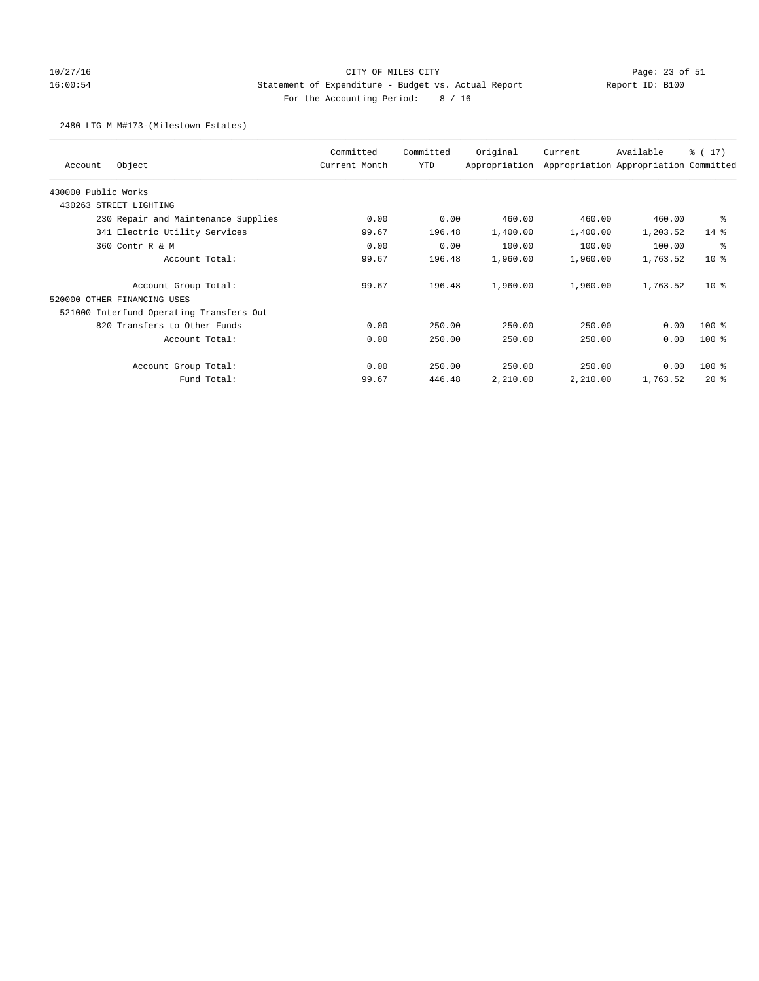## 10/27/16 CITY OF MILES CITY Page: 23 of 51 16:00:54 Statement of Expenditure - Budget vs. Actual Report Report ID: B100 For the Accounting Period: 8 / 16

### 2480 LTG M M#173-(Milestown Estates)

| Object<br>Account                        | Committed<br>Current Month | Committed<br><b>YTD</b> | Original<br>Appropriation | Current  | Available<br>Appropriation Appropriation Committed | $\frac{1}{6}$ ( 17) |
|------------------------------------------|----------------------------|-------------------------|---------------------------|----------|----------------------------------------------------|---------------------|
| 430000 Public Works                      |                            |                         |                           |          |                                                    |                     |
|                                          |                            |                         |                           |          |                                                    |                     |
| 430263 STREET LIGHTING                   |                            |                         |                           |          |                                                    |                     |
| 230 Repair and Maintenance Supplies      | 0.00                       | 0.00                    | 460.00                    | 460.00   | 460.00                                             | ႜ                   |
| 341 Electric Utility Services            | 99.67                      | 196.48                  | 1,400.00                  | 1,400.00 | 1,203.52                                           | $14*$               |
| 360 Contr R & M                          | 0.00                       | 0.00                    | 100.00                    | 100.00   | 100.00                                             | နွ                  |
| Account Total:                           | 99.67                      | 196.48                  | 1,960.00                  | 1,960.00 | 1,763.52                                           | $10*$               |
| Account Group Total:                     | 99.67                      | 196.48                  | 1,960.00                  | 1,960.00 | 1,763.52                                           | $10*$               |
| 520000 OTHER FINANCING USES              |                            |                         |                           |          |                                                    |                     |
| 521000 Interfund Operating Transfers Out |                            |                         |                           |          |                                                    |                     |
| 820 Transfers to Other Funds             | 0.00                       | 250.00                  | 250.00                    | 250.00   | 0.00                                               | $100$ %             |
| Account Total:                           | 0.00                       | 250.00                  | 250.00                    | 250.00   | 0.00                                               | $100$ %             |
| Account Group Total:                     | 0.00                       | 250.00                  | 250.00                    | 250.00   | 0.00                                               | 100 %               |
| Fund Total:                              | 99.67                      | 446.48                  | 2,210.00                  | 2,210.00 | 1,763.52                                           | $20*$               |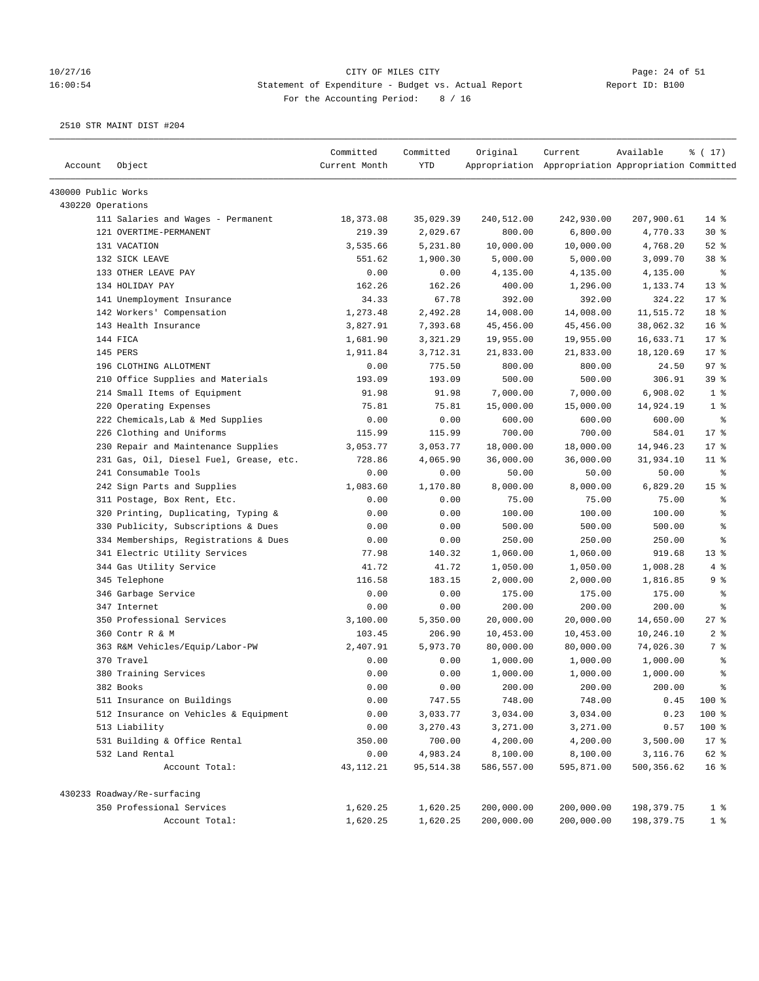# 10/27/16 Page: 24 of 51 16:00:54 Statement of Expenditure - Budget vs. Actual Report Changer Report ID: B100 For the Accounting Period: 8 / 16

| Account             | Object                                  | Committed<br>Current Month | Committed<br><b>YTD</b> | Original   | Current<br>Appropriation Appropriation Appropriation Committed | Available  | % (17)          |
|---------------------|-----------------------------------------|----------------------------|-------------------------|------------|----------------------------------------------------------------|------------|-----------------|
| 430000 Public Works |                                         |                            |                         |            |                                                                |            |                 |
| 430220 Operations   |                                         |                            |                         |            |                                                                |            |                 |
|                     | 111 Salaries and Wages - Permanent      | 18, 373.08                 | 35,029.39               | 240,512.00 | 242,930.00                                                     | 207,900.61 | $14$ %          |
|                     | 121 OVERTIME-PERMANENT                  | 219.39                     | 2,029.67                | 800.00     | 6,800.00                                                       | 4,770.33   | $30*$           |
|                     | 131 VACATION                            | 3,535.66                   | 5,231.80                | 10,000.00  | 10,000.00                                                      | 4,768.20   | $52$ $%$        |
|                     | 132 SICK LEAVE                          | 551.62                     | 1,900.30                | 5,000.00   | 5,000.00                                                       | 3,099.70   | 38 <sup>8</sup> |
|                     | 133 OTHER LEAVE PAY                     | 0.00                       | 0.00                    | 4,135.00   | 4,135.00                                                       | 4,135.00   | နွ              |
|                     | 134 HOLIDAY PAY                         | 162.26                     | 162.26                  | 400.00     | 1,296.00                                                       | 1,133.74   | $13*$           |
|                     | 141 Unemployment Insurance              | 34.33                      | 67.78                   | 392.00     | 392.00                                                         | 324.22     | $17*$           |
|                     | 142 Workers' Compensation               | 1,273.48                   | 2,492.28                | 14,008.00  | 14,008.00                                                      | 11,515.72  | 18 %            |
|                     | 143 Health Insurance                    | 3,827.91                   | 7,393.68                | 45,456.00  | 45,456.00                                                      | 38,062.32  | 16 <sup>°</sup> |
|                     | 144 FICA                                | 1,681.90                   | 3,321.29                | 19,955.00  | 19,955.00                                                      | 16,633.71  | $17*$           |
|                     | 145 PERS                                | 1,911.84                   | 3,712.31                | 21,833.00  | 21,833.00                                                      | 18,120.69  | $17*$           |
|                     | 196 CLOTHING ALLOTMENT                  | 0.00                       | 775.50                  | 800.00     | 800.00                                                         | 24.50      | 97%             |
|                     | 210 Office Supplies and Materials       | 193.09                     | 193.09                  | 500.00     | 500.00                                                         | 306.91     | 39 %            |
|                     | 214 Small Items of Equipment            | 91.98                      | 91.98                   | 7,000.00   | 7,000.00                                                       | 6,908.02   | 1 <sup>8</sup>  |
|                     | 220 Operating Expenses                  | 75.81                      | 75.81                   | 15,000.00  | 15,000.00                                                      | 14,924.19  | 1 <sup>8</sup>  |
|                     | 222 Chemicals, Lab & Med Supplies       | 0.00                       | 0.00                    | 600.00     | 600.00                                                         | 600.00     | $\epsilon$      |
|                     | 226 Clothing and Uniforms               | 115.99                     | 115.99                  | 700.00     | 700.00                                                         | 584.01     | $17*$           |
|                     | 230 Repair and Maintenance Supplies     | 3,053.77                   | 3,053.77                | 18,000.00  | 18,000.00                                                      | 14,946.23  | 17.8            |
|                     | 231 Gas, Oil, Diesel Fuel, Grease, etc. | 728.86                     | 4,065.90                | 36,000.00  | 36,000.00                                                      | 31,934.10  | $11$ %          |
|                     | 241 Consumable Tools                    | 0.00                       | 0.00                    | 50.00      | 50.00                                                          | 50.00      | နွ              |
|                     | 242 Sign Parts and Supplies             | 1,083.60                   | 1,170.80                | 8,000.00   | 8,000.00                                                       | 6,829.20   | 15 <sup>°</sup> |
|                     | 311 Postage, Box Rent, Etc.             | 0.00                       | 0.00                    | 75.00      | 75.00                                                          | 75.00      | ್ಠಿ             |
|                     | 320 Printing, Duplicating, Typing &     | 0.00                       | 0.00                    | 100.00     | 100.00                                                         | 100.00     | る               |
|                     | 330 Publicity, Subscriptions & Dues     | 0.00                       | 0.00                    | 500.00     | 500.00                                                         | 500.00     | $\epsilon$      |
|                     | 334 Memberships, Registrations & Dues   | 0.00                       | 0.00                    | 250.00     | 250.00                                                         | 250.00     | る               |
|                     | 341 Electric Utility Services           | 77.98                      | 140.32                  | 1,060.00   | 1,060.00                                                       | 919.68     | $13*$           |
|                     | 344 Gas Utility Service                 | 41.72                      | 41.72                   | 1,050.00   | 1,050.00                                                       | 1,008.28   | 4%              |
|                     | 345 Telephone                           | 116.58                     | 183.15                  | 2,000.00   | 2,000.00                                                       | 1,816.85   | 9 <sub>8</sub>  |
|                     | 346 Garbage Service                     | 0.00                       | 0.00                    | 175.00     | 175.00                                                         | 175.00     | ್ಠಿ             |
|                     | 347 Internet                            | 0.00                       | 0.00                    | 200.00     | 200.00                                                         | 200.00     | る               |
|                     | 350 Professional Services               | 3,100.00                   | 5,350.00                | 20,000.00  | 20,000.00                                                      | 14,650.00  | 27%             |
|                     | 360 Contr R & M                         | 103.45                     | 206.90                  | 10,453.00  | 10,453.00                                                      | 10,246.10  | 2 <sup>8</sup>  |
|                     | 363 R&M Vehicles/Equip/Labor-PW         | 2,407.91                   | 5,973.70                | 80,000.00  | 80,000.00                                                      | 74,026.30  | 7 %             |
|                     | 370 Travel                              | 0.00                       | 0.00                    | 1,000.00   | 1,000.00                                                       | 1,000.00   | ್ಠಿ             |
|                     | 380 Training Services                   | 0.00                       | 0.00                    | 1,000.00   | 1,000.00                                                       | 1,000.00   | $\epsilon$      |
|                     | 382 Books                               | 0.00                       | 0.00                    | 200.00     | 200.00                                                         | 200.00     | ి               |
|                     | 511 Insurance on Buildings              | 0.00                       | 747.55                  | 748.00     | 748.00                                                         | 0.45       | 100 %           |
|                     | 512 Insurance on Vehicles & Equipment   | 0.00                       | 3,033.77                | 3,034.00   | 3,034.00                                                       | 0.23       | 100 %           |
|                     | 513 Liability                           | 0.00                       | 3,270.43                | 3,271.00   | 3,271.00                                                       | 0.57       | 100 %           |
|                     | 531 Building & Office Rental            | 350.00                     | 700.00                  | 4,200.00   | 4,200.00                                                       | 3,500.00   | $17*$           |
|                     | 532 Land Rental                         | 0.00                       | 4,983.24                | 8,100.00   | 8,100.00                                                       | 3,116.76   | 62 %            |
|                     | Account Total:                          | 43, 112. 21                | 95,514.38               | 586,557.00 | 595,871.00                                                     | 500,356.62 | 16 <sup>°</sup> |
|                     | 430233 Roadway/Re-surfacing             |                            |                         |            |                                                                |            |                 |
|                     | 350 Professional Services               | 1,620.25                   | 1,620.25                | 200,000.00 | 200,000.00                                                     | 198,379.75 | 1 <sup>8</sup>  |
|                     | Account Total:                          | 1,620.25                   | 1,620.25                | 200,000.00 | 200,000.00                                                     | 198,379.75 | 1 <sup>8</sup>  |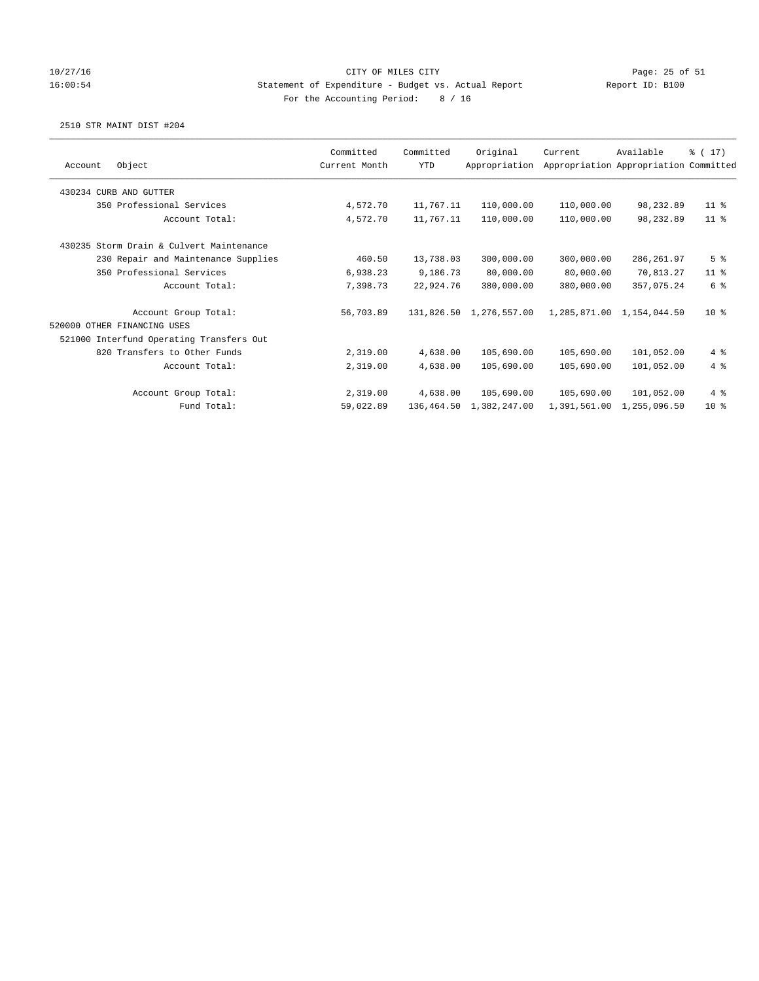### 10/27/16 CITY OF MILES CITY Page: 25 of 51 16:00:54 Statement of Expenditure - Budget vs. Actual Report Report ID: B100 For the Accounting Period: 8 / 16

|                                          | Committed     | Committed  | Original                | Current      | Available                             | $\frac{1}{6}$ ( 17) |
|------------------------------------------|---------------|------------|-------------------------|--------------|---------------------------------------|---------------------|
| Object<br>Account                        | Current Month | <b>YTD</b> | Appropriation           |              | Appropriation Appropriation Committed |                     |
| 430234 CURB AND GUTTER                   |               |            |                         |              |                                       |                     |
| 350 Professional Services                | 4,572.70      | 11,767.11  | 110,000.00              | 110,000.00   | 98,232.89                             | $11$ %              |
| Account Total:                           | 4,572.70      | 11,767.11  | 110,000.00              | 110,000.00   | 98,232.89                             | $11$ %              |
| 430235 Storm Drain & Culvert Maintenance |               |            |                         |              |                                       |                     |
| 230 Repair and Maintenance Supplies      | 460.50        | 13,738.03  | 300,000.00              | 300,000.00   | 286,261.97                            | 5 <sup>8</sup>      |
| 350 Professional Services                | 6,938.23      | 9,186.73   | 80,000.00               | 80,000.00    | 70,813.27                             | $11$ %              |
| Account Total:                           | 7,398.73      | 22,924.76  | 380,000.00              | 380,000.00   | 357,075.24                            | 6 %                 |
| Account Group Total:                     | 56,703.89     |            | 131,826.50 1,276,557.00 |              | 1,285,871.00 1,154,044.50             | $10*$               |
| 520000 OTHER FINANCING USES              |               |            |                         |              |                                       |                     |
| 521000 Interfund Operating Transfers Out |               |            |                         |              |                                       |                     |
| 820 Transfers to Other Funds             | 2,319.00      | 4,638.00   | 105,690.00              | 105,690.00   | 101,052.00                            | 4%                  |
| Account Total:                           | 2,319.00      | 4,638.00   | 105,690.00              | 105,690.00   | 101,052.00                            | 4%                  |
| Account Group Total:                     | 2,319.00      | 4,638.00   | 105,690.00              | 105,690.00   | 101,052.00                            | 4%                  |
| Fund Total:                              | 59,022.89     | 136,464.50 | 1,382,247.00            | 1,391,561.00 | 1,255,096.50                          | $10*$               |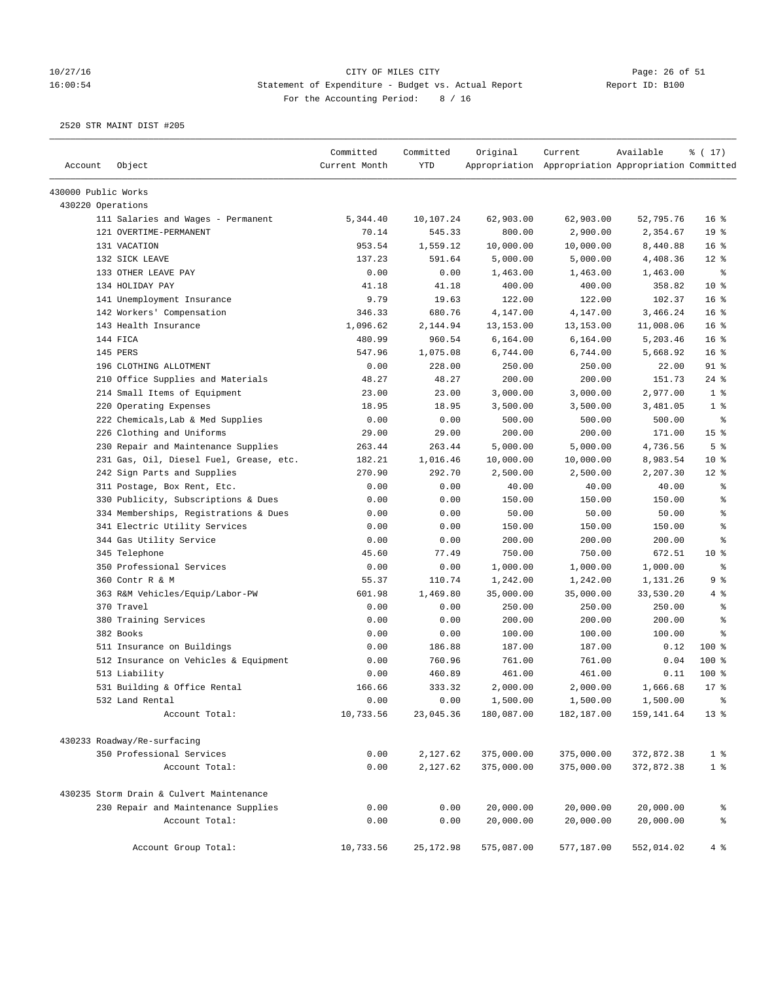# 10/27/16 Page: 26 of 51 16:00:54 Statement of Expenditure - Budget vs. Actual Report Changer Report ID: B100 For the Accounting Period: 8 / 16

|                     |                                          | Committed     | Committed  | Original   | Current                                             | Available  | % (17)          |
|---------------------|------------------------------------------|---------------|------------|------------|-----------------------------------------------------|------------|-----------------|
| Account             | Object                                   | Current Month | <b>YTD</b> |            | Appropriation Appropriation Appropriation Committed |            |                 |
| 430000 Public Works |                                          |               |            |            |                                                     |            |                 |
| 430220 Operations   |                                          |               |            |            |                                                     |            |                 |
|                     | 111 Salaries and Wages - Permanent       | 5,344.40      | 10,107.24  | 62,903.00  | 62,903.00                                           | 52,795.76  | 16 <sup>8</sup> |
|                     | 121 OVERTIME-PERMANENT                   | 70.14         | 545.33     | 800.00     | 2,900.00                                            | 2,354.67   | 19 %            |
|                     | 131 VACATION                             | 953.54        | 1,559.12   | 10,000.00  | 10,000.00                                           | 8,440.88   | 16 <sup>°</sup> |
|                     | 132 SICK LEAVE                           | 137.23        | 591.64     | 5,000.00   | 5,000.00                                            | 4,408.36   | $12*$           |
|                     | 133 OTHER LEAVE PAY                      | 0.00          | 0.00       | 1,463.00   | 1,463.00                                            | 1,463.00   | ႜ               |
|                     | 134 HOLIDAY PAY                          | 41.18         | 41.18      | 400.00     | 400.00                                              | 358.82     | $10*$           |
|                     | 141 Unemployment Insurance               | 9.79          | 19.63      | 122.00     | 122.00                                              | 102.37     | 16 <sup>8</sup> |
|                     | 142 Workers' Compensation                | 346.33        | 680.76     | 4,147.00   | 4,147.00                                            | 3,466.24   | 16 <sup>°</sup> |
|                     | 143 Health Insurance                     | 1,096.62      | 2,144.94   | 13,153.00  | 13, 153.00                                          | 11,008.06  | 16 <sup>°</sup> |
|                     | 144 FICA                                 | 480.99        | 960.54     | 6,164.00   | 6,164.00                                            | 5,203.46   | 16 <sup>8</sup> |
|                     | 145 PERS                                 | 547.96        | 1,075.08   | 6,744.00   | 6,744.00                                            | 5,668.92   | 16 <sup>°</sup> |
|                     | 196 CLOTHING ALLOTMENT                   | 0.00          | 228.00     | 250.00     | 250.00                                              | 22.00      | $91$ %          |
|                     | 210 Office Supplies and Materials        | 48.27         | 48.27      | 200.00     | 200.00                                              | 151.73     | 24%             |
|                     | 214 Small Items of Equipment             | 23.00         | 23.00      | 3,000.00   | 3,000.00                                            | 2,977.00   | 1 <sup>8</sup>  |
|                     | 220 Operating Expenses                   | 18.95         | 18.95      | 3,500.00   | 3,500.00                                            | 3,481.05   | 1 <sup>8</sup>  |
|                     | 222 Chemicals, Lab & Med Supplies        | 0.00          | 0.00       | 500.00     | 500.00                                              | 500.00     | ್ಠಿ             |
|                     | 226 Clothing and Uniforms                | 29.00         | 29.00      | 200.00     | 200.00                                              | 171.00     | 15 <sup>°</sup> |
|                     | 230 Repair and Maintenance Supplies      | 263.44        | 263.44     | 5,000.00   | 5,000.00                                            | 4,736.56   | 5 <sup>°</sup>  |
|                     | 231 Gas, Oil, Diesel Fuel, Grease, etc.  | 182.21        | 1,016.46   | 10,000.00  | 10,000.00                                           | 8,983.54   | $10*$           |
|                     | 242 Sign Parts and Supplies              | 270.90        | 292.70     | 2,500.00   | 2,500.00                                            | 2,207.30   | $12*$           |
|                     | 311 Postage, Box Rent, Etc.              | 0.00          | 0.00       | 40.00      | 40.00                                               | 40.00      | နွ              |
|                     | 330 Publicity, Subscriptions & Dues      | 0.00          | 0.00       | 150.00     | 150.00                                              | 150.00     | ್ಠಿ             |
|                     | 334 Memberships, Registrations & Dues    | 0.00          | 0.00       | 50.00      | 50.00                                               | 50.00      | ి               |
|                     | 341 Electric Utility Services            | 0.00          | 0.00       | 150.00     | 150.00                                              | 150.00     | $\epsilon$      |
|                     | 344 Gas Utility Service                  | 0.00          | 0.00       | 200.00     | 200.00                                              | 200.00     | နွ              |
|                     | 345 Telephone                            | 45.60         | 77.49      | 750.00     | 750.00                                              | 672.51     | $10*$           |
|                     | 350 Professional Services                | 0.00          | 0.00       | 1,000.00   | 1,000.00                                            | 1,000.00   | $\epsilon$      |
|                     | 360 Contr R & M                          | 55.37         | 110.74     | 1,242.00   | 1,242.00                                            | 1,131.26   | 9%              |
|                     | 363 R&M Vehicles/Equip/Labor-PW          | 601.98        | 1,469.80   | 35,000.00  | 35,000.00                                           | 33,530.20  | 4%              |
|                     | 370 Travel                               | 0.00          | 0.00       | 250.00     | 250.00                                              | 250.00     | နွ              |
|                     | 380 Training Services                    | 0.00          | 0.00       | 200.00     | 200.00                                              | 200.00     | နွ              |
|                     | 382 Books                                | 0.00          | 0.00       | 100.00     | 100.00                                              | 100.00     | နွ              |
|                     | 511 Insurance on Buildings               | 0.00          | 186.88     | 187.00     | 187.00                                              | 0.12       | 100%            |
|                     | 512 Insurance on Vehicles & Equipment    | 0.00          | 760.96     | 761.00     | 761.00                                              | 0.04       | 100 %           |
|                     | 513 Liability                            | 0.00          | 460.89     | 461.00     | 461.00                                              | 0.11       | $100$ %         |
|                     | 531 Building & Office Rental             | 166.66        | 333.32     | 2,000.00   | 2,000.00                                            | 1,666.68   | $17*$           |
|                     | 532 Land Rental                          | 0.00          | 0.00       | 1,500.00   | 1,500.00                                            | 1,500.00   | $\,$ $\,$ $\,$  |
|                     | Account Total:                           | 10,733.56     | 23,045.36  | 180,087.00 | 182,187.00                                          | 159,141.64 | $13*$           |
|                     | 430233 Roadway/Re-surfacing              |               |            |            |                                                     |            |                 |
|                     | 350 Professional Services                | 0.00          | 2,127.62   | 375,000.00 | 375,000.00                                          | 372,872.38 | 1 <sup>8</sup>  |
|                     | Account Total:                           | 0.00          | 2,127.62   | 375,000.00 | 375,000.00                                          | 372,872.38 | 1 <sup>8</sup>  |
|                     | 430235 Storm Drain & Culvert Maintenance |               |            |            |                                                     |            |                 |
|                     |                                          |               |            |            |                                                     | 20,000.00  |                 |
|                     | 230 Repair and Maintenance Supplies      | 0.00          | 0.00       | 20,000.00  | 20,000.00                                           |            | ိစ              |
|                     | Account Total:                           | 0.00          | 0.00       | 20,000.00  | 20,000.00                                           | 20,000.00  | $\,$ $\,$ $\,$  |
|                     | Account Group Total:                     | 10,733.56     | 25, 172.98 | 575,087.00 | 577,187.00                                          | 552,014.02 | 4%              |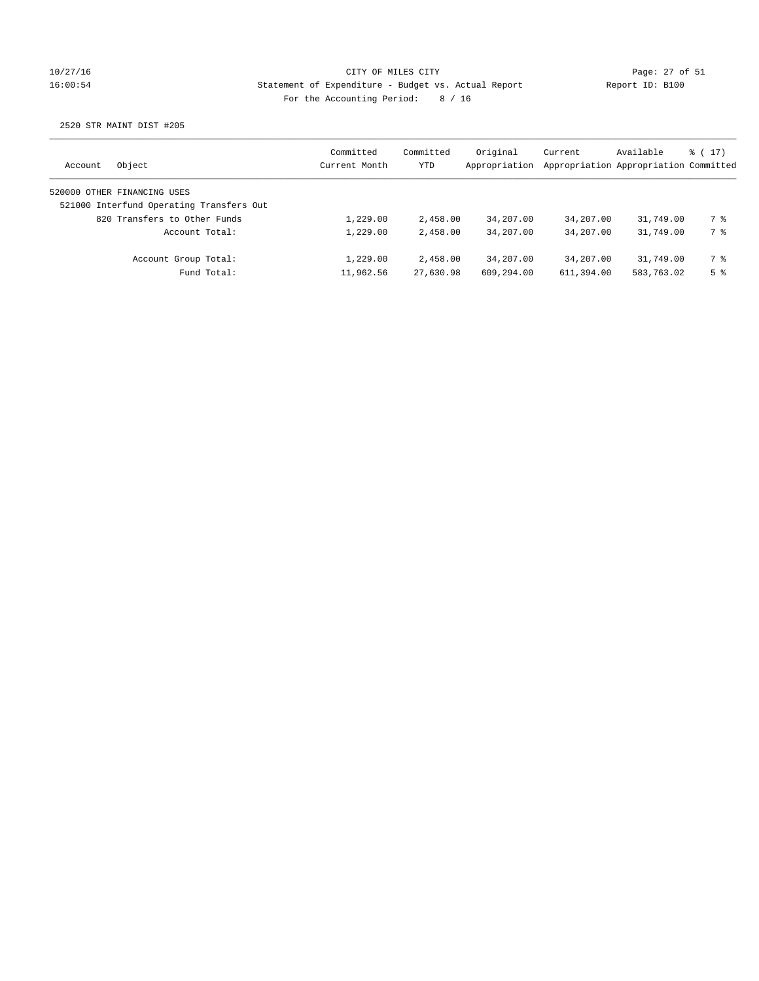## 10/27/16 CITY OF MILES CITY Page: 27 of 51 16:00:54 Statement of Expenditure - Budget vs. Actual Report Report ID: B100 For the Accounting Period: 8 / 16

| Object<br>Account                        | Committed<br>Current Month | Committed<br>YTD | Original<br>Appropriation | Current    | Available<br>Appropriation Appropriation Committed | $\frac{1}{2}$ (17) |
|------------------------------------------|----------------------------|------------------|---------------------------|------------|----------------------------------------------------|--------------------|
| 520000 OTHER FINANCING USES              |                            |                  |                           |            |                                                    |                    |
| 521000 Interfund Operating Transfers Out |                            |                  |                           |            |                                                    |                    |
| 820 Transfers to Other Funds             | 1,229.00                   | 2,458.00         | 34,207.00                 | 34,207.00  | 31,749.00                                          | 7 %                |
| Account Total:                           | 1,229.00                   | 2,458.00         | 34,207.00                 | 34,207.00  | 31,749.00                                          | 7 %                |
| Account Group Total:                     | 1,229.00                   | 2,458.00         | 34,207.00                 | 34,207.00  | 31,749.00                                          | 7 %                |
| Fund Total:                              | 11,962.56                  | 27,630.98        | 609,294.00                | 611,394.00 | 583,763.02                                         | 5 <sup>8</sup>     |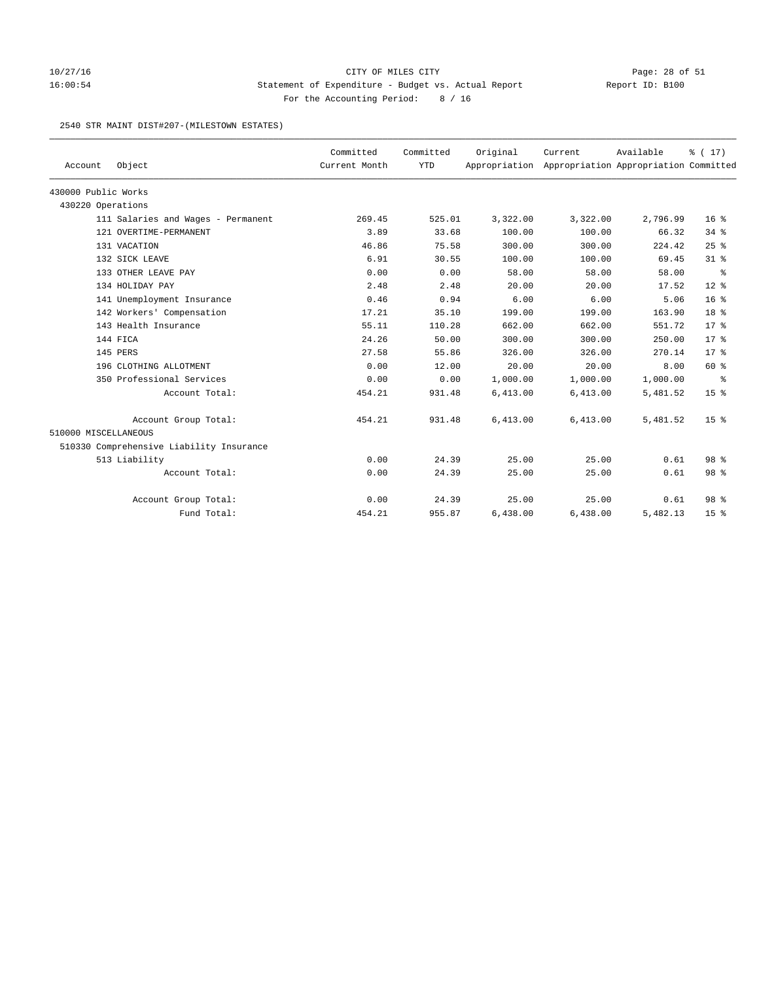## 10/27/16 CITY OF MILES CITY Page: 28 of 51 16:00:54 Statement of Expenditure - Budget vs. Actual Report Report ID: B100 For the Accounting Period: 8 / 16

#### 2540 STR MAINT DIST#207-(MILESTOWN ESTATES)

|                      |                                          | Committed     | Committed  | Original | Current                                             | Available | % (17)          |
|----------------------|------------------------------------------|---------------|------------|----------|-----------------------------------------------------|-----------|-----------------|
| Account              | Object                                   | Current Month | <b>YTD</b> |          | Appropriation Appropriation Appropriation Committed |           |                 |
| 430000 Public Works  |                                          |               |            |          |                                                     |           |                 |
| 430220 Operations    |                                          |               |            |          |                                                     |           |                 |
|                      | 111 Salaries and Wages - Permanent       | 269.45        | 525.01     | 3,322.00 | 3,322.00                                            | 2,796.99  | $16*$           |
|                      | 121 OVERTIME-PERMANENT                   | 3.89          | 33.68      | 100.00   | 100.00                                              | 66.32     | $34$ $%$        |
|                      | 131 VACATION                             | 46.86         | 75.58      | 300.00   | 300.00                                              | 224.42    | 25%             |
|                      | 132 SICK LEAVE                           | 6.91          | 30.55      | 100.00   | 100.00                                              | 69.45     | $31$ %          |
|                      | 133 OTHER LEAVE PAY                      | 0.00          | 0.00       | 58.00    | 58.00                                               | 58.00     | ႜ               |
|                      | 134 HOLIDAY PAY                          | 2.48          | 2.48       | 20.00    | 20.00                                               | 17.52     | $12*$           |
|                      | 141 Unemployment Insurance               | 0.46          | 0.94       | 6.00     | 6.00                                                | 5.06      | 16 <sup>8</sup> |
|                      | 142 Workers' Compensation                | 17.21         | 35.10      | 199.00   | 199.00                                              | 163.90    | 18 <sup>8</sup> |
|                      | 143 Health Insurance                     | 55.11         | 110.28     | 662.00   | 662.00                                              | 551.72    | $17*$           |
|                      | 144 FICA                                 | 24.26         | 50.00      | 300.00   | 300.00                                              | 250.00    | $17*$           |
|                      | 145 PERS                                 | 27.58         | 55.86      | 326.00   | 326.00                                              | 270.14    | $17*$           |
|                      | 196 CLOTHING ALLOTMENT                   | 0.00          | 12.00      | 20.00    | 20.00                                               | 8.00      | 60 %            |
|                      | 350 Professional Services                | 0.00          | 0.00       | 1,000.00 | 1,000.00                                            | 1,000.00  | နွ              |
|                      | Account Total:                           | 454.21        | 931.48     | 6,413.00 | 6,413.00                                            | 5,481.52  | 15 <sup>°</sup> |
|                      | Account Group Total:                     | 454.21        | 931.48     | 6,413.00 | 6,413.00                                            | 5,481.52  | 15 <sup>8</sup> |
| 510000 MISCELLANEOUS |                                          |               |            |          |                                                     |           |                 |
|                      | 510330 Comprehensive Liability Insurance |               |            |          |                                                     |           |                 |
|                      | 513 Liability                            | 0.00          | 24.39      | 25.00    | 25.00                                               | 0.61      | 98 %            |
|                      | Account Total:                           | 0.00          | 24.39      | 25.00    | 25.00                                               | 0.61      | 98 %            |
|                      | Account Group Total:                     | 0.00          | 24.39      | 25.00    | 25.00                                               | 0.61      | 98 <sup>8</sup> |
|                      | Fund Total:                              | 454.21        | 955.87     | 6,438.00 | 6,438.00                                            | 5,482.13  | 15 <sup>8</sup> |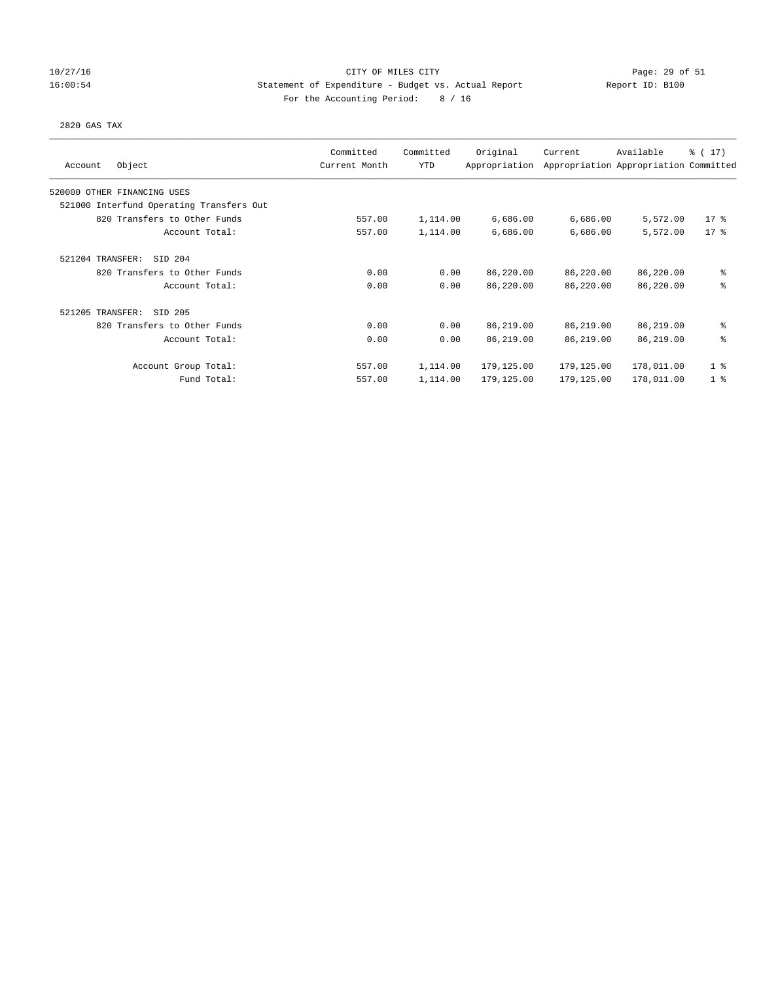## 10/27/16 CITY OF MILES CITY Page: 29 of 51 16:00:54 Statement of Expenditure - Budget vs. Actual Report Report ID: B100 For the Accounting Period: 8 / 16

#### 2820 GAS TAX

| Object<br>Account                        | Committed<br>Current Month | Committed<br><b>YTD</b> | Original<br>Appropriation | Current    | Available<br>Appropriation Appropriation Committed | $\frac{1}{6}$ ( 17) |
|------------------------------------------|----------------------------|-------------------------|---------------------------|------------|----------------------------------------------------|---------------------|
|                                          |                            |                         |                           |            |                                                    |                     |
| 520000 OTHER FINANCING USES              |                            |                         |                           |            |                                                    |                     |
| 521000 Interfund Operating Transfers Out |                            |                         |                           |            |                                                    |                     |
| 820 Transfers to Other Funds             | 557.00                     | 1,114.00                | 6,686.00                  | 6,686.00   | 5,572.00                                           | $17*$               |
| Account Total:                           | 557.00                     | 1,114.00                | 6,686.00                  | 6,686.00   | 5,572.00                                           | $17*$               |
| 521204 TRANSFER:<br>SID 204              |                            |                         |                           |            |                                                    |                     |
| 820 Transfers to Other Funds             | 0.00                       | 0.00                    | 86,220.00                 | 86,220.00  | 86,220.00                                          | နွ                  |
| Account Total:                           | 0.00                       | 0.00                    | 86,220.00                 | 86,220.00  | 86,220.00                                          | ి                   |
| 521205 TRANSFER:<br>SID 205              |                            |                         |                           |            |                                                    |                     |
| 820 Transfers to Other Funds             | 0.00                       | 0.00                    | 86,219.00                 | 86,219.00  | 86,219.00                                          | ి                   |
| Account Total:                           | 0.00                       | 0.00                    | 86,219.00                 | 86,219.00  | 86,219.00                                          | る                   |
| Account Group Total:                     | 557.00                     | 1,114.00                | 179,125.00                | 179,125.00 | 178,011.00                                         | 1 <sup>8</sup>      |
| Fund Total:                              | 557.00                     | 1,114.00                | 179,125.00                | 179,125.00 | 178,011.00                                         | 1 <sup>8</sup>      |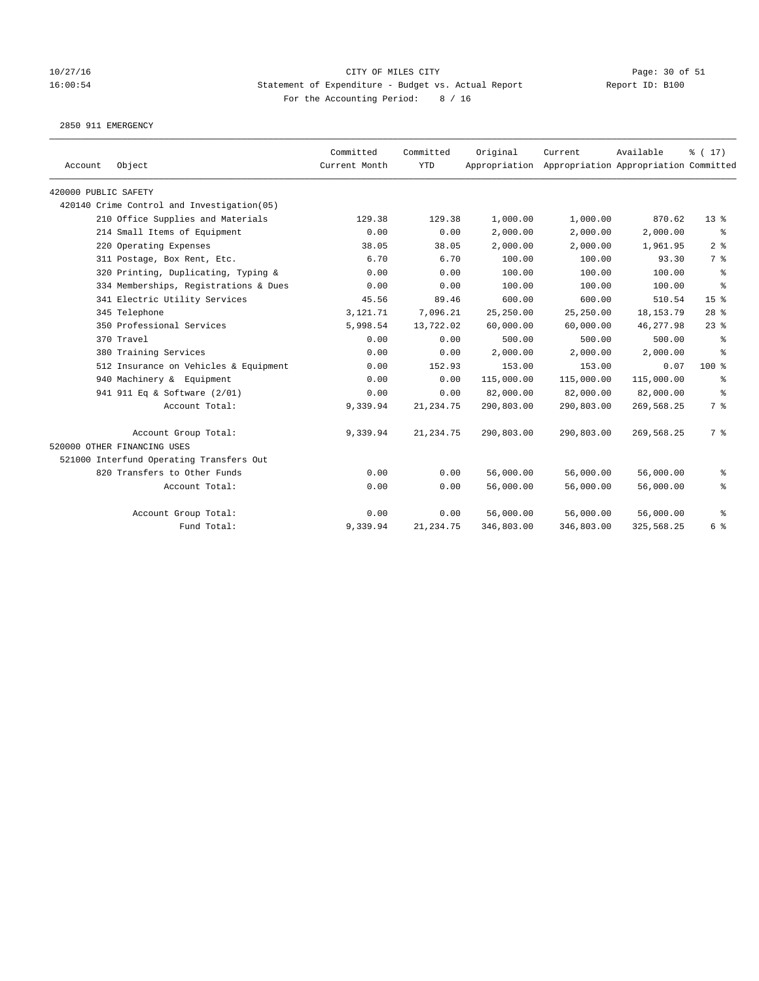## 10/27/16 Page: 30 of 51 16:00:54 Statement of Expenditure - Budget vs. Actual Report Report ID: B100 For the Accounting Period: 8 / 16

2850 911 EMERGENCY

| Account              | Object                                     | Committed<br>Current Month | Committed<br><b>YTD</b> | Original   | Current<br>Appropriation Appropriation Appropriation Committed | Available   | $\frac{1}{6}$ ( 17 ) |
|----------------------|--------------------------------------------|----------------------------|-------------------------|------------|----------------------------------------------------------------|-------------|----------------------|
| 420000 PUBLIC SAFETY |                                            |                            |                         |            |                                                                |             |                      |
|                      | 420140 Crime Control and Investigation(05) |                            |                         |            |                                                                |             |                      |
|                      | 210 Office Supplies and Materials          | 129.38                     | 129.38                  | 1,000.00   | 1,000.00                                                       | 870.62      | 13 <sup>°</sup>      |
|                      | 214 Small Items of Equipment               | 0.00                       | 0.00                    | 2,000.00   | 2,000.00                                                       | 2,000.00    | ႜ                    |
|                      | 220 Operating Expenses                     | 38.05                      | 38.05                   | 2,000.00   | 2,000.00                                                       | 1,961.95    | 2 <sup>8</sup>       |
|                      | 311 Postage, Box Rent, Etc.                | 6.70                       | 6.70                    | 100.00     | 100.00                                                         | 93.30       | 7 %                  |
|                      | 320 Printing, Duplicating, Typing &        | 0.00                       | 0.00                    | 100.00     | 100.00                                                         | 100.00      | နွ                   |
|                      | 334 Memberships, Registrations & Dues      | 0.00                       | 0.00                    | 100.00     | 100.00                                                         | 100.00      | နွ                   |
|                      | 341 Electric Utility Services              | 45.56                      | 89.46                   | 600.00     | 600.00                                                         | 510.54      | $15*$                |
|                      | 345 Telephone                              | 3,121.71                   | 7,096.21                | 25,250.00  | 25,250.00                                                      | 18, 153. 79 | $28$ %               |
|                      | 350 Professional Services                  | 5,998.54                   | 13,722.02               | 60,000.00  | 60,000.00                                                      | 46, 277.98  | $23$ $%$             |
|                      | 370 Travel                                 | 0.00                       | 0.00                    | 500.00     | 500.00                                                         | 500.00      | နွ                   |
|                      | 380 Training Services                      | 0.00                       | 0.00                    | 2,000.00   | 2,000.00                                                       | 2,000.00    | ႜ                    |
|                      | 512 Insurance on Vehicles & Equipment      | 0.00                       | 152.93                  | 153.00     | 153.00                                                         | 0.07        | $100$ %              |
|                      | 940 Machinery & Equipment                  | 0.00                       | 0.00                    | 115,000.00 | 115,000.00                                                     | 115,000.00  | ႜ                    |
|                      | 941 911 Eq & Software (2/01)               | 0.00                       | 0.00                    | 82,000.00  | 82,000.00                                                      | 82,000.00   | နွ                   |
|                      | Account Total:                             | 9,339.94                   | 21, 234.75              | 290,803.00 | 290,803.00                                                     | 269,568.25  | 7 %                  |
|                      | Account Group Total:                       | 9,339.94                   | 21, 234.75              | 290,803.00 | 290,803.00                                                     | 269,568.25  | 7%                   |
|                      | 520000 OTHER FINANCING USES                |                            |                         |            |                                                                |             |                      |
|                      | 521000 Interfund Operating Transfers Out   |                            |                         |            |                                                                |             |                      |
|                      | 820 Transfers to Other Funds               | 0.00                       | 0.00                    | 56,000.00  | 56,000.00                                                      | 56,000.00   | နွ                   |
|                      | Account Total:                             | 0.00                       | 0.00                    | 56,000.00  | 56,000.00                                                      | 56,000.00   | နွ                   |
|                      | Account Group Total:                       | 0.00                       | 0.00                    | 56,000.00  | 56,000.00                                                      | 56,000.00   | ႜ                    |
|                      | Fund Total:                                | 9,339.94                   | 21, 234.75              | 346,803.00 | 346,803.00                                                     | 325,568.25  | 6 %                  |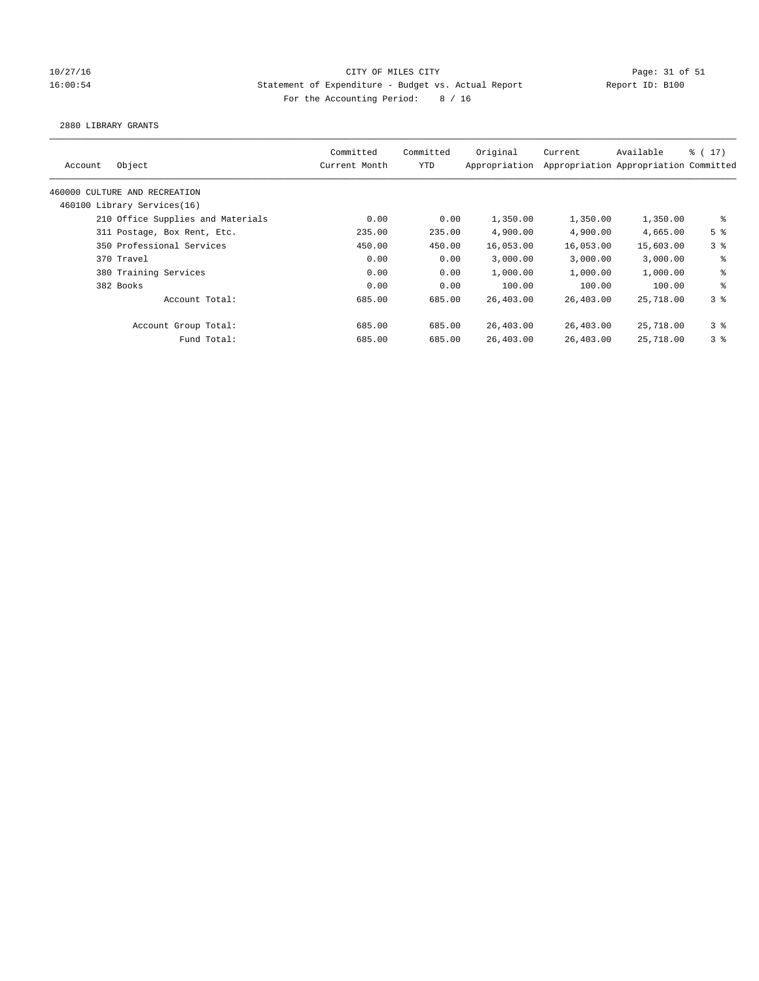## 10/27/16 CITY OF MILES CITY Page: 31 of 51 16:00:54 Statement of Expenditure - Budget vs. Actual Report Report ID: B100 For the Accounting Period: 8 / 16

#### 2880 LIBRARY GRANTS

| Object<br>Account                 | Committed<br>Current Month | Committed<br>YTD | Original<br>Appropriation | Current   | Available<br>Appropriation Appropriation Committed | $\frac{1}{2}$ (17) |
|-----------------------------------|----------------------------|------------------|---------------------------|-----------|----------------------------------------------------|--------------------|
| 460000 CULTURE AND RECREATION     |                            |                  |                           |           |                                                    |                    |
| 460100 Library Services(16)       |                            |                  |                           |           |                                                    |                    |
| 210 Office Supplies and Materials | 0.00                       | 0.00             | 1,350.00                  | 1,350.00  | 1,350.00                                           | ႜ                  |
| 311 Postage, Box Rent, Etc.       | 235.00                     | 235.00           | 4,900.00                  | 4,900.00  | 4,665.00                                           | 5 <sup>8</sup>     |
| 350 Professional Services         | 450.00                     | 450.00           | 16,053.00                 | 16,053.00 | 15,603.00                                          | 3 <sup>8</sup>     |
| 370 Travel                        | 0.00                       | 0.00             | 3,000.00                  | 3,000.00  | 3,000.00                                           | နွ                 |
| 380 Training Services             | 0.00                       | 0.00             | 1,000.00                  | 1,000.00  | 1,000.00                                           | နွ                 |
| 382 Books                         | 0.00                       | 0.00             | 100.00                    | 100.00    | 100.00                                             | ి                  |
| Account Total:                    | 685.00                     | 685.00           | 26,403.00                 | 26,403.00 | 25,718.00                                          | 3 <sup>8</sup>     |
| Account Group Total:              | 685.00                     | 685.00           | 26,403.00                 | 26,403.00 | 25,718.00                                          | 3 <sup>8</sup>     |
| Fund Total:                       | 685.00                     | 685.00           | 26,403.00                 | 26,403.00 | 25,718.00                                          | 38                 |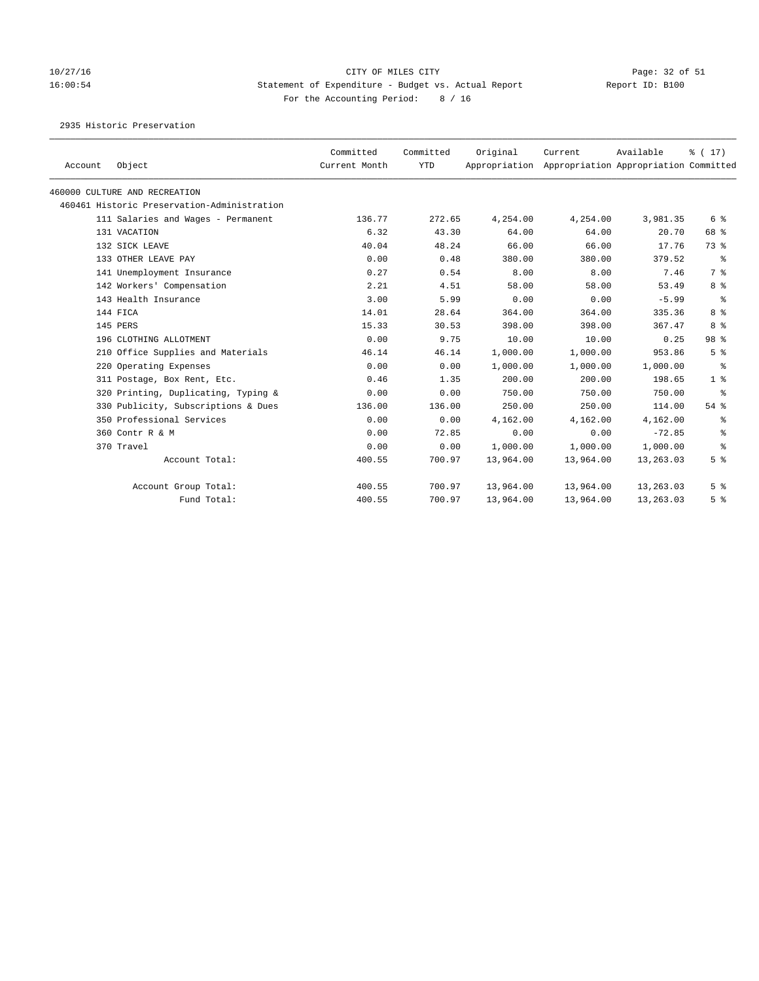# 10/27/16 Page: 32 of 51 16:00:54 Statement of Expenditure - Budget vs. Actual Report Report ID: B100 For the Accounting Period: 8 / 16

2935 Historic Preservation

| Account | Object                                      | Committed<br>Current Month | Committed<br><b>YTD</b> | Original  | Current   | Available<br>Appropriation Appropriation Appropriation Committed | $\frac{1}{6}$ ( 17 ) |
|---------|---------------------------------------------|----------------------------|-------------------------|-----------|-----------|------------------------------------------------------------------|----------------------|
|         | 460000 CULTURE AND RECREATION               |                            |                         |           |           |                                                                  |                      |
|         | 460461 Historic Preservation-Administration |                            |                         |           |           |                                                                  |                      |
|         | 111 Salaries and Wages - Permanent          | 136.77                     | 272.65                  | 4,254.00  | 4,254.00  | 3,981.35                                                         | 6 %                  |
|         | 131 VACATION                                | 6.32                       | 43.30                   | 64.00     | 64.00     | 20.70                                                            | 68 %                 |
|         | 132 SICK LEAVE                              | 40.04                      | 48.24                   | 66.00     | 66.00     | 17.76                                                            | 73 %                 |
|         | 133 OTHER LEAVE PAY                         | 0.00                       | 0.48                    | 380.00    | 380.00    | 379.52                                                           | ႜ                    |
|         | 141 Unemployment Insurance                  | 0.27                       | 0.54                    | 8.00      | 8.00      | 7.46                                                             | 7 %                  |
|         | 142 Workers' Compensation                   | 2.21                       | 4.51                    | 58.00     | 58.00     | 53.49                                                            | 8 %                  |
|         | 143 Health Insurance                        | 3.00                       | 5.99                    | 0.00      | 0.00      | $-5.99$                                                          | နွ                   |
|         | 144 FICA                                    | 14.01                      | 28.64                   | 364.00    | 364.00    | 335.36                                                           | 8 %                  |
|         | 145 PERS                                    | 15.33                      | 30.53                   | 398.00    | 398.00    | 367.47                                                           | 8 %                  |
|         | 196 CLOTHING ALLOTMENT                      | 0.00                       | 9.75                    | 10.00     | 10.00     | 0.25                                                             | 98 <sup>8</sup>      |
|         | 210 Office Supplies and Materials           | 46.14                      | 46.14                   | 1,000.00  | 1,000.00  | 953.86                                                           | 5 <sup>8</sup>       |
|         | 220 Operating Expenses                      | 0.00                       | 0.00                    | 1,000.00  | 1,000.00  | 1,000.00                                                         | ႜ                    |
|         | 311 Postage, Box Rent, Etc.                 | 0.46                       | 1.35                    | 200.00    | 200.00    | 198.65                                                           | 1 <sup>8</sup>       |
|         | 320 Printing, Duplicating, Typing &         | 0.00                       | 0.00                    | 750.00    | 750.00    | 750.00                                                           | ႜ                    |
|         | 330 Publicity, Subscriptions & Dues         | 136.00                     | 136.00                  | 250.00    | 250.00    | 114.00                                                           | $54$ %               |
|         | 350 Professional Services                   | 0.00                       | 0.00                    | 4,162.00  | 4,162.00  | 4,162.00                                                         | နွ                   |
|         | 360 Contr R & M                             | 0.00                       | 72.85                   | 0.00      | 0.00      | $-72.85$                                                         | နွ                   |
|         | 370 Travel                                  | 0.00                       | 0.00                    | 1,000.00  | 1,000.00  | 1,000.00                                                         | နွ                   |
|         | Account Total:                              | 400.55                     | 700.97                  | 13,964.00 | 13,964.00 | 13,263.03                                                        | 5 <sup>8</sup>       |
|         | Account Group Total:                        | 400.55                     | 700.97                  | 13,964.00 | 13,964.00 | 13,263.03                                                        | 5 <sup>8</sup>       |
|         | Fund Total:                                 | 400.55                     | 700.97                  | 13,964.00 | 13,964.00 | 13,263.03                                                        | 5 <sup>8</sup>       |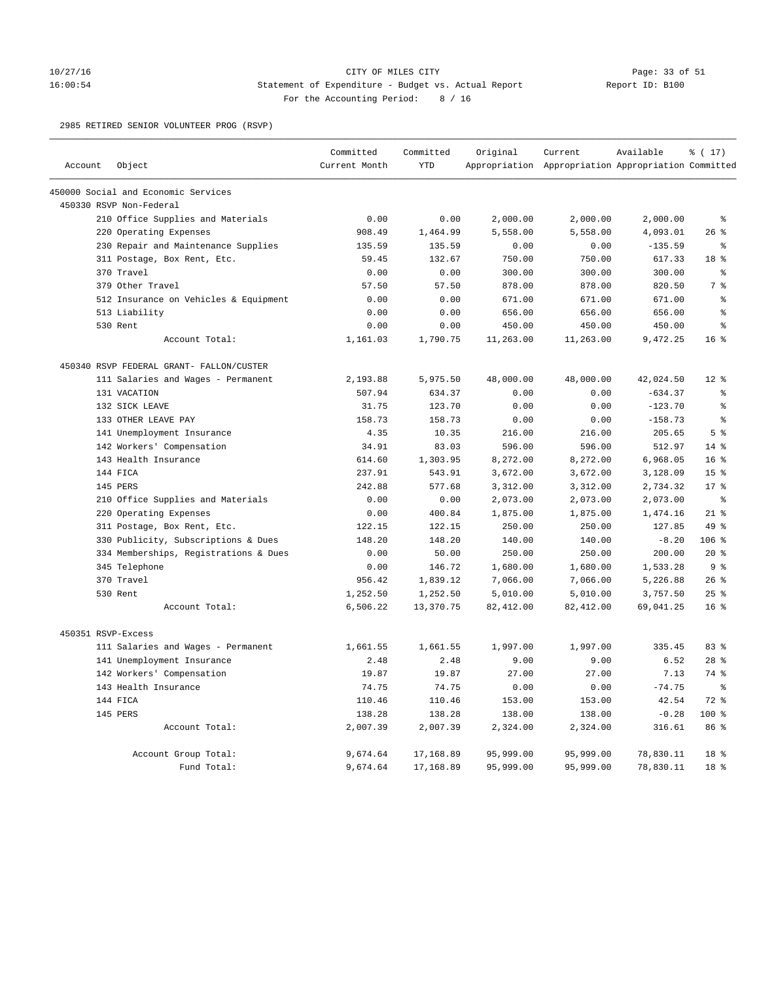### 10/27/16 CITY OF MILES CITY Page: 33 of 51 16:00:54 Statement of Expenditure - Budget vs. Actual Report Report ID: B100 For the Accounting Period: 8 / 16

2985 RETIRED SENIOR VOLUNTEER PROG (RSVP)

|                    |                                          | Committed     | Committed  | Original   | Current                                             | Available | % (17)          |
|--------------------|------------------------------------------|---------------|------------|------------|-----------------------------------------------------|-----------|-----------------|
| Account            | Object                                   | Current Month | <b>YTD</b> |            | Appropriation Appropriation Appropriation Committed |           |                 |
|                    | 450000 Social and Economic Services      |               |            |            |                                                     |           |                 |
|                    | 450330 RSVP Non-Federal                  |               |            |            |                                                     |           |                 |
|                    | 210 Office Supplies and Materials        | 0.00          | 0.00       | 2,000.00   | 2,000.00                                            | 2,000.00  | $\epsilon$      |
|                    | 220 Operating Expenses                   | 908.49        | 1,464.99   | 5,558.00   | 5,558.00                                            | 4,093.01  | 26%             |
|                    | 230 Repair and Maintenance Supplies      | 135.59        | 135.59     | 0.00       | 0.00                                                | $-135.59$ | ి               |
|                    | 311 Postage, Box Rent, Etc.              | 59.45         | 132.67     | 750.00     | 750.00                                              | 617.33    | 18 %            |
|                    | 370 Travel                               | 0.00          | 0.00       | 300.00     | 300.00                                              | 300.00    | ႜ               |
|                    | 379 Other Travel                         | 57.50         | 57.50      | 878.00     | 878.00                                              | 820.50    | 7 <sup>°</sup>  |
|                    | 512 Insurance on Vehicles & Equipment    | 0.00          | 0.00       | 671.00     | 671.00                                              | 671.00    | ៖               |
|                    | 513 Liability                            | 0.00          | 0.00       | 656.00     | 656.00                                              | 656.00    | $\approx$       |
|                    | 530 Rent                                 | 0.00          | 0.00       | 450.00     | 450.00                                              | 450.00    | $\approx$       |
|                    | Account Total:                           | 1,161.03      | 1,790.75   | 11,263.00  | 11,263.00                                           | 9,472.25  | 16 <sup>8</sup> |
|                    | 450340 RSVP FEDERAL GRANT- FALLON/CUSTER |               |            |            |                                                     |           |                 |
|                    | 111 Salaries and Wages - Permanent       | 2,193.88      | 5,975.50   | 48,000.00  | 48,000.00                                           | 42,024.50 | $12*$           |
|                    | 131 VACATION                             | 507.94        | 634.37     | 0.00       | 0.00                                                | $-634.37$ | ి               |
|                    | 132 SICK LEAVE                           | 31.75         | 123.70     | 0.00       | 0.00                                                | $-123.70$ | ៖               |
|                    | 133 OTHER LEAVE PAY                      | 158.73        | 158.73     | 0.00       | 0.00                                                | $-158.73$ | ま               |
|                    | 141 Unemployment Insurance               | 4.35          | 10.35      | 216.00     | 216.00                                              | 205.65    | 5 <sup>8</sup>  |
|                    | 142 Workers' Compensation                | 34.91         | 83.03      | 596.00     | 596.00                                              | 512.97    | $14*$           |
|                    | 143 Health Insurance                     | 614.60        | 1,303.95   | 8,272.00   | 8,272.00                                            | 6,968.05  | 16 <sup>8</sup> |
|                    | 144 FICA                                 | 237.91        | 543.91     | 3,672.00   | 3,672.00                                            | 3,128.09  | 15 <sup>8</sup> |
|                    | 145 PERS                                 | 242.88        | 577.68     | 3,312.00   | 3,312.00                                            | 2,734.32  | 17.8            |
|                    | 210 Office Supplies and Materials        | 0.00          | 0.00       | 2,073.00   | 2,073.00                                            | 2,073.00  | နွ              |
|                    | 220 Operating Expenses                   | 0.00          | 400.84     | 1,875.00   | 1,875.00                                            | 1,474.16  | $21$ %          |
|                    | 311 Postage, Box Rent, Etc.              | 122.15        | 122.15     | 250.00     | 250.00                                              | 127.85    | 49 %            |
|                    | 330 Publicity, Subscriptions & Dues      | 148.20        | 148.20     | 140.00     | 140.00                                              | $-8.20$   | 106 %           |
|                    | 334 Memberships, Registrations & Dues    | 0.00          | 50.00      | 250.00     | 250.00                                              | 200.00    | 20%             |
|                    | 345 Telephone                            | 0.00          | 146.72     | 1,680.00   | 1,680.00                                            | 1,533.28  | 9%              |
|                    | 370 Travel                               | 956.42        | 1,839.12   | 7,066.00   | 7,066.00                                            | 5,226.88  | $26$ %          |
|                    | 530 Rent                                 | 1,252.50      | 1,252.50   | 5,010.00   | 5,010.00                                            | 3,757.50  | $25$ $%$        |
|                    | Account Total:                           | 6,506.22      | 13,370.75  | 82, 412.00 | 82, 412.00                                          | 69,041.25 | $16*$           |
| 450351 RSVP-Excess |                                          |               |            |            |                                                     |           |                 |
|                    | 111 Salaries and Wages - Permanent       | 1,661.55      | 1,661.55   | 1,997.00   | 1,997.00                                            | 335.45    | 83 %            |
|                    | 141 Unemployment Insurance               | 2.48          | 2.48       | 9.00       | 9.00                                                | 6.52      | $28$ $%$        |
|                    | 142 Workers' Compensation                | 19.87         | 19.87      | 27.00      | 27.00                                               | 7.13      | 74 %            |
|                    | 143 Health Insurance                     | 74.75         | 74.75      | 0.00       | 0.00                                                | $-74.75$  | $\epsilon$      |
|                    | 144 FICA                                 | 110.46        | 110.46     | 153.00     | 153.00                                              | 42.54     | $72$ $%$        |
|                    | 145 PERS                                 | 138.28        | 138.28     | 138.00     | 138.00                                              | $-0.28$   | 100%            |
|                    | Account Total:                           | 2,007.39      | 2,007.39   | 2,324.00   | 2,324.00                                            | 316.61    | 86 %            |
|                    | Account Group Total:                     | 9,674.64      | 17,168.89  | 95,999.00  | 95,999.00                                           | 78,830.11 | 18 %            |
|                    | Fund Total:                              | 9,674.64      | 17,168.89  | 95,999.00  | 95,999.00                                           | 78,830.11 | 18 %            |
|                    |                                          |               |            |            |                                                     |           |                 |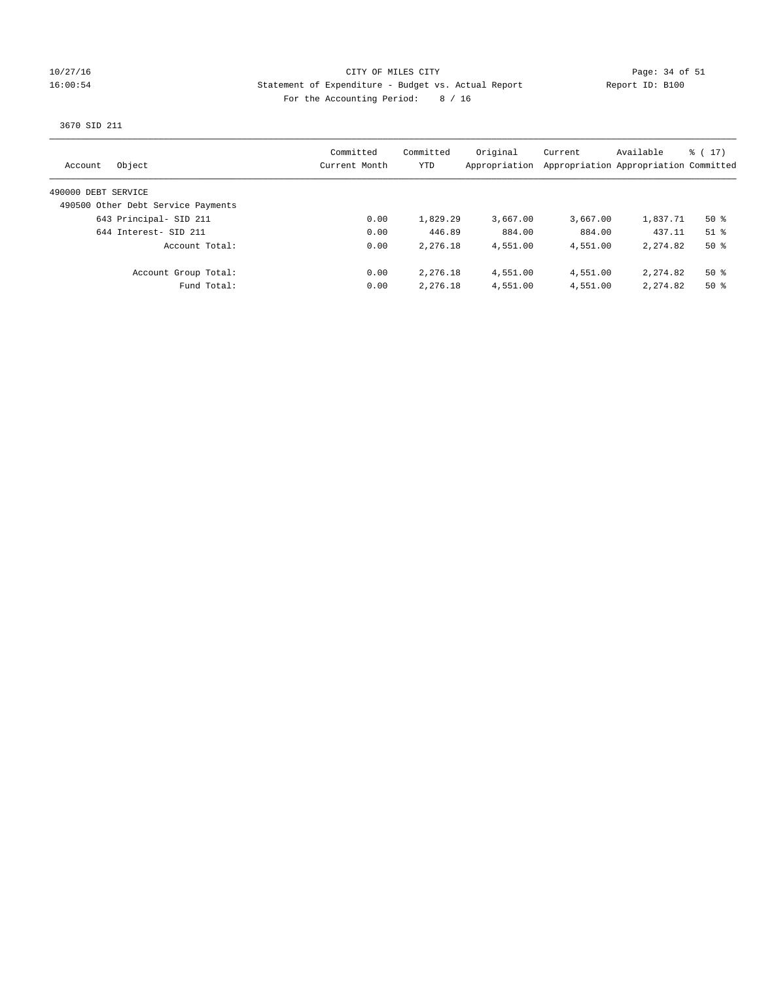## 10/27/16 CITY OF MILES CITY Page: 34 of 51 16:00:54 Statement of Expenditure - Budget vs. Actual Report Report ID: B100 For the Accounting Period: 8 / 16

# 3670 SID 211

| Object<br>Account                  | Committed<br>Current Month | Committed<br>YTD | Original<br>Appropriation | Current  | Available<br>Appropriation Appropriation Committed | $\frac{1}{6}$ ( 17 ) |
|------------------------------------|----------------------------|------------------|---------------------------|----------|----------------------------------------------------|----------------------|
| 490000 DEBT SERVICE                |                            |                  |                           |          |                                                    |                      |
| 490500 Other Debt Service Payments |                            |                  |                           |          |                                                    |                      |
| 643 Principal- SID 211             | 0.00                       | 1,829.29         | 3,667.00                  | 3,667.00 | 1,837.71                                           | $50*$                |
| 644 Interest- SID 211              | 0.00                       | 446.89           | 884.00                    | 884.00   | 437.11                                             | $51$ %               |
| Account Total:                     | 0.00                       | 2,276.18         | 4,551.00                  | 4,551.00 | 2, 274, 82                                         | $50*$                |
| Account Group Total:               | 0.00                       | 2,276.18         | 4,551.00                  | 4,551.00 | 2, 274, 82                                         | $50*$                |
| Fund Total:                        | 0.00                       | 2,276.18         | 4,551.00                  | 4,551.00 | 2, 274, 82                                         | $50*$                |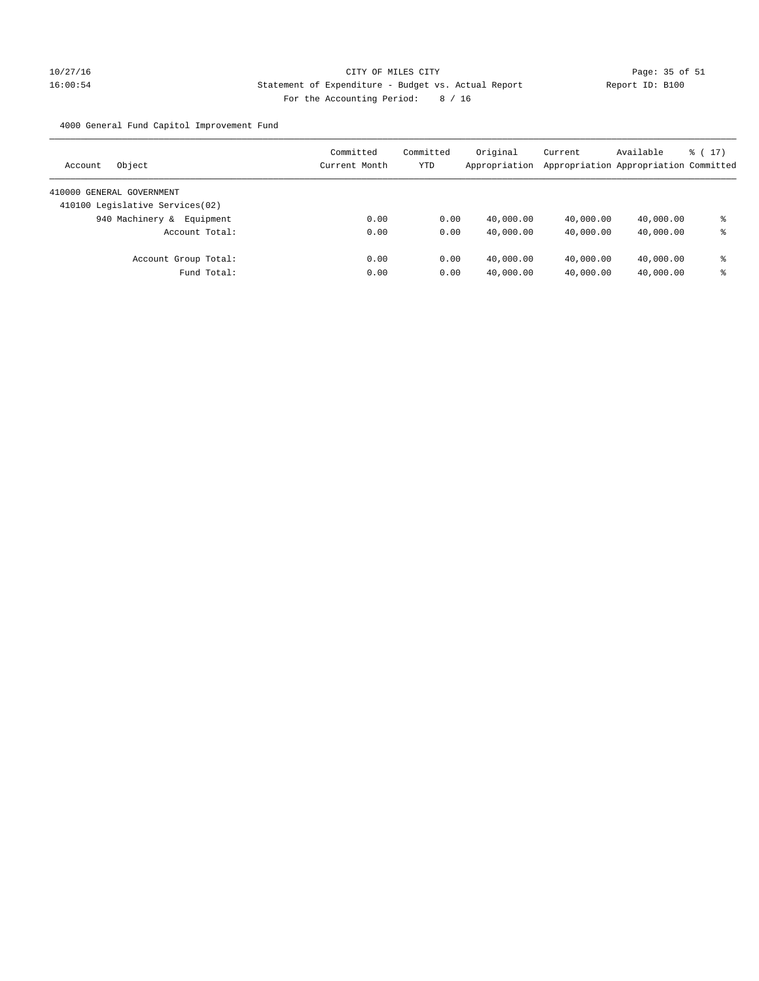# 10/27/16 Page: 35 of 51 16:00:54 Statement of Expenditure - Budget vs. Actual Report Changer (Report ID: B100 For the Accounting Period: 8 / 16

4000 General Fund Capitol Improvement Fund

| Object<br>Account               | Committed<br>Current Month | Committed<br>YTD | Original<br>Appropriation | Current<br>Appropriation Appropriation Committed | Available | $\frac{1}{6}$ ( 17 ) |
|---------------------------------|----------------------------|------------------|---------------------------|--------------------------------------------------|-----------|----------------------|
| 410000 GENERAL GOVERNMENT       |                            |                  |                           |                                                  |           |                      |
| 410100 Legislative Services(02) |                            |                  |                           |                                                  |           |                      |
| 940 Machinery &<br>Equipment    | 0.00                       | 0.00             | 40,000.00                 | 40,000.00                                        | 40,000.00 | ⊱                    |
| Account Total:                  | 0.00                       | 0.00             | 40,000.00                 | 40,000.00                                        | 40,000.00 | နွ                   |
| Account Group Total:            | 0.00                       | 0.00             | 40,000.00                 | 40,000.00                                        | 40,000.00 | နွ                   |
| Fund Total:                     | 0.00                       | 0.00             | 40,000.00                 | 40,000.00                                        | 40,000.00 | နွ                   |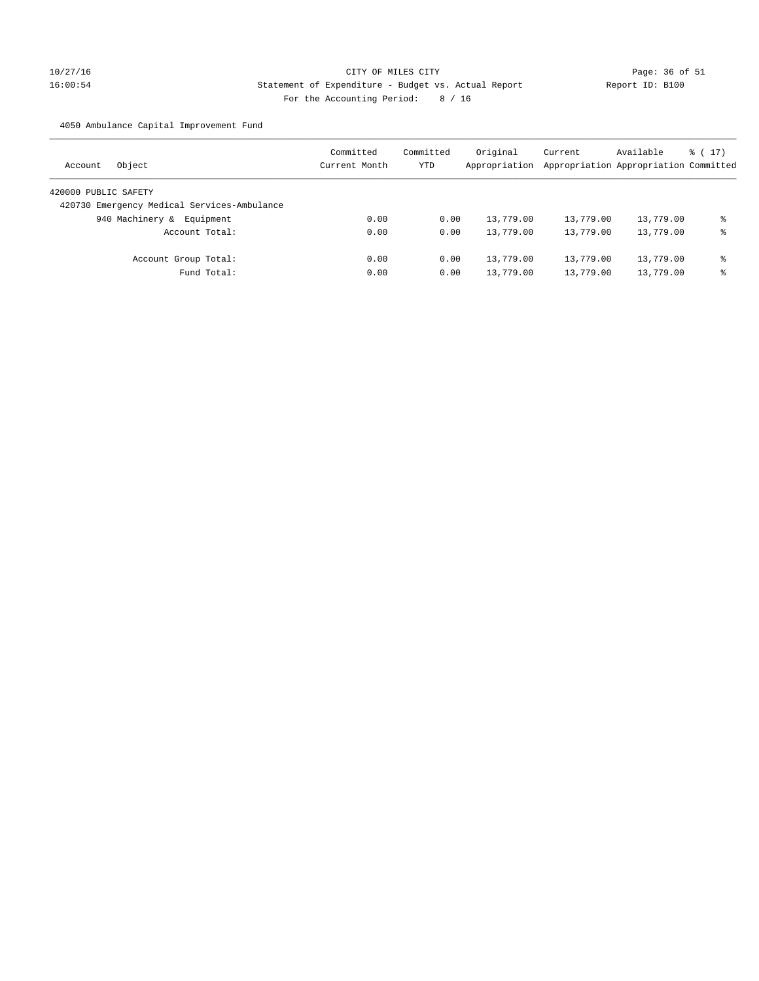# 10/27/16 Page: 36 of 51 16:00:54 Statement of Expenditure - Budget vs. Actual Report Report ID: B100 For the Accounting Period: 8 / 16

4050 Ambulance Capital Improvement Fund

| Object<br>Account                           | Committed<br>Current Month | Committed<br>YTD | Original<br>Appropriation | Current<br>Appropriation Appropriation Committed | Available | $\frac{1}{6}$ ( 17 ) |
|---------------------------------------------|----------------------------|------------------|---------------------------|--------------------------------------------------|-----------|----------------------|
| 420000 PUBLIC SAFETY                        |                            |                  |                           |                                                  |           |                      |
| 420730 Emergency Medical Services-Ambulance |                            |                  |                           |                                                  |           |                      |
| 940 Machinery &<br>Equipment                | 0.00                       | 0.00             | 13,779.00                 | 13,779.00                                        | 13,779.00 | ఄ                    |
| Account Total:                              | 0.00                       | 0.00             | 13,779.00                 | 13,779.00                                        | 13,779.00 | နွ                   |
| Account Group Total:                        | 0.00                       | 0.00             | 13,779.00                 | 13,779.00                                        | 13,779.00 | နွ                   |
| Fund Total:                                 | 0.00                       | 0.00             | 13,779.00                 | 13,779.00                                        | 13,779.00 | ఄ                    |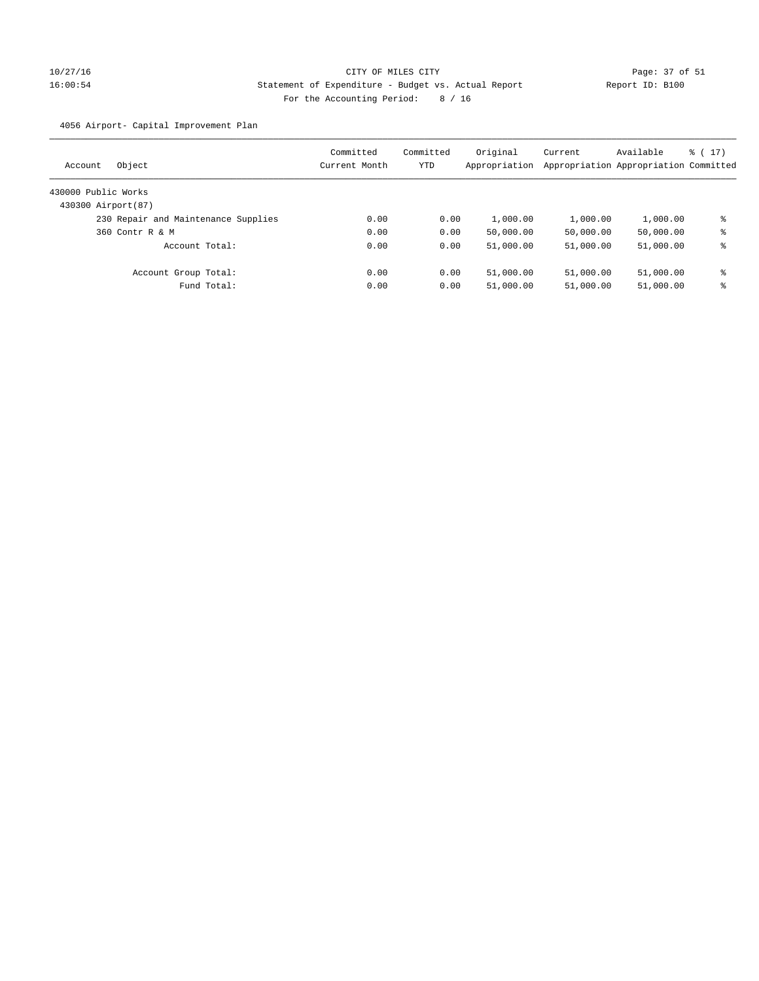# 10/27/16 Page: 37 of 51 16:00:54 Statement of Expenditure - Budget vs. Actual Report Report ID: B100 For the Accounting Period: 8 / 16

4056 Airport- Capital Improvement Plan

| Account             | Object                              | Committed<br>Current Month | Committed<br>YTD | Original<br>Appropriation | Current   | Available<br>Appropriation Appropriation Committed | $\frac{1}{6}$ ( 17 ) |
|---------------------|-------------------------------------|----------------------------|------------------|---------------------------|-----------|----------------------------------------------------|----------------------|
| 430000 Public Works |                                     |                            |                  |                           |           |                                                    |                      |
| 430300 Airport (87) |                                     |                            |                  |                           |           |                                                    |                      |
|                     | 230 Repair and Maintenance Supplies | 0.00                       | 0.00             | 1,000.00                  | 1,000.00  | 1,000.00                                           | နွ                   |
|                     | 360 Contr R & M                     | 0.00                       | 0.00             | 50,000.00                 | 50,000.00 | 50,000.00                                          | နွ                   |
|                     | Account Total:                      | 0.00                       | 0.00             | 51,000.00                 | 51,000.00 | 51,000.00                                          | နွ                   |
|                     | Account Group Total:                | 0.00                       | 0.00             | 51,000.00                 | 51,000.00 | 51,000.00                                          | နွ                   |
|                     | Fund Total:                         | 0.00                       | 0.00             | 51,000.00                 | 51,000.00 | 51,000.00                                          | နွ                   |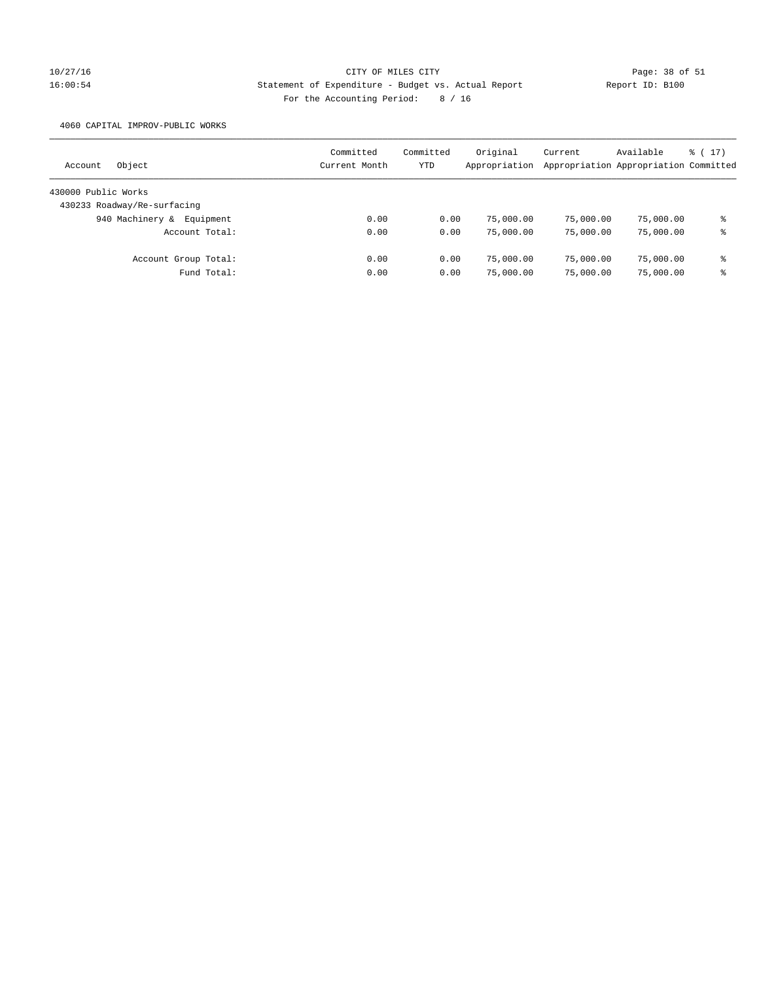# 10/27/16 CITY OF MILES CITY Page: 38 of 51 16:00:54 Statement of Expenditure - Budget vs. Actual Report Report ID: B100 For the Accounting Period: 8 / 16

4060 CAPITAL IMPROV-PUBLIC WORKS

| Object<br>Account            | Committed<br>Current Month | Committed<br>YTD | Original<br>Appropriation | Current   | Available<br>Appropriation Appropriation Committed | $\frac{1}{2}$ (17) |
|------------------------------|----------------------------|------------------|---------------------------|-----------|----------------------------------------------------|--------------------|
| 430000 Public Works          |                            |                  |                           |           |                                                    |                    |
| 430233 Roadway/Re-surfacing  |                            |                  |                           |           |                                                    |                    |
| 940 Machinery &<br>Equipment | 0.00                       | 0.00             | 75,000.00                 | 75,000.00 | 75,000.00                                          | ఄ                  |
| Account Total:               | 0.00                       | 0.00             | 75,000.00                 | 75,000.00 | 75,000.00                                          | ႜ                  |
| Account Group Total:         | 0.00                       | 0.00             | 75,000.00                 | 75,000.00 | 75,000.00                                          | နွ                 |
| Fund Total:                  | 0.00                       | 0.00             | 75,000.00                 | 75,000.00 | 75,000.00                                          | ఄ                  |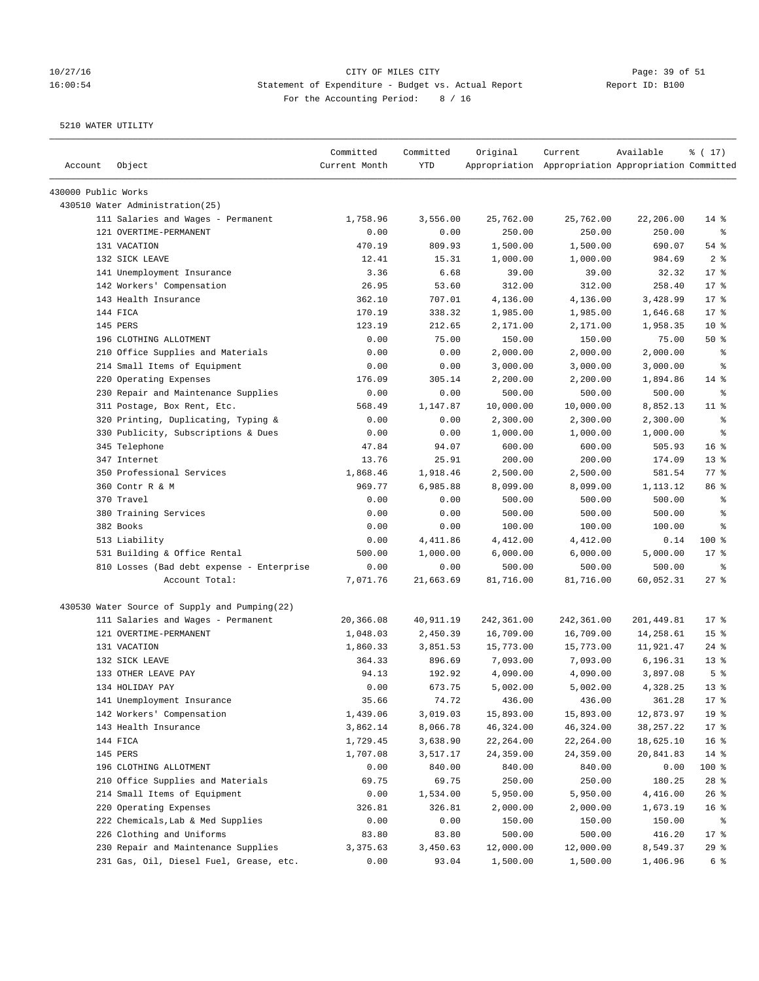## 10/27/16 Page: 39 of 51 16:00:54 Statement of Expenditure - Budget vs. Actual Report Changer Report ID: B100 For the Accounting Period: 8 / 16

| Account             | Object                                        | Committed<br>Current Month | Committed<br>YTD | Original   | Current<br>Appropriation Appropriation Appropriation Committed | Available  | % (17)          |
|---------------------|-----------------------------------------------|----------------------------|------------------|------------|----------------------------------------------------------------|------------|-----------------|
| 430000 Public Works |                                               |                            |                  |            |                                                                |            |                 |
|                     | 430510 Water Administration (25)              |                            |                  |            |                                                                |            |                 |
|                     | 111 Salaries and Wages - Permanent            | 1,758.96                   | 3,556.00         | 25,762.00  | 25,762.00                                                      | 22,206.00  | $14*$           |
|                     | 121 OVERTIME-PERMANENT                        | 0.00                       | 0.00             | 250.00     | 250.00                                                         | 250.00     | $\epsilon$      |
|                     | 131 VACATION                                  | 470.19                     | 809.93           | 1,500.00   | 1,500.00                                                       | 690.07     | 54%             |
|                     | 132 SICK LEAVE                                | 12.41                      | 15.31            | 1,000.00   | 1,000.00                                                       | 984.69     | 2 <sup>8</sup>  |
|                     | 141 Unemployment Insurance                    | 3.36                       | 6.68             | 39.00      | 39.00                                                          | 32.32      | $17*$           |
|                     | 142 Workers' Compensation                     | 26.95                      | 53.60            | 312.00     | 312.00                                                         | 258.40     | $17*$           |
|                     | 143 Health Insurance                          | 362.10                     | 707.01           | 4,136.00   | 4,136.00                                                       | 3,428.99   | $17*$           |
|                     | 144 FICA                                      | 170.19                     | 338.32           | 1,985.00   | 1,985.00                                                       | 1,646.68   | $17*$           |
|                     | 145 PERS                                      | 123.19                     | 212.65           | 2,171.00   | 2,171.00                                                       | 1,958.35   | $10*$           |
|                     | 196 CLOTHING ALLOTMENT                        | 0.00                       | 75.00            | 150.00     | 150.00                                                         | 75.00      | 50%             |
|                     | 210 Office Supplies and Materials             | 0.00                       | 0.00             | 2,000.00   | 2,000.00                                                       | 2,000.00   | ႜ               |
|                     | 214 Small Items of Equipment                  | 0.00                       | 0.00             | 3,000.00   | 3,000.00                                                       | 3,000.00   | နွ              |
|                     | 220 Operating Expenses                        | 176.09                     | 305.14           | 2,200.00   | 2,200.00                                                       | 1,894.86   | $14*$           |
|                     | 230 Repair and Maintenance Supplies           | 0.00                       | 0.00             | 500.00     | 500.00                                                         | 500.00     | ႜ               |
|                     | 311 Postage, Box Rent, Etc.                   | 568.49                     | 1,147.87         | 10,000.00  | 10,000.00                                                      | 8,852.13   | $11$ %          |
|                     | 320 Printing, Duplicating, Typing &           | 0.00                       | 0.00             | 2,300.00   | 2,300.00                                                       | 2,300.00   | ႜ               |
|                     | 330 Publicity, Subscriptions & Dues           | 0.00                       | 0.00             | 1,000.00   | 1,000.00                                                       | 1,000.00   | ి               |
|                     | 345 Telephone                                 | 47.84                      | 94.07            | 600.00     | 600.00                                                         | 505.93     | 16 <sup>8</sup> |
|                     | 347 Internet                                  | 13.76                      | 25.91            | 200.00     | 200.00                                                         | 174.09     | $13*$           |
|                     | 350 Professional Services                     | 1,868.46                   | 1,918.46         | 2,500.00   | 2,500.00                                                       | 581.54     | $77$ $%$        |
|                     | 360 Contr R & M                               | 969.77                     | 6,985.88         | 8,099.00   | 8,099.00                                                       | 1,113.12   | 86 %            |
|                     | 370 Travel                                    | 0.00                       | 0.00             | 500.00     | 500.00                                                         | 500.00     | $\epsilon$      |
|                     | 380 Training Services                         | 0.00                       | 0.00             | 500.00     | 500.00                                                         | 500.00     | $\epsilon$      |
|                     | 382 Books                                     | 0.00                       | 0.00             | 100.00     | 100.00                                                         | 100.00     | နွ              |
|                     | 513 Liability                                 | 0.00                       | 4,411.86         | 4,412.00   | 4,412.00                                                       | 0.14       | $100*$          |
|                     | 531 Building & Office Rental                  | 500.00                     | 1,000.00         | 6,000.00   | 6,000.00                                                       | 5,000.00   | $17*$           |
|                     | 810 Losses (Bad debt expense - Enterprise     | 0.00                       | 0.00             | 500.00     | 500.00                                                         | 500.00     | ႜ               |
|                     | Account Total:                                | 7,071.76                   | 21,663.69        | 81,716.00  | 81,716.00                                                      | 60,052.31  | 27%             |
|                     | 430530 Water Source of Supply and Pumping(22) |                            |                  |            |                                                                |            |                 |
|                     | 111 Salaries and Wages - Permanent            | 20,366.08                  | 40,911.19        | 242,361.00 | 242,361.00                                                     | 201,449.81 | $17*$           |
|                     | 121 OVERTIME-PERMANENT                        | 1,048.03                   | 2,450.39         | 16,709.00  | 16,709.00                                                      | 14,258.61  | 15 <sup>°</sup> |
|                     | 131 VACATION                                  | 1,860.33                   | 3,851.53         | 15,773.00  | 15,773.00                                                      | 11,921.47  | $24$ %          |
|                     | 132 SICK LEAVE                                | 364.33                     | 896.69           | 7,093.00   | 7,093.00                                                       | 6,196.31   | $13*$           |
|                     | 133 OTHER LEAVE PAY                           | 94.13                      | 192.92           | 4,090.00   | 4,090.00                                                       | 3,897.08   | 5 <sup>°</sup>  |
|                     | 134 HOLIDAY PAY                               | 0.00                       | 673.75           | 5,002.00   | 5,002.00                                                       | 4,328.25   | $13*$           |
|                     | 141 Unemployment Insurance                    | 35.66                      | 74.72            | 436.00     | 436.00                                                         | 361.28     | $17*$           |
|                     | 142 Workers' Compensation                     | 1,439.06                   | 3,019.03         | 15,893.00  | 15,893.00                                                      | 12,873.97  | 19 <sup>°</sup> |
|                     | 143 Health Insurance                          | 3,862.14                   | 8,066.78         | 46,324.00  | 46,324.00                                                      | 38,257.22  | $17$ %          |
|                     | 144 FICA                                      | 1,729.45                   | 3,638.90         | 22,264.00  | 22,264.00                                                      | 18,625.10  | 16 <sup>8</sup> |
|                     | 145 PERS                                      | 1,707.08                   | 3,517.17         | 24,359.00  | 24,359.00                                                      | 20,841.83  | $14$ %          |
|                     | 196 CLOTHING ALLOTMENT                        | 0.00                       | 840.00           | 840.00     | 840.00                                                         | 0.00       | 100 %           |
|                     | 210 Office Supplies and Materials             | 69.75                      | 69.75            | 250.00     | 250.00                                                         | 180.25     | $28$ %          |
|                     | 214 Small Items of Equipment                  | 0.00                       | 1,534.00         | 5,950.00   | 5,950.00                                                       | 4,416.00   | 26%             |
|                     | 220 Operating Expenses                        | 326.81                     | 326.81           | 2,000.00   | 2,000.00                                                       | 1,673.19   | 16 %            |
|                     | 222 Chemicals, Lab & Med Supplies             | 0.00                       | 0.00             | 150.00     | 150.00                                                         | 150.00     | ႜ               |
|                     | 226 Clothing and Uniforms                     | 83.80                      | 83.80            | 500.00     | 500.00                                                         | 416.20     | $17$ %          |
|                     | 230 Repair and Maintenance Supplies           | 3,375.63                   | 3,450.63         | 12,000.00  | 12,000.00                                                      | 8,549.37   | 29%             |
|                     | 231 Gas, Oil, Diesel Fuel, Grease, etc.       | 0.00                       | 93.04            | 1,500.00   | 1,500.00                                                       | 1,406.96   | 6 %             |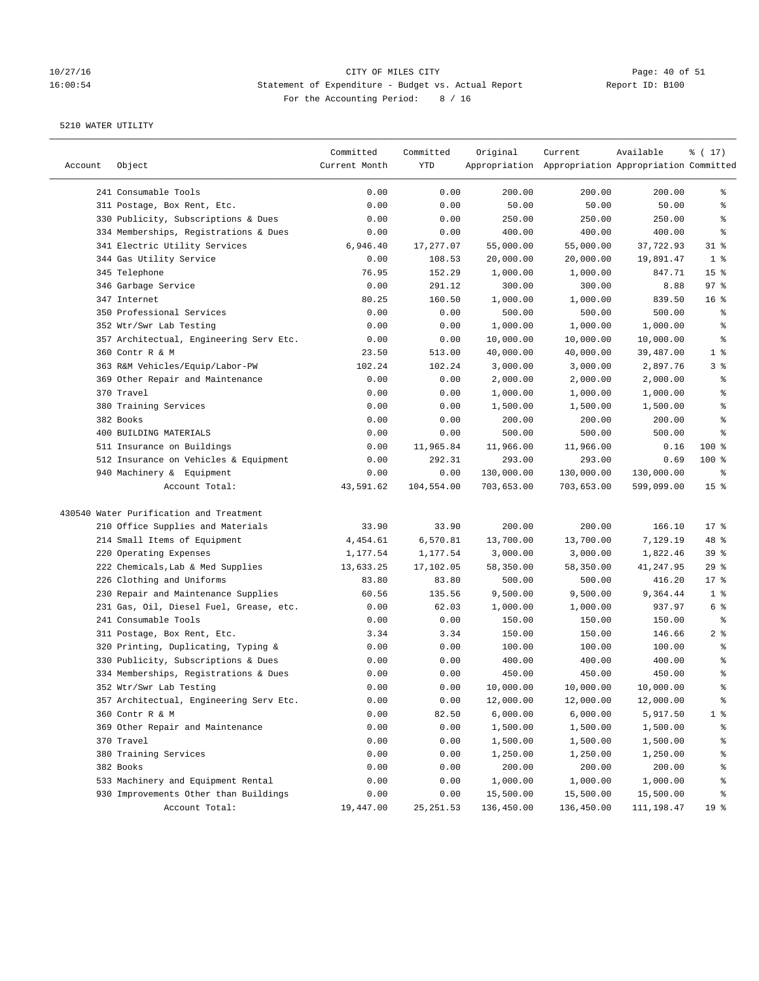## 10/27/16 Page: 40 of 51 16:00:54 Statement of Expenditure - Budget vs. Actual Report Changer Report ID: B100 For the Accounting Period: 8 / 16

| Account | Object                                  | Committed<br>Current Month | Committed<br>YTD | Original   | Current<br>Appropriation Appropriation Appropriation Committed | Available  | % (17)          |
|---------|-----------------------------------------|----------------------------|------------------|------------|----------------------------------------------------------------|------------|-----------------|
|         | 241 Consumable Tools                    | 0.00                       | 0.00             | 200.00     | 200.00                                                         | 200.00     | ႜ               |
|         | 311 Postage, Box Rent, Etc.             | 0.00                       | 0.00             | 50.00      | 50.00                                                          | 50.00      | ి               |
|         | 330 Publicity, Subscriptions & Dues     | 0.00                       | 0.00             | 250.00     | 250.00                                                         | 250.00     | ႜ               |
|         | 334 Memberships, Registrations & Dues   | 0.00                       | 0.00             | 400.00     | 400.00                                                         | 400.00     | ್ಠಿ             |
|         | 341 Electric Utility Services           | 6,946.40                   | 17,277.07        | 55,000.00  | 55,000.00                                                      | 37,722.93  | $31$ %          |
|         | 344 Gas Utility Service                 | 0.00                       | 108.53           | 20,000.00  | 20,000.00                                                      | 19,891.47  | 1 <sup>8</sup>  |
|         | 345 Telephone                           | 76.95                      | 152.29           | 1,000.00   | 1,000.00                                                       | 847.71     | 15 <sup>°</sup> |
|         | 346 Garbage Service                     | 0.00                       | 291.12           | 300.00     | 300.00                                                         | 8.88       | 97%             |
|         | 347 Internet                            | 80.25                      | 160.50           | 1,000.00   | 1,000.00                                                       | 839.50     | 16 <sup>°</sup> |
|         | 350 Professional Services               | 0.00                       | 0.00             | 500.00     | 500.00                                                         | 500.00     | ್ಠಿ             |
|         | 352 Wtr/Swr Lab Testing                 | 0.00                       | 0.00             | 1,000.00   | 1,000.00                                                       | 1,000.00   | ್ಠಿ             |
|         | 357 Architectual, Engineering Serv Etc. | 0.00                       | 0.00             | 10,000.00  | 10,000.00                                                      | 10,000.00  | ್ಠಿ             |
|         | 360 Contr R & M                         | 23.50                      | 513.00           | 40,000.00  | 40,000.00                                                      | 39,487.00  | 1 <sup>8</sup>  |
|         | 363 R&M Vehicles/Equip/Labor-PW         | 102.24                     | 102.24           | 3,000.00   | 3,000.00                                                       | 2,897.76   | 3 %             |
|         | 369 Other Repair and Maintenance        | 0.00                       | 0.00             | 2,000.00   | 2,000.00                                                       | 2,000.00   | ್ಠಿ             |
|         | 370 Travel                              | 0.00                       | 0.00             | 1,000.00   | 1,000.00                                                       | 1,000.00   | ್ಠಿ             |
|         | 380 Training Services                   | 0.00                       | 0.00             | 1,500.00   | 1,500.00                                                       | 1,500.00   | ್ಠಿ             |
|         | 382 Books                               | 0.00                       | 0.00             | 200.00     | 200.00                                                         | 200.00     | ್ಠಿ             |
|         | 400 BUILDING MATERIALS                  | 0.00                       | 0.00             | 500.00     | 500.00                                                         | 500.00     | ್ಠಿ             |
|         | 511 Insurance on Buildings              | 0.00                       | 11,965.84        | 11,966.00  | 11,966.00                                                      | 0.16       | 100 %           |
|         | 512 Insurance on Vehicles & Equipment   | 0.00                       | 292.31           | 293.00     | 293.00                                                         | 0.69       | $100$ %         |
|         | 940 Machinery & Equipment               | 0.00                       | 0.00             | 130,000.00 | 130,000.00                                                     | 130,000.00 | နွ              |
|         | Account Total:                          | 43,591.62                  | 104,554.00       | 703,653.00 | 703,653.00                                                     | 599,099.00 | 15 <sup>8</sup> |
|         | 430540 Water Purification and Treatment |                            |                  |            |                                                                |            |                 |
|         | 210 Office Supplies and Materials       | 33.90                      | 33.90            | 200.00     | 200.00                                                         | 166.10     | $17*$           |
|         | 214 Small Items of Equipment            | 4,454.61                   | 6,570.81         | 13,700.00  | 13,700.00                                                      | 7,129.19   | 48 %            |
|         | 220 Operating Expenses                  | 1,177.54                   | 1,177.54         | 3,000.00   | 3,000.00                                                       | 1,822.46   | 39%             |
|         | 222 Chemicals, Lab & Med Supplies       | 13,633.25                  | 17,102.05        | 58,350.00  | 58,350.00                                                      | 41,247.95  | 29%             |
|         | 226 Clothing and Uniforms               | 83.80                      | 83.80            | 500.00     | 500.00                                                         | 416.20     | $17$ %          |
|         | 230 Repair and Maintenance Supplies     | 60.56                      | 135.56           | 9,500.00   | 9,500.00                                                       | 9,364.44   | 1 <sup>8</sup>  |
|         | 231 Gas, Oil, Diesel Fuel, Grease, etc. | 0.00                       | 62.03            | 1,000.00   | 1,000.00                                                       | 937.97     | 6 %             |
|         | 241 Consumable Tools                    | 0.00                       | 0.00             | 150.00     | 150.00                                                         | 150.00     | နွ              |
|         | 311 Postage, Box Rent, Etc.             | 3.34                       | 3.34             | 150.00     | 150.00                                                         | 146.66     | 2%              |
|         | 320 Printing, Duplicating, Typing &     | 0.00                       | 0.00             | 100.00     | 100.00                                                         | 100.00     | ್ಠಿ             |
|         | 330 Publicity, Subscriptions & Dues     | 0.00                       | 0.00             | 400.00     | 400.00                                                         | 400.00     | နွ              |
|         | 334 Memberships, Registrations & Dues   | 0.00                       | 0.00             | 450.00     | 450.00                                                         | 450.00     | $\,$ $\,$ $\,$  |
|         | 352 Wtr/Swr Lab Testing                 | 0.00                       | 0.00             | 10,000.00  | 10,000.00                                                      | 10,000.00  | ి               |
|         | 357 Architectual, Engineering Serv Etc. | 0.00                       | 0.00             | 12,000.00  | 12,000.00                                                      | 12,000.00  | ိစ              |
|         | 360 Contr R & M                         | 0.00                       | 82.50            | 6,000.00   | 6,000.00                                                       | 5,917.50   | $1$ %           |
|         | 369 Other Repair and Maintenance        | 0.00                       | 0.00             | 1,500.00   | 1,500.00                                                       | 1,500.00   | န့              |
|         | 370 Travel                              | 0.00                       | 0.00             | 1,500.00   | 1,500.00                                                       | 1,500.00   | န့              |
|         | 380 Training Services                   | 0.00                       | 0.00             | 1,250.00   | 1,250.00                                                       | 1,250.00   | န့              |
|         | 382 Books                               | 0.00                       | 0.00             | 200.00     | 200.00                                                         | 200.00     | န့              |
|         | 533 Machinery and Equipment Rental      | 0.00                       | 0.00             | 1,000.00   | 1,000.00                                                       | 1,000.00   | န့              |
|         | 930 Improvements Other than Buildings   | 0.00                       | 0.00             | 15,500.00  | 15,500.00                                                      | 15,500.00  | န့              |
|         | Account Total:                          | 19,447.00                  | 25, 251.53       | 136,450.00 | 136,450.00                                                     | 111,198.47 | 19 <sup>°</sup> |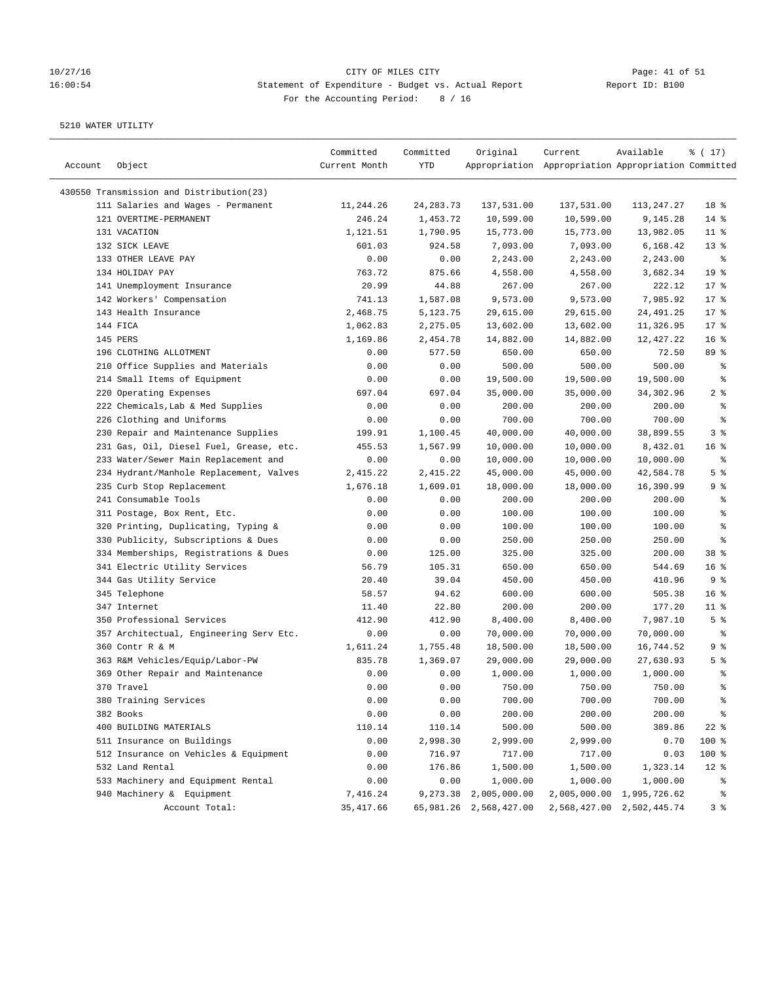## 10/27/16 Page: 41 of 51 16:00:54 Statement of Expenditure - Budget vs. Actual Report Changer Report ID: B100 For the Accounting Period: 8 / 16

| Account | Object                                   | Committed<br>Current Month | Committed<br>YTD | Original               | Current<br>Appropriation Appropriation Appropriation Committed | Available                 | % (17)                   |
|---------|------------------------------------------|----------------------------|------------------|------------------------|----------------------------------------------------------------|---------------------------|--------------------------|
|         | 430550 Transmission and Distribution(23) |                            |                  |                        |                                                                |                           |                          |
|         | 111 Salaries and Wages - Permanent       | 11,244.26                  | 24, 283. 73      | 137,531.00             | 137,531.00                                                     | 113,247.27                | 18 <sup>°</sup>          |
|         | 121 OVERTIME-PERMANENT                   | 246.24                     | 1,453.72         | 10,599.00              | 10,599.00                                                      | 9,145.28                  | $14$ %                   |
|         | 131 VACATION                             | 1,121.51                   | 1,790.95         | 15,773.00              | 15,773.00                                                      | 13,982.05                 | $11$ %                   |
|         | 132 SICK LEAVE                           | 601.03                     | 924.58           | 7,093.00               | 7,093.00                                                       | 6,168.42                  | $13*$                    |
|         | 133 OTHER LEAVE PAY                      | 0.00                       | 0.00             | 2,243.00               | 2,243.00                                                       | 2,243.00                  | နွ                       |
|         | 134 HOLIDAY PAY                          | 763.72                     | 875.66           | 4,558.00               | 4,558.00                                                       | 3,682.34                  | 19 <sup>°</sup>          |
|         | 141 Unemployment Insurance               | 20.99                      | 44.88            | 267.00                 | 267.00                                                         | 222.12                    | $17$ %                   |
|         | 142 Workers' Compensation                | 741.13                     | 1,587.08         | 9,573.00               | 9,573.00                                                       | 7,985.92                  | 17.8                     |
|         | 143 Health Insurance                     | 2,468.75                   | 5,123.75         | 29,615.00              | 29,615.00                                                      | 24,491.25                 | $17*$                    |
|         | 144 FICA                                 | 1,062.83                   | 2,275.05         | 13,602.00              | 13,602.00                                                      | 11,326.95                 | $17*$                    |
|         | 145 PERS                                 | 1,169.86                   | 2,454.78         | 14,882.00              | 14,882.00                                                      | 12,427.22                 | 16 <sup>8</sup>          |
|         | 196 CLOTHING ALLOTMENT                   | 0.00                       | 577.50           | 650.00                 | 650.00                                                         | 72.50                     | 89 %                     |
|         | 210 Office Supplies and Materials        | 0.00                       | 0.00             | 500.00                 | 500.00                                                         | 500.00                    | ್ಠಿ                      |
|         | 214 Small Items of Equipment             | 0.00                       | 0.00             | 19,500.00              | 19,500.00                                                      | 19,500.00                 | ್ಠಿ                      |
|         | 220 Operating Expenses                   | 697.04                     | 697.04           | 35,000.00              | 35,000.00                                                      | 34,302.96                 | 2%                       |
|         | 222 Chemicals, Lab & Med Supplies        | 0.00                       | 0.00             | 200.00                 | 200.00                                                         | 200.00                    | ್ಠಿ                      |
|         | 226 Clothing and Uniforms                | 0.00                       | 0.00             | 700.00                 | 700.00                                                         | 700.00                    | ి                        |
|         | 230 Repair and Maintenance Supplies      | 199.91                     | 1,100.45         | 40,000.00              | 40,000.00                                                      | 38,899.55                 | 3%                       |
|         | 231 Gas, Oil, Diesel Fuel, Grease, etc.  | 455.53                     | 1,567.99         | 10,000.00              | 10,000.00                                                      | 8,432.01                  | 16 <sup>8</sup>          |
|         | 233 Water/Sewer Main Replacement and     | 0.00                       | 0.00             | 10,000.00              | 10,000.00                                                      | 10,000.00                 | နွ                       |
|         | 234 Hydrant/Manhole Replacement, Valves  |                            | 2,415.22         | 45,000.00              | 45,000.00                                                      | 42,584.78                 | 5 <sup>8</sup>           |
|         | 235 Curb Stop Replacement                | 2,415.22<br>1,676.18       |                  | 18,000.00              |                                                                |                           |                          |
|         |                                          |                            | 1,609.01         |                        | 18,000.00                                                      | 16,390.99                 | 9 %                      |
|         | 241 Consumable Tools                     | 0.00                       | 0.00             | 200.00                 | 200.00                                                         | 200.00                    | ್ಠಿ                      |
|         | 311 Postage, Box Rent, Etc.              | 0.00                       | 0.00             | 100.00                 | 100.00                                                         | 100.00                    | န့<br>နွ                 |
|         | 320 Printing, Duplicating, Typing &      | 0.00                       | 0.00             | 100.00                 | 100.00                                                         | 100.00                    |                          |
|         | 330 Publicity, Subscriptions & Dues      | 0.00                       | 0.00             | 250.00                 | 250.00                                                         | 250.00                    | ి                        |
|         | 334 Memberships, Registrations & Dues    | 0.00                       | 125.00           | 325.00                 | 325.00                                                         | 200.00                    | 38 <sup>8</sup>          |
|         | 341 Electric Utility Services            | 56.79                      | 105.31           | 650.00                 | 650.00                                                         | 544.69                    | 16 <sup>8</sup>          |
|         | 344 Gas Utility Service                  | 20.40                      | 39.04            | 450.00                 | 450.00                                                         | 410.96                    | 9%                       |
|         | 345 Telephone                            | 58.57                      | 94.62            | 600.00                 | 600.00                                                         | 505.38                    | 16 <sup>8</sup>          |
|         | 347 Internet                             | 11.40                      | 22.80            | 200.00                 | 200.00                                                         | 177.20                    | $11$ %                   |
|         | 350 Professional Services                | 412.90                     | 412.90           | 8,400.00               | 8,400.00                                                       | 7,987.10                  | 5 <sup>8</sup>           |
|         | 357 Architectual, Engineering Serv Etc.  | 0.00                       | 0.00             | 70,000.00              | 70,000.00                                                      | 70,000.00                 | နွ                       |
|         | 360 Contr R & M                          | 1,611.24                   | 1,755.48         | 18,500.00              | 18,500.00                                                      | 16,744.52                 | 9 %                      |
|         | 363 R&M Vehicles/Equip/Labor-PW          | 835.78                     | 1,369.07         | 29,000.00              | 29,000.00                                                      | 27,630.93                 | 5 <sup>8</sup>           |
|         | 369 Other Repair and Maintenance         | 0.00                       | 0.00             | 1,000.00               | 1,000.00                                                       | 1,000.00                  | ್ಠಿ                      |
|         | 370 Travel                               | 0.00                       | 0.00             | 750.00                 | 750.00                                                         | 750.00                    | နွ                       |
|         | 380 Training Services                    | 0.00                       | 0.00             | 700.00                 | 700.00                                                         | 700.00                    | န့                       |
|         | 382 Books                                | 0.00                       | 0.00             | 200.00                 | 200.00                                                         | 200.00                    | $\,{}^{\circ}\!\!\delta$ |
|         | 400 BUILDING MATERIALS                   | 110.14                     | 110.14           | 500.00                 | 500.00                                                         | 389.86                    | $22$ %                   |
|         | 511 Insurance on Buildings               | 0.00                       | 2,998.30         | 2,999.00               | 2,999.00                                                       | 0.70                      | 100 %                    |
|         | 512 Insurance on Vehicles & Equipment    | 0.00                       | 716.97           | 717.00                 | 717.00                                                         | 0.03                      | 100 %                    |
|         | 532 Land Rental                          | 0.00                       | 176.86           | 1,500.00               | 1,500.00                                                       | 1,323.14                  | $12$ %                   |
|         | 533 Machinery and Equipment Rental       | 0.00                       | 0.00             | 1,000.00               | 1,000.00                                                       | 1,000.00                  | ್ಠಿ                      |
|         | 940 Machinery & Equipment                | 7,416.24                   | 9,273.38         | 2,005,000.00           | 2,005,000.00                                                   | 1,995,726.62              | ိစ                       |
|         | Account Total:                           | 35, 417.66                 |                  | 65,981.26 2,568,427.00 |                                                                | 2,568,427.00 2,502,445.74 | 3 <sup>8</sup>           |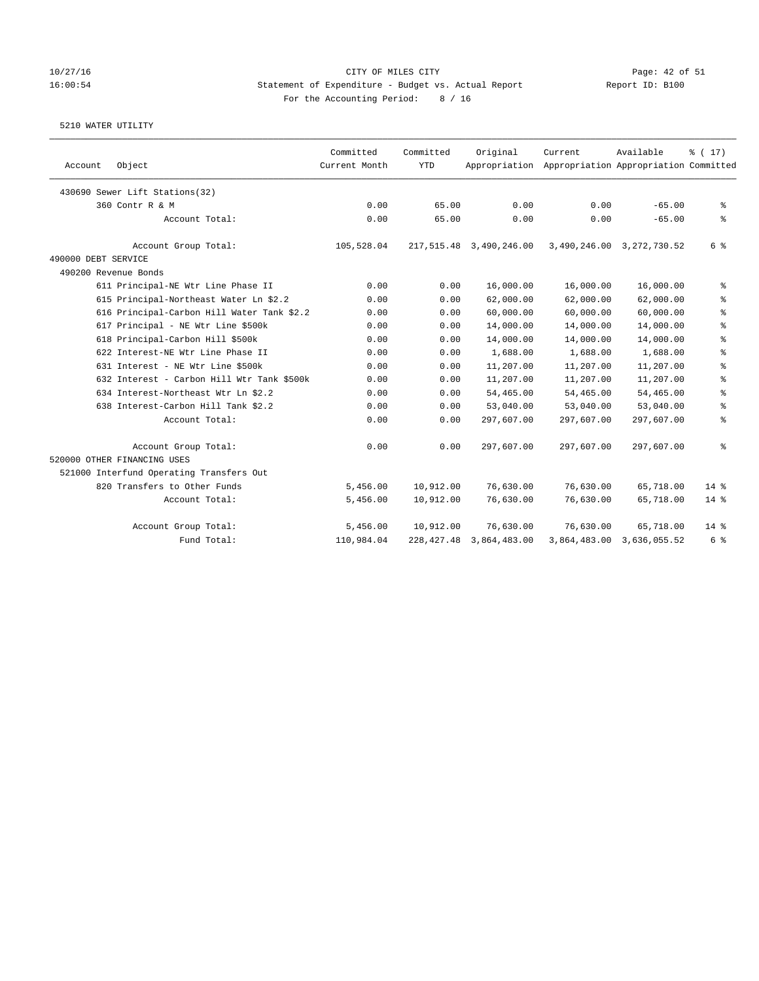### 10/27/16 CITY OF MILES CITY Page: 42 of 51 16:00:54 Statement of Expenditure - Budget vs. Actual Report Report ID: B100 For the Accounting Period: 8 / 16

| Object<br>Account                          | Committed<br>Current Month | Committed<br><b>YTD</b> | Original                     | Current<br>Appropriation Appropriation Appropriation Committed | Available                 | $\frac{1}{6}$ ( 17 ) |
|--------------------------------------------|----------------------------|-------------------------|------------------------------|----------------------------------------------------------------|---------------------------|----------------------|
| 430690 Sewer Lift Stations(32)             |                            |                         |                              |                                                                |                           |                      |
| 360 Contr R & M                            | 0.00                       | 65.00                   | 0.00                         | 0.00                                                           | $-65.00$                  | နွ                   |
| Account Total:                             | 0.00                       | 65.00                   | 0.00                         | 0.00                                                           | $-65.00$                  | ి                    |
| Account Group Total:                       | 105,528.04                 |                         | 217,515.48 3,490,246.00      |                                                                | 3,490,246.00 3,272,730.52 | 6 %                  |
| 490000 DEBT SERVICE                        |                            |                         |                              |                                                                |                           |                      |
| 490200 Revenue Bonds                       |                            |                         |                              |                                                                |                           |                      |
| 611 Principal-NE Wtr Line Phase II         | 0.00                       | 0.00                    | 16,000.00                    | 16,000.00                                                      | 16,000.00                 | နွ                   |
| 615 Principal-Northeast Water Ln \$2.2     | 0.00                       | 0.00                    | 62,000.00                    | 62,000.00                                                      | 62,000.00                 | ್ಠಿ                  |
| 616 Principal-Carbon Hill Water Tank \$2.2 | 0.00                       | 0.00                    | 60,000.00                    | 60,000.00                                                      | 60,000.00                 | ್ಠಿ                  |
| 617 Principal - NE Wtr Line \$500k         | 0.00                       | 0.00                    | 14,000.00                    | 14,000.00                                                      | 14,000.00                 | ್ಠಿ                  |
| 618 Principal-Carbon Hill \$500k           | 0.00                       | 0.00                    | 14,000.00                    | 14,000.00                                                      | 14,000.00                 | る                    |
| 622 Interest-NE Wtr Line Phase II          | 0.00                       | 0.00                    | 1,688.00                     | 1,688.00                                                       | 1,688.00                  | ి                    |
| 631 Interest - NE Wtr Line \$500k          | 0.00                       | 0.00                    | 11,207.00                    | 11,207.00                                                      | 11,207.00                 | る                    |
| 632 Interest - Carbon Hill Wtr Tank \$500k | 0.00                       | 0.00                    | 11,207.00                    | 11,207.00                                                      | 11,207.00                 | ి                    |
| 634 Interest-Northeast Wtr Ln \$2.2        | 0.00                       | 0.00                    | 54,465.00                    | 54,465.00                                                      | 54,465.00                 | နွ                   |
| 638 Interest-Carbon Hill Tank \$2.2        | 0.00                       | 0.00                    | 53,040.00                    | 53,040.00                                                      | 53,040.00                 | ి                    |
| Account Total:                             | 0.00                       | 0.00                    | 297,607.00                   | 297,607.00                                                     | 297,607.00                | ್ಠಿ                  |
| Account Group Total:                       | 0.00                       | 0.00                    | 297,607.00                   | 297,607.00                                                     | 297,607.00                | る                    |
| 520000 OTHER FINANCING USES                |                            |                         |                              |                                                                |                           |                      |
| 521000 Interfund Operating Transfers Out   |                            |                         |                              |                                                                |                           |                      |
| 820 Transfers to Other Funds               | 5,456.00                   | 10,912.00               | 76,630.00                    | 76,630.00                                                      | 65,718.00                 | $14*$                |
| Account Total:                             | 5,456.00                   | 10,912.00               | 76,630.00                    | 76,630.00                                                      | 65,718.00                 | $14*$                |
| Account Group Total:                       | 5,456.00                   | 10,912.00               | 76,630.00                    | 76,630.00                                                      | 65,718.00                 | $14*$                |
| Fund Total:                                | 110,984.04                 |                         | 228, 427. 48 3, 864, 483. 00 |                                                                | 3,864,483.00 3,636,055.52 | 6 %                  |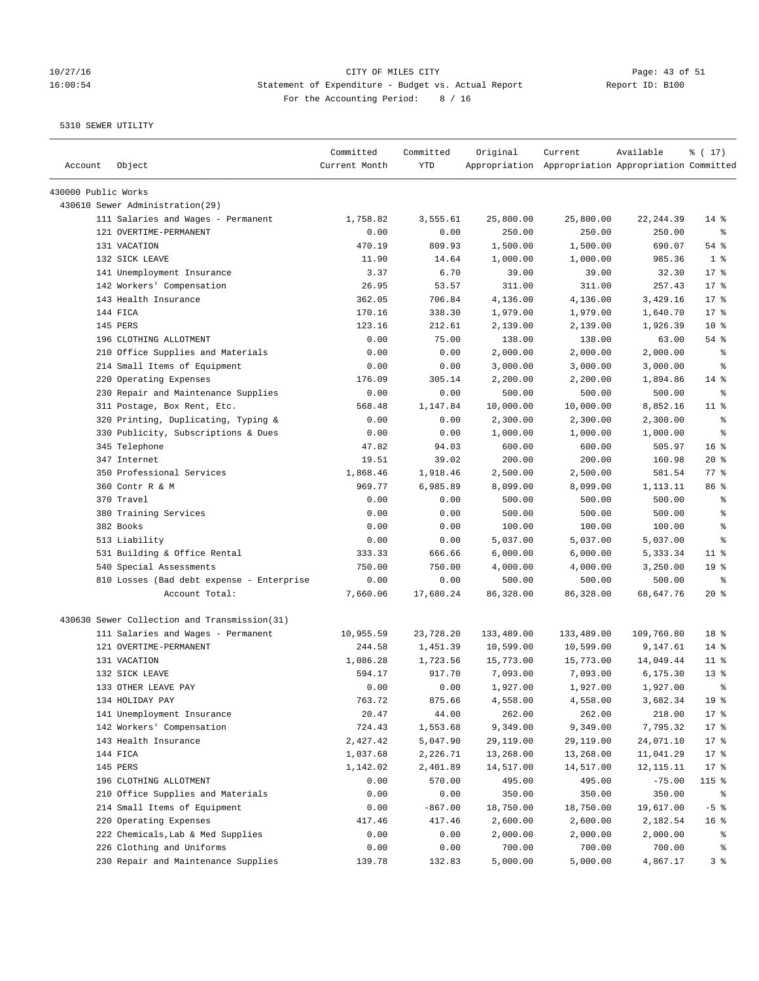## 10/27/16 Page: 43 of 51 16:00:54 Statement of Expenditure - Budget vs. Actual Report Changer Report ID: B100 For the Accounting Period: 8 / 16

| Account             | Object                                       | Committed<br>Current Month | Committed<br><b>YTD</b> | Original   | Current<br>Appropriation Appropriation Appropriation Committed | Available  | % (17)             |
|---------------------|----------------------------------------------|----------------------------|-------------------------|------------|----------------------------------------------------------------|------------|--------------------|
| 430000 Public Works |                                              |                            |                         |            |                                                                |            |                    |
|                     | 430610 Sewer Administration (29)             |                            |                         |            |                                                                |            |                    |
|                     | 111 Salaries and Wages - Permanent           | 1,758.82                   | 3,555.61                | 25,800.00  | 25,800.00                                                      | 22, 244.39 | $14$ %             |
|                     | 121 OVERTIME-PERMANENT                       | 0.00                       | 0.00                    | 250.00     | 250.00                                                         | 250.00     | ి                  |
|                     | 131 VACATION                                 | 470.19                     | 809.93                  | 1,500.00   | 1,500.00                                                       | 690.07     | 54 %               |
|                     | 132 SICK LEAVE                               | 11.90                      | 14.64                   | 1,000.00   | 1,000.00                                                       | 985.36     | 1 <sup>8</sup>     |
|                     | 141 Unemployment Insurance                   | 3.37                       | 6.70                    | 39.00      | 39.00                                                          | 32.30      | $17*$              |
|                     | 142 Workers' Compensation                    | 26.95                      | 53.57                   | 311.00     | 311.00                                                         | 257.43     | $17*$              |
|                     | 143 Health Insurance                         | 362.05                     | 706.84                  | 4,136.00   | 4,136.00                                                       | 3,429.16   | $17*$              |
|                     | 144 FICA                                     | 170.16                     | 338.30                  | 1,979.00   | 1,979.00                                                       | 1,640.70   | $17*$              |
|                     | 145 PERS                                     | 123.16                     | 212.61                  | 2,139.00   | 2,139.00                                                       | 1,926.39   | $10*$              |
|                     | 196 CLOTHING ALLOTMENT                       | 0.00                       | 75.00                   | 138.00     | 138.00                                                         | 63.00      | $54$ %             |
|                     | 210 Office Supplies and Materials            | 0.00                       | 0.00                    | 2,000.00   | 2,000.00                                                       | 2,000.00   | နွ                 |
|                     | 214 Small Items of Equipment                 | 0.00                       | 0.00                    | 3,000.00   | 3,000.00                                                       | 3,000.00   | နွ                 |
|                     | 220 Operating Expenses                       | 176.09                     | 305.14                  | 2,200.00   | 2,200.00                                                       | 1,894.86   | $14$ %             |
|                     | 230 Repair and Maintenance Supplies          | 0.00                       | 0.00                    | 500.00     | 500.00                                                         | 500.00     | ႜ                  |
|                     | 311 Postage, Box Rent, Etc.                  | 568.48                     | 1,147.84                | 10,000.00  | 10,000.00                                                      | 8,852.16   | $11$ %             |
|                     | 320 Printing, Duplicating, Typing &          | 0.00                       | 0.00                    | 2,300.00   | 2,300.00                                                       | 2,300.00   | ႜ                  |
|                     | 330 Publicity, Subscriptions & Dues          | 0.00                       | 0.00                    | 1,000.00   | 1,000.00                                                       | 1,000.00   | နွ                 |
|                     | 345 Telephone                                | 47.82                      | 94.03                   | 600.00     | 600.00                                                         | 505.97     | 16 <sup>8</sup>    |
|                     | 347 Internet                                 | 19.51                      | 39.02                   | 200.00     | 200.00                                                         | 160.98     | $20*$              |
|                     | 350 Professional Services                    | 1,868.46                   | 1,918.46                | 2,500.00   | 2,500.00                                                       | 581.54     | $77$ $\frac{6}{9}$ |
|                     | 360 Contr R & M                              | 969.77                     | 6,985.89                | 8,099.00   | 8,099.00                                                       | 1,113.11   | 86 %               |
|                     | 370 Travel                                   | 0.00                       | 0.00                    | 500.00     | 500.00                                                         | 500.00     | ್ಠಿ                |
|                     | 380 Training Services                        | 0.00                       | 0.00                    | 500.00     | 500.00                                                         | 500.00     | ి                  |
|                     | 382 Books                                    | 0.00                       | 0.00                    | 100.00     | 100.00                                                         | 100.00     | နွ                 |
|                     | 513 Liability                                | 0.00                       | 0.00                    | 5,037.00   | 5,037.00                                                       | 5,037.00   | နွ                 |
|                     | 531 Building & Office Rental                 | 333.33                     | 666.66                  | 6,000.00   | 6,000.00                                                       | 5,333.34   | $11$ %             |
|                     | 540 Special Assessments                      | 750.00                     | 750.00                  | 4,000.00   | 4,000.00                                                       | 3,250.00   | 19 <sup>°</sup>    |
|                     | 810 Losses (Bad debt expense - Enterprise    | 0.00                       | 0.00                    | 500.00     | 500.00                                                         | 500.00     | $\epsilon$         |
|                     | Account Total:                               | 7,660.06                   | 17,680.24               | 86,328.00  | 86,328.00                                                      | 68,647.76  | $20*$              |
|                     | 430630 Sewer Collection and Transmission(31) |                            |                         |            |                                                                |            |                    |
|                     | 111 Salaries and Wages - Permanent           | 10,955.59                  | 23,728.20               | 133,489.00 | 133,489.00                                                     | 109,760.80 | 18 %               |
|                     | 121 OVERTIME-PERMANENT                       | 244.58                     | 1,451.39                | 10,599.00  | 10,599.00                                                      | 9,147.61   | $14$ %             |
|                     | 131 VACATION                                 | 1,086.28                   | 1,723.56                | 15,773.00  | 15,773.00                                                      | 14,049.44  | $11$ %             |
|                     | 132 SICK LEAVE                               | 594.17                     | 917.70                  | 7,093.00   | 7,093.00                                                       | 6,175.30   | $13*$              |
|                     | 133 OTHER LEAVE PAY                          | 0.00                       | 0.00                    | 1,927.00   | 1,927.00                                                       | 1,927.00   | ま                  |
|                     | 134 HOLIDAY PAY                              | 763.72                     | 875.66                  | 4,558.00   | 4,558.00                                                       | 3,682.34   | 19 <sup>°</sup>    |
|                     | 141 Unemployment Insurance                   | 20.47                      | 44.00                   | 262.00     | 262.00                                                         | 218.00     | $17$ %             |
|                     | 142 Workers' Compensation                    | 724.43                     | 1,553.68                | 9,349.00   | 9,349.00                                                       | 7,795.32   | $17*$              |
|                     | 143 Health Insurance                         | 2,427.42                   | 5,047.90                | 29,119.00  | 29,119.00                                                      | 24,071.10  | $17*$              |
|                     | 144 FICA                                     | 1,037.68                   | 2,226.71                | 13,268.00  | 13,268.00                                                      | 11,041.29  | $17*$              |
|                     | 145 PERS                                     | 1,142.02                   | 2,401.89                | 14,517.00  | 14,517.00                                                      | 12,115.11  | $17$ %             |
|                     | 196 CLOTHING ALLOTMENT                       | 0.00                       | 570.00                  | 495.00     | 495.00                                                         | $-75.00$   | 115 %              |
|                     | 210 Office Supplies and Materials            | 0.00                       | 0.00                    | 350.00     | 350.00                                                         | 350.00     | ႜ                  |
|                     | 214 Small Items of Equipment                 | 0.00                       | $-867.00$               | 18,750.00  | 18,750.00                                                      | 19,617.00  | $-5$ $%$           |
|                     | 220 Operating Expenses                       | 417.46                     | 417.46                  | 2,600.00   | 2,600.00                                                       | 2,182.54   | 16 <sup>°</sup>    |
|                     | 222 Chemicals, Lab & Med Supplies            | 0.00                       | 0.00                    | 2,000.00   | 2,000.00                                                       | 2,000.00   | နွ                 |
|                     | 226 Clothing and Uniforms                    | 0.00                       | 0.00                    | 700.00     | 700.00                                                         | 700.00     | ိစ                 |
|                     | 230 Repair and Maintenance Supplies          | 139.78                     | 132.83                  | 5,000.00   | 5,000.00                                                       | 4,867.17   | 3 <sup>8</sup>     |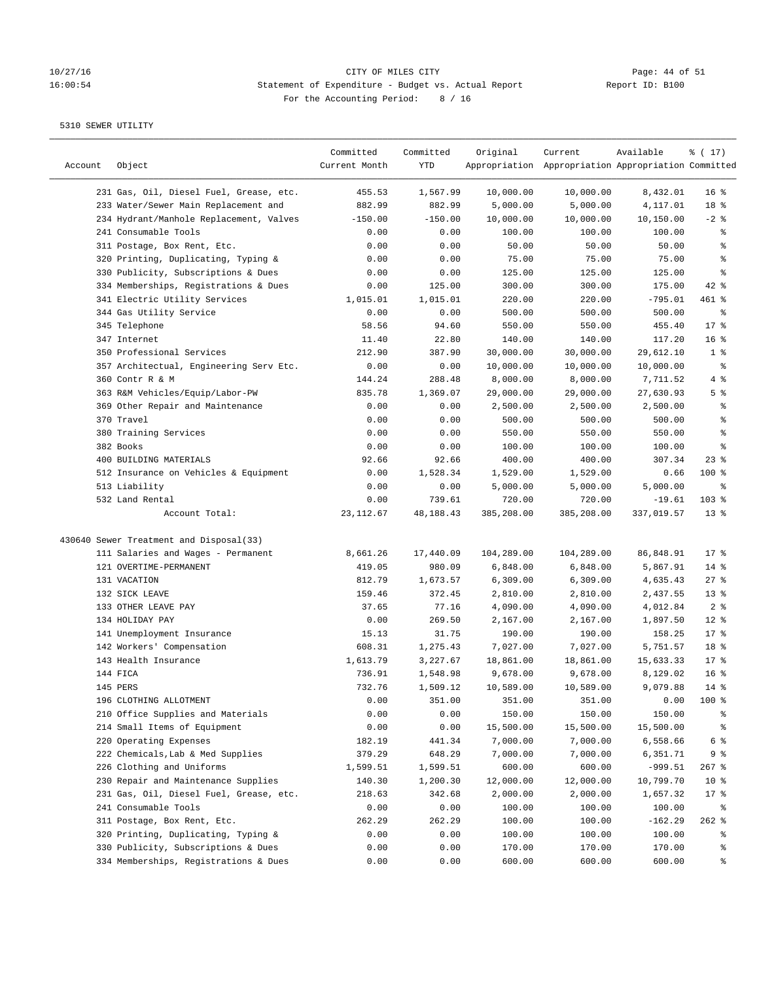## 10/27/16 <br>16 14 14 15 15 16:00:54 CITY OF MILES CITY CITY OF MILES CITY Page: 44 of 51<br>16:00:54 Statement of Expenditure - Budget vs. Actual Report (Report ID: B100 16:00:54 Statement of Expenditure - Budget vs. Actual Report For the Accounting Period: 8 / 16

| Account | Object                                  | Committed<br>Current Month | Committed<br>YTD | Original   | Current<br>Appropriation Appropriation Appropriation Committed | Available  | % (17)          |
|---------|-----------------------------------------|----------------------------|------------------|------------|----------------------------------------------------------------|------------|-----------------|
|         | 231 Gas, Oil, Diesel Fuel, Grease, etc. | 455.53                     | 1,567.99         | 10,000.00  | 10,000.00                                                      | 8,432.01   | 16 <sup>8</sup> |
|         | 233 Water/Sewer Main Replacement and    | 882.99                     | 882.99           | 5,000.00   | 5,000.00                                                       | 4,117.01   | 18 %            |
|         | 234 Hydrant/Manhole Replacement, Valves | $-150.00$                  | $-150.00$        | 10,000.00  | 10,000.00                                                      | 10,150.00  | $-2$ %          |
|         | 241 Consumable Tools                    | 0.00                       | 0.00             | 100.00     | 100.00                                                         | 100.00     | ್ಠಿ             |
|         | 311 Postage, Box Rent, Etc.             | 0.00                       | 0.00             | 50.00      | 50.00                                                          | 50.00      | န့              |
|         | 320 Printing, Duplicating, Typing &     | 0.00                       | 0.00             | 75.00      | 75.00                                                          | 75.00      | နွ              |
|         | 330 Publicity, Subscriptions & Dues     | 0.00                       | 0.00             | 125.00     | 125.00                                                         | 125.00     | ి               |
|         | 334 Memberships, Registrations & Dues   | 0.00                       | 125.00           | 300.00     | 300.00                                                         | 175.00     | $42$ %          |
|         | 341 Electric Utility Services           | 1,015.01                   | 1,015.01         | 220.00     | 220.00                                                         | $-795.01$  | 461 %           |
|         | 344 Gas Utility Service                 | 0.00                       | 0.00             | 500.00     | 500.00                                                         | 500.00     | ್ಠಿ             |
|         | 345 Telephone                           | 58.56                      | 94.60            | 550.00     | 550.00                                                         | 455.40     | 17.8            |
|         | 347 Internet                            | 11.40                      | 22.80            | 140.00     | 140.00                                                         | 117.20     | 16 <sup>8</sup> |
|         | 350 Professional Services               | 212.90                     | 387.90           | 30,000.00  | 30,000.00                                                      | 29,612.10  | 1 <sup>8</sup>  |
|         | 357 Architectual, Engineering Serv Etc. | 0.00                       | 0.00             | 10,000.00  | 10,000.00                                                      | 10,000.00  | နွ              |
|         | 360 Contr R & M                         | 144.24                     | 288.48           | 8,000.00   | 8,000.00                                                       | 7,711.52   | 4 %             |
|         | 363 R&M Vehicles/Equip/Labor-PW         | 835.78                     | 1,369.07         | 29,000.00  | 29,000.00                                                      | 27,630.93  | 5 <sup>8</sup>  |
|         | 369 Other Repair and Maintenance        | 0.00                       | 0.00             | 2,500.00   | 2,500.00                                                       | 2,500.00   | ್ಠಿ             |
|         | 370 Travel                              | 0.00                       | 0.00             | 500.00     | 500.00                                                         | 500.00     | ್ಠಿ             |
|         | 380 Training Services                   | 0.00                       | 0.00             | 550.00     | 550.00                                                         | 550.00     | ್ಠಿ             |
|         | 382 Books                               | 0.00                       | 0.00             | 100.00     | 100.00                                                         | 100.00     | ್ಠಿ             |
|         | 400 BUILDING MATERIALS                  | 92.66                      | 92.66            | 400.00     | 400.00                                                         | 307.34     | $23$ %          |
|         | 512 Insurance on Vehicles & Equipment   | 0.00                       | 1,528.34         | 1,529.00   | 1,529.00                                                       | 0.66       | $100$ %         |
|         | 513 Liability                           | 0.00                       | 0.00             | 5,000.00   | 5,000.00                                                       | 5,000.00   | နွ              |
|         | 532 Land Rental                         | 0.00                       | 739.61           | 720.00     | 720.00                                                         | $-19.61$   | 103 %           |
|         | Account Total:                          | 23, 112.67                 | 48, 188. 43      | 385,208.00 | 385,208.00                                                     | 337,019.57 | $13*$           |
|         | 430640 Sewer Treatment and Disposal(33) |                            |                  |            |                                                                |            |                 |
|         | 111 Salaries and Wages - Permanent      | 8,661.26                   | 17,440.09        | 104,289.00 | 104,289.00                                                     | 86,848.91  | $17*$           |
|         | 121 OVERTIME-PERMANENT                  | 419.05                     | 980.09           | 6,848.00   | 6,848.00                                                       | 5,867.91   | $14$ %          |
|         | 131 VACATION                            | 812.79                     | 1,673.57         | 6,309.00   | 6,309.00                                                       | 4,635.43   | $27$ %          |
|         | 132 SICK LEAVE                          | 159.46                     | 372.45           | 2,810.00   | 2,810.00                                                       | 2,437.55   | $13*$           |
|         | 133 OTHER LEAVE PAY                     | 37.65                      | 77.16            | 4,090.00   | 4,090.00                                                       | 4,012.84   | 2 <sup>°</sup>  |
|         | 134 HOLIDAY PAY                         | 0.00                       | 269.50           | 2,167.00   | 2,167.00                                                       | 1,897.50   | $12*$           |
|         | 141 Unemployment Insurance              | 15.13                      | 31.75            | 190.00     | 190.00                                                         | 158.25     | 17.8            |
|         | 142 Workers' Compensation               | 608.31                     | 1,275.43         | 7,027.00   | 7,027.00                                                       | 5,751.57   | 18 %            |
|         | 143 Health Insurance                    | 1,613.79                   | 3,227.67         | 18,861.00  | 18,861.00                                                      | 15,633.33  | $17$ %          |
|         | 144 FICA                                | 736.91                     | 1,548.98         | 9,678.00   | 9,678.00                                                       | 8,129.02   | 16 <sup>8</sup> |
|         | 145 PERS                                | 732.76                     | 1,509.12         | 10,589.00  | 10,589.00                                                      | 9,079.88   | $14*$           |
|         | 196 CLOTHING ALLOTMENT                  | 0.00                       | 351.00           | 351.00     | 351.00                                                         | 0.00       | 100 %           |
|         | 210 Office Supplies and Materials       | 0.00                       | 0.00             | 150.00     | 150.00                                                         | 150.00     | ိစ              |
|         | 214 Small Items of Equipment            | 0.00                       | 0.00             | 15,500.00  | 15,500.00                                                      | 15,500.00  | ႜ               |
|         | 220 Operating Expenses                  | 182.19                     | 441.34           | 7,000.00   | 7,000.00                                                       | 6,558.66   | 6 %             |
|         | 222 Chemicals, Lab & Med Supplies       | 379.29                     | 648.29           | 7,000.00   | 7,000.00                                                       | 6,351.71   | 9 %             |
|         | 226 Clothing and Uniforms               | 1,599.51                   | 1,599.51         | 600.00     | 600.00                                                         | $-999.51$  | $267$ %         |
|         | 230 Repair and Maintenance Supplies     | 140.30                     | 1,200.30         | 12,000.00  | 12,000.00                                                      | 10,799.70  | 10 <sup>°</sup> |
|         | 231 Gas, Oil, Diesel Fuel, Grease, etc. | 218.63                     | 342.68           | 2,000.00   | 2,000.00                                                       | 1,657.32   | $17$ %          |
|         | 241 Consumable Tools                    | 0.00                       | 0.00             | 100.00     | 100.00                                                         | 100.00     | ႜ               |
|         | 311 Postage, Box Rent, Etc.             | 262.29                     | 262.29           | 100.00     | 100.00                                                         | $-162.29$  | $262$ %         |
|         | 320 Printing, Duplicating, Typing &     | 0.00                       | 0.00             | 100.00     | 100.00                                                         | 100.00     | ႜ               |
|         | 330 Publicity, Subscriptions & Dues     | 0.00                       | 0.00             | 170.00     | 170.00                                                         | 170.00     | ွေ              |
|         | 334 Memberships, Registrations & Dues   | 0.00                       | 0.00             | 600.00     | 600.00                                                         | 600.00     | ႜ               |
|         |                                         |                            |                  |            |                                                                |            |                 |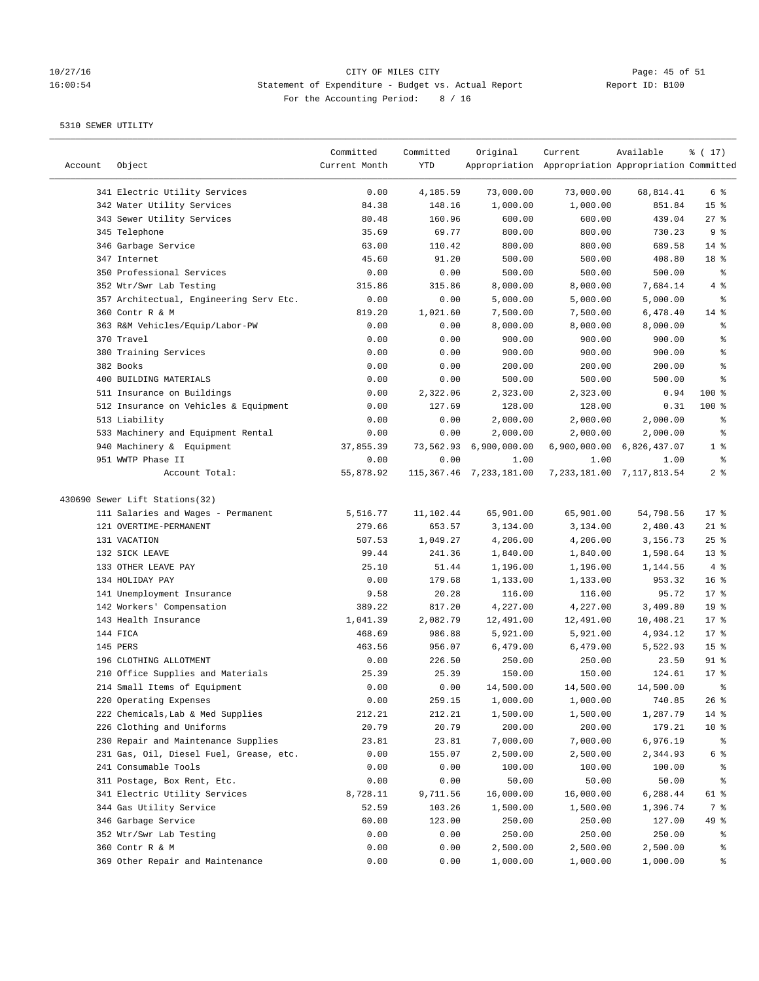## 10/27/16 CITY OF MILES CITY<br>16:00:54 Statement of Expenditure - Budget vs. Actual Report Report ID: B100 16:00:54 Statement of Expenditure - Budget vs. Actual Report For the Accounting Period: 8 / 16

| 341 Electric Utility Services<br>0.00<br>4,185.59<br>73,000.00<br>73,000.00<br>68,814.41<br>6 %<br>342 Water Utility Services<br>84.38<br>851.84<br>15 <sup>°</sup><br>148.16<br>1,000.00<br>1,000.00<br>343 Sewer Utility Services<br>80.48<br>160.96<br>600.00<br>600.00<br>439.04<br>$27$ %<br>9%<br>345 Telephone<br>35.69<br>69.77<br>800.00<br>800.00<br>730.23<br>14 %<br>346 Garbage Service<br>63.00<br>110.42<br>800.00<br>800.00<br>689.58<br>347 Internet<br>45.60<br>91.20<br>500.00<br>500.00<br>408.80<br>18 %<br>350 Professional Services<br>0.00<br>0.00<br>500.00<br>500.00<br>500.00<br>နွ<br>352 Wtr/Swr Lab Testing<br>315.86<br>315.86<br>8,000.00<br>8,000.00<br>7,684.14<br>4%<br>357 Architectual, Engineering Serv Etc.<br>0.00<br>0.00<br>5,000.00<br>5,000.00<br>5,000.00<br>್ಠಿ<br>360 Contr R & M<br>819.20<br>1,021.60<br>7,500.00<br>7,500.00<br>6,478.40<br>$14$ %<br>363 R&M Vehicles/Equip/Labor-PW<br>0.00<br>8,000.00<br>0.00<br>8,000.00<br>8,000.00<br>ႜ<br>370 Travel<br>0.00<br>0.00<br>900.00<br>900.00<br>900.00<br>ి<br>380 Training Services<br>0.00<br>0.00<br>900.00<br>900.00<br>900.00<br>ి<br>382 Books<br>0.00<br>0.00<br>200.00<br>200.00<br>200.00<br>್ಠಿ<br>400 BUILDING MATERIALS<br>0.00<br>0.00<br>500.00<br>500.00<br>500.00<br>ి<br>511 Insurance on Buildings<br>0.00<br>2,322.06<br>2,323.00<br>2,323.00<br>0.94<br>$100$ %<br>512 Insurance on Vehicles & Equipment<br>0.00<br>127.69<br>128.00<br>128.00<br>0.31<br>$100$ %<br>513 Liability<br>0.00<br>0.00<br>2,000.00<br>2,000.00<br>2,000.00<br>နွ<br>533 Machinery and Equipment Rental<br>0.00<br>0.00<br>2,000.00<br>2,000.00<br>2,000.00<br>್ಠಿ<br>940 Machinery & Equipment<br>73,562.93<br>6,900,000.00<br>6,900,000.00 6,826,437.07<br>1 <sup>8</sup><br>37,855.39<br>951 WWTP Phase II<br>0.00<br>್ಠಿ<br>0.00<br>1.00<br>1.00<br>1.00<br>2 <sub>8</sub><br>Account Total:<br>55,878.92<br>115,367.46 7,233,181.00<br>7, 233, 181.00 7, 117, 813.54<br>430690 Sewer Lift Stations(32)<br>111 Salaries and Wages - Permanent<br>5,516.77<br>11,102.44<br>65,901.00<br>65,901.00<br>54,798.56<br>$17$ %<br>$21$ %<br>121 OVERTIME-PERMANENT<br>279.66<br>653.57<br>3,134.00<br>3,134.00<br>2,480.43<br>131 VACATION<br>507.53<br>1,049.27<br>4,206.00<br>4,206.00<br>3,156.73<br>$25$ %<br>132 SICK LEAVE<br>99.44<br>241.36<br>1,840.00<br>1,840.00<br>1,598.64<br>$13*$<br>4%<br>133 OTHER LEAVE PAY<br>25.10<br>51.44<br>1,196.00<br>1,196.00<br>1,144.56<br>134 HOLIDAY PAY<br>0.00<br>179.68<br>1,133.00<br>16 <sup>8</sup><br>1,133.00<br>953.32<br>17.8<br>141 Unemployment Insurance<br>9.58<br>20.28<br>116.00<br>116.00<br>95.72<br>142 Workers' Compensation<br>389.22<br>817.20<br>4,227.00<br>4,227.00<br>19 <sup>°</sup><br>3,409.80<br>143 Health Insurance<br>1,041.39<br>2,082.79<br>12,491.00<br>12,491.00<br>10,408.21<br>$17*$<br>144 FICA<br>468.69<br>986.88<br>5,921.00<br>5,921.00<br>4,934.12<br>$17$ %<br>145 PERS<br>463.56<br>956.07<br>6,479.00<br>6,479.00<br>15 <sup>8</sup><br>5,522.93<br>$91$ %<br>196 CLOTHING ALLOTMENT<br>226.50<br>250.00<br>250.00<br>23.50<br>0.00<br>25.39<br>210 Office Supplies and Materials<br>25.39<br>150.00<br>150.00<br>124.61<br>$17*$<br>214 Small Items of Equipment<br>0.00<br>0.00<br>14,500.00<br>14,500.00<br>14,500.00<br>ま<br>220 Operating Expenses<br>0.00<br>259.15<br>1,000.00<br>1,000.00<br>740.85<br>26%<br>222 Chemicals, Lab & Med Supplies<br>212.21<br>1,500.00<br>1,500.00<br>1,287.79<br>$14$ %<br>212.21<br>226 Clothing and Uniforms<br>20.79<br>20.79<br>200.00<br>200.00<br>179.21<br>10 <sup>°</sup><br>230 Repair and Maintenance Supplies<br>23.81<br>7,000.00<br>23.81<br>7,000.00<br>6,976.19<br>ႜ<br>231 Gas, Oil, Diesel Fuel, Grease, etc.<br>0.00<br>155.07<br>6 %<br>2,500.00<br>2,500.00<br>2,344.93<br>241 Consumable Tools<br>0.00<br>100.00<br>100.00<br>0.00<br>100.00<br>್ಠಿ<br>0.00<br>0.00<br>50.00<br>311 Postage, Box Rent, Etc.<br>50.00<br>50.00<br>್ಠಿ<br>341 Electric Utility Services<br>8,728.11<br>9,711.56<br>16,000.00<br>16,000.00<br>6,288.44<br>61 %<br>344 Gas Utility Service<br>52.59<br>7 %<br>103.26<br>1,500.00<br>1,500.00<br>1,396.74<br>346 Garbage Service<br>60.00<br>49 %<br>123.00<br>250.00<br>250.00<br>127.00<br>352 Wtr/Swr Lab Testing<br>0.00<br>0.00<br>250.00<br>250.00<br>250.00<br>ွေ<br>0.00<br>0.00<br>2,500.00<br>2,500.00<br>2,500.00<br>360 Contr R & M<br>ွေ<br>369 Other Repair and Maintenance<br>0.00<br>1,000.00<br>1,000.00<br>1,000.00<br>0.00<br>နွ | Account | Object | Committed<br>Current Month | Committed<br>YTD | Original | Current<br>Appropriation Appropriation Appropriation Committed | Available | % (17) |
|---------------------------------------------------------------------------------------------------------------------------------------------------------------------------------------------------------------------------------------------------------------------------------------------------------------------------------------------------------------------------------------------------------------------------------------------------------------------------------------------------------------------------------------------------------------------------------------------------------------------------------------------------------------------------------------------------------------------------------------------------------------------------------------------------------------------------------------------------------------------------------------------------------------------------------------------------------------------------------------------------------------------------------------------------------------------------------------------------------------------------------------------------------------------------------------------------------------------------------------------------------------------------------------------------------------------------------------------------------------------------------------------------------------------------------------------------------------------------------------------------------------------------------------------------------------------------------------------------------------------------------------------------------------------------------------------------------------------------------------------------------------------------------------------------------------------------------------------------------------------------------------------------------------------------------------------------------------------------------------------------------------------------------------------------------------------------------------------------------------------------------------------------------------------------------------------------------------------------------------------------------------------------------------------------------------------------------------------------------------------------------------------------------------------------------------------------------------------------------------------------------------------------------------------------------------------------------------------------------------------------------------------------------------------------------------------------------------------------------------------------------------------------------------------------------------------------------------------------------------------------------------------------------------------------------------------------------------------------------------------------------------------------------------------------------------------------------------------------------------------------------------------------------------------------------------------------------------------------------------------------------------------------------------------------------------------------------------------------------------------------------------------------------------------------------------------------------------------------------------------------------------------------------------------------------------------------------------------------------------------------------------------------------------------------------------------------------------------------------------------------------------------------------------------------------------------------------------------------------------------------------------------------------------------------------------------------------------------------------------------------------------------------------------------------------------------------------------------------------------------------------------------------------------------------------------------------------------------------------------------------------------------------------------------------------------------------------------------------------------------------------------------------------------------------------------------------------------------------------------------------------------------------------------------|---------|--------|----------------------------|------------------|----------|----------------------------------------------------------------|-----------|--------|
|                                                                                                                                                                                                                                                                                                                                                                                                                                                                                                                                                                                                                                                                                                                                                                                                                                                                                                                                                                                                                                                                                                                                                                                                                                                                                                                                                                                                                                                                                                                                                                                                                                                                                                                                                                                                                                                                                                                                                                                                                                                                                                                                                                                                                                                                                                                                                                                                                                                                                                                                                                                                                                                                                                                                                                                                                                                                                                                                                                                                                                                                                                                                                                                                                                                                                                                                                                                                                                                                                                                                                                                                                                                                                                                                                                                                                                                                                                                                                                                                                                                                                                                                                                                                                                                                                                                                                                                                                                                                                                                                             |         |        |                            |                  |          |                                                                |           |        |
|                                                                                                                                                                                                                                                                                                                                                                                                                                                                                                                                                                                                                                                                                                                                                                                                                                                                                                                                                                                                                                                                                                                                                                                                                                                                                                                                                                                                                                                                                                                                                                                                                                                                                                                                                                                                                                                                                                                                                                                                                                                                                                                                                                                                                                                                                                                                                                                                                                                                                                                                                                                                                                                                                                                                                                                                                                                                                                                                                                                                                                                                                                                                                                                                                                                                                                                                                                                                                                                                                                                                                                                                                                                                                                                                                                                                                                                                                                                                                                                                                                                                                                                                                                                                                                                                                                                                                                                                                                                                                                                                             |         |        |                            |                  |          |                                                                |           |        |
|                                                                                                                                                                                                                                                                                                                                                                                                                                                                                                                                                                                                                                                                                                                                                                                                                                                                                                                                                                                                                                                                                                                                                                                                                                                                                                                                                                                                                                                                                                                                                                                                                                                                                                                                                                                                                                                                                                                                                                                                                                                                                                                                                                                                                                                                                                                                                                                                                                                                                                                                                                                                                                                                                                                                                                                                                                                                                                                                                                                                                                                                                                                                                                                                                                                                                                                                                                                                                                                                                                                                                                                                                                                                                                                                                                                                                                                                                                                                                                                                                                                                                                                                                                                                                                                                                                                                                                                                                                                                                                                                             |         |        |                            |                  |          |                                                                |           |        |
|                                                                                                                                                                                                                                                                                                                                                                                                                                                                                                                                                                                                                                                                                                                                                                                                                                                                                                                                                                                                                                                                                                                                                                                                                                                                                                                                                                                                                                                                                                                                                                                                                                                                                                                                                                                                                                                                                                                                                                                                                                                                                                                                                                                                                                                                                                                                                                                                                                                                                                                                                                                                                                                                                                                                                                                                                                                                                                                                                                                                                                                                                                                                                                                                                                                                                                                                                                                                                                                                                                                                                                                                                                                                                                                                                                                                                                                                                                                                                                                                                                                                                                                                                                                                                                                                                                                                                                                                                                                                                                                                             |         |        |                            |                  |          |                                                                |           |        |
|                                                                                                                                                                                                                                                                                                                                                                                                                                                                                                                                                                                                                                                                                                                                                                                                                                                                                                                                                                                                                                                                                                                                                                                                                                                                                                                                                                                                                                                                                                                                                                                                                                                                                                                                                                                                                                                                                                                                                                                                                                                                                                                                                                                                                                                                                                                                                                                                                                                                                                                                                                                                                                                                                                                                                                                                                                                                                                                                                                                                                                                                                                                                                                                                                                                                                                                                                                                                                                                                                                                                                                                                                                                                                                                                                                                                                                                                                                                                                                                                                                                                                                                                                                                                                                                                                                                                                                                                                                                                                                                                             |         |        |                            |                  |          |                                                                |           |        |
|                                                                                                                                                                                                                                                                                                                                                                                                                                                                                                                                                                                                                                                                                                                                                                                                                                                                                                                                                                                                                                                                                                                                                                                                                                                                                                                                                                                                                                                                                                                                                                                                                                                                                                                                                                                                                                                                                                                                                                                                                                                                                                                                                                                                                                                                                                                                                                                                                                                                                                                                                                                                                                                                                                                                                                                                                                                                                                                                                                                                                                                                                                                                                                                                                                                                                                                                                                                                                                                                                                                                                                                                                                                                                                                                                                                                                                                                                                                                                                                                                                                                                                                                                                                                                                                                                                                                                                                                                                                                                                                                             |         |        |                            |                  |          |                                                                |           |        |
|                                                                                                                                                                                                                                                                                                                                                                                                                                                                                                                                                                                                                                                                                                                                                                                                                                                                                                                                                                                                                                                                                                                                                                                                                                                                                                                                                                                                                                                                                                                                                                                                                                                                                                                                                                                                                                                                                                                                                                                                                                                                                                                                                                                                                                                                                                                                                                                                                                                                                                                                                                                                                                                                                                                                                                                                                                                                                                                                                                                                                                                                                                                                                                                                                                                                                                                                                                                                                                                                                                                                                                                                                                                                                                                                                                                                                                                                                                                                                                                                                                                                                                                                                                                                                                                                                                                                                                                                                                                                                                                                             |         |        |                            |                  |          |                                                                |           |        |
|                                                                                                                                                                                                                                                                                                                                                                                                                                                                                                                                                                                                                                                                                                                                                                                                                                                                                                                                                                                                                                                                                                                                                                                                                                                                                                                                                                                                                                                                                                                                                                                                                                                                                                                                                                                                                                                                                                                                                                                                                                                                                                                                                                                                                                                                                                                                                                                                                                                                                                                                                                                                                                                                                                                                                                                                                                                                                                                                                                                                                                                                                                                                                                                                                                                                                                                                                                                                                                                                                                                                                                                                                                                                                                                                                                                                                                                                                                                                                                                                                                                                                                                                                                                                                                                                                                                                                                                                                                                                                                                                             |         |        |                            |                  |          |                                                                |           |        |
|                                                                                                                                                                                                                                                                                                                                                                                                                                                                                                                                                                                                                                                                                                                                                                                                                                                                                                                                                                                                                                                                                                                                                                                                                                                                                                                                                                                                                                                                                                                                                                                                                                                                                                                                                                                                                                                                                                                                                                                                                                                                                                                                                                                                                                                                                                                                                                                                                                                                                                                                                                                                                                                                                                                                                                                                                                                                                                                                                                                                                                                                                                                                                                                                                                                                                                                                                                                                                                                                                                                                                                                                                                                                                                                                                                                                                                                                                                                                                                                                                                                                                                                                                                                                                                                                                                                                                                                                                                                                                                                                             |         |        |                            |                  |          |                                                                |           |        |
|                                                                                                                                                                                                                                                                                                                                                                                                                                                                                                                                                                                                                                                                                                                                                                                                                                                                                                                                                                                                                                                                                                                                                                                                                                                                                                                                                                                                                                                                                                                                                                                                                                                                                                                                                                                                                                                                                                                                                                                                                                                                                                                                                                                                                                                                                                                                                                                                                                                                                                                                                                                                                                                                                                                                                                                                                                                                                                                                                                                                                                                                                                                                                                                                                                                                                                                                                                                                                                                                                                                                                                                                                                                                                                                                                                                                                                                                                                                                                                                                                                                                                                                                                                                                                                                                                                                                                                                                                                                                                                                                             |         |        |                            |                  |          |                                                                |           |        |
|                                                                                                                                                                                                                                                                                                                                                                                                                                                                                                                                                                                                                                                                                                                                                                                                                                                                                                                                                                                                                                                                                                                                                                                                                                                                                                                                                                                                                                                                                                                                                                                                                                                                                                                                                                                                                                                                                                                                                                                                                                                                                                                                                                                                                                                                                                                                                                                                                                                                                                                                                                                                                                                                                                                                                                                                                                                                                                                                                                                                                                                                                                                                                                                                                                                                                                                                                                                                                                                                                                                                                                                                                                                                                                                                                                                                                                                                                                                                                                                                                                                                                                                                                                                                                                                                                                                                                                                                                                                                                                                                             |         |        |                            |                  |          |                                                                |           |        |
|                                                                                                                                                                                                                                                                                                                                                                                                                                                                                                                                                                                                                                                                                                                                                                                                                                                                                                                                                                                                                                                                                                                                                                                                                                                                                                                                                                                                                                                                                                                                                                                                                                                                                                                                                                                                                                                                                                                                                                                                                                                                                                                                                                                                                                                                                                                                                                                                                                                                                                                                                                                                                                                                                                                                                                                                                                                                                                                                                                                                                                                                                                                                                                                                                                                                                                                                                                                                                                                                                                                                                                                                                                                                                                                                                                                                                                                                                                                                                                                                                                                                                                                                                                                                                                                                                                                                                                                                                                                                                                                                             |         |        |                            |                  |          |                                                                |           |        |
|                                                                                                                                                                                                                                                                                                                                                                                                                                                                                                                                                                                                                                                                                                                                                                                                                                                                                                                                                                                                                                                                                                                                                                                                                                                                                                                                                                                                                                                                                                                                                                                                                                                                                                                                                                                                                                                                                                                                                                                                                                                                                                                                                                                                                                                                                                                                                                                                                                                                                                                                                                                                                                                                                                                                                                                                                                                                                                                                                                                                                                                                                                                                                                                                                                                                                                                                                                                                                                                                                                                                                                                                                                                                                                                                                                                                                                                                                                                                                                                                                                                                                                                                                                                                                                                                                                                                                                                                                                                                                                                                             |         |        |                            |                  |          |                                                                |           |        |
|                                                                                                                                                                                                                                                                                                                                                                                                                                                                                                                                                                                                                                                                                                                                                                                                                                                                                                                                                                                                                                                                                                                                                                                                                                                                                                                                                                                                                                                                                                                                                                                                                                                                                                                                                                                                                                                                                                                                                                                                                                                                                                                                                                                                                                                                                                                                                                                                                                                                                                                                                                                                                                                                                                                                                                                                                                                                                                                                                                                                                                                                                                                                                                                                                                                                                                                                                                                                                                                                                                                                                                                                                                                                                                                                                                                                                                                                                                                                                                                                                                                                                                                                                                                                                                                                                                                                                                                                                                                                                                                                             |         |        |                            |                  |          |                                                                |           |        |
|                                                                                                                                                                                                                                                                                                                                                                                                                                                                                                                                                                                                                                                                                                                                                                                                                                                                                                                                                                                                                                                                                                                                                                                                                                                                                                                                                                                                                                                                                                                                                                                                                                                                                                                                                                                                                                                                                                                                                                                                                                                                                                                                                                                                                                                                                                                                                                                                                                                                                                                                                                                                                                                                                                                                                                                                                                                                                                                                                                                                                                                                                                                                                                                                                                                                                                                                                                                                                                                                                                                                                                                                                                                                                                                                                                                                                                                                                                                                                                                                                                                                                                                                                                                                                                                                                                                                                                                                                                                                                                                                             |         |        |                            |                  |          |                                                                |           |        |
|                                                                                                                                                                                                                                                                                                                                                                                                                                                                                                                                                                                                                                                                                                                                                                                                                                                                                                                                                                                                                                                                                                                                                                                                                                                                                                                                                                                                                                                                                                                                                                                                                                                                                                                                                                                                                                                                                                                                                                                                                                                                                                                                                                                                                                                                                                                                                                                                                                                                                                                                                                                                                                                                                                                                                                                                                                                                                                                                                                                                                                                                                                                                                                                                                                                                                                                                                                                                                                                                                                                                                                                                                                                                                                                                                                                                                                                                                                                                                                                                                                                                                                                                                                                                                                                                                                                                                                                                                                                                                                                                             |         |        |                            |                  |          |                                                                |           |        |
|                                                                                                                                                                                                                                                                                                                                                                                                                                                                                                                                                                                                                                                                                                                                                                                                                                                                                                                                                                                                                                                                                                                                                                                                                                                                                                                                                                                                                                                                                                                                                                                                                                                                                                                                                                                                                                                                                                                                                                                                                                                                                                                                                                                                                                                                                                                                                                                                                                                                                                                                                                                                                                                                                                                                                                                                                                                                                                                                                                                                                                                                                                                                                                                                                                                                                                                                                                                                                                                                                                                                                                                                                                                                                                                                                                                                                                                                                                                                                                                                                                                                                                                                                                                                                                                                                                                                                                                                                                                                                                                                             |         |        |                            |                  |          |                                                                |           |        |
|                                                                                                                                                                                                                                                                                                                                                                                                                                                                                                                                                                                                                                                                                                                                                                                                                                                                                                                                                                                                                                                                                                                                                                                                                                                                                                                                                                                                                                                                                                                                                                                                                                                                                                                                                                                                                                                                                                                                                                                                                                                                                                                                                                                                                                                                                                                                                                                                                                                                                                                                                                                                                                                                                                                                                                                                                                                                                                                                                                                                                                                                                                                                                                                                                                                                                                                                                                                                                                                                                                                                                                                                                                                                                                                                                                                                                                                                                                                                                                                                                                                                                                                                                                                                                                                                                                                                                                                                                                                                                                                                             |         |        |                            |                  |          |                                                                |           |        |
|                                                                                                                                                                                                                                                                                                                                                                                                                                                                                                                                                                                                                                                                                                                                                                                                                                                                                                                                                                                                                                                                                                                                                                                                                                                                                                                                                                                                                                                                                                                                                                                                                                                                                                                                                                                                                                                                                                                                                                                                                                                                                                                                                                                                                                                                                                                                                                                                                                                                                                                                                                                                                                                                                                                                                                                                                                                                                                                                                                                                                                                                                                                                                                                                                                                                                                                                                                                                                                                                                                                                                                                                                                                                                                                                                                                                                                                                                                                                                                                                                                                                                                                                                                                                                                                                                                                                                                                                                                                                                                                                             |         |        |                            |                  |          |                                                                |           |        |
|                                                                                                                                                                                                                                                                                                                                                                                                                                                                                                                                                                                                                                                                                                                                                                                                                                                                                                                                                                                                                                                                                                                                                                                                                                                                                                                                                                                                                                                                                                                                                                                                                                                                                                                                                                                                                                                                                                                                                                                                                                                                                                                                                                                                                                                                                                                                                                                                                                                                                                                                                                                                                                                                                                                                                                                                                                                                                                                                                                                                                                                                                                                                                                                                                                                                                                                                                                                                                                                                                                                                                                                                                                                                                                                                                                                                                                                                                                                                                                                                                                                                                                                                                                                                                                                                                                                                                                                                                                                                                                                                             |         |        |                            |                  |          |                                                                |           |        |
|                                                                                                                                                                                                                                                                                                                                                                                                                                                                                                                                                                                                                                                                                                                                                                                                                                                                                                                                                                                                                                                                                                                                                                                                                                                                                                                                                                                                                                                                                                                                                                                                                                                                                                                                                                                                                                                                                                                                                                                                                                                                                                                                                                                                                                                                                                                                                                                                                                                                                                                                                                                                                                                                                                                                                                                                                                                                                                                                                                                                                                                                                                                                                                                                                                                                                                                                                                                                                                                                                                                                                                                                                                                                                                                                                                                                                                                                                                                                                                                                                                                                                                                                                                                                                                                                                                                                                                                                                                                                                                                                             |         |        |                            |                  |          |                                                                |           |        |
|                                                                                                                                                                                                                                                                                                                                                                                                                                                                                                                                                                                                                                                                                                                                                                                                                                                                                                                                                                                                                                                                                                                                                                                                                                                                                                                                                                                                                                                                                                                                                                                                                                                                                                                                                                                                                                                                                                                                                                                                                                                                                                                                                                                                                                                                                                                                                                                                                                                                                                                                                                                                                                                                                                                                                                                                                                                                                                                                                                                                                                                                                                                                                                                                                                                                                                                                                                                                                                                                                                                                                                                                                                                                                                                                                                                                                                                                                                                                                                                                                                                                                                                                                                                                                                                                                                                                                                                                                                                                                                                                             |         |        |                            |                  |          |                                                                |           |        |
|                                                                                                                                                                                                                                                                                                                                                                                                                                                                                                                                                                                                                                                                                                                                                                                                                                                                                                                                                                                                                                                                                                                                                                                                                                                                                                                                                                                                                                                                                                                                                                                                                                                                                                                                                                                                                                                                                                                                                                                                                                                                                                                                                                                                                                                                                                                                                                                                                                                                                                                                                                                                                                                                                                                                                                                                                                                                                                                                                                                                                                                                                                                                                                                                                                                                                                                                                                                                                                                                                                                                                                                                                                                                                                                                                                                                                                                                                                                                                                                                                                                                                                                                                                                                                                                                                                                                                                                                                                                                                                                                             |         |        |                            |                  |          |                                                                |           |        |
|                                                                                                                                                                                                                                                                                                                                                                                                                                                                                                                                                                                                                                                                                                                                                                                                                                                                                                                                                                                                                                                                                                                                                                                                                                                                                                                                                                                                                                                                                                                                                                                                                                                                                                                                                                                                                                                                                                                                                                                                                                                                                                                                                                                                                                                                                                                                                                                                                                                                                                                                                                                                                                                                                                                                                                                                                                                                                                                                                                                                                                                                                                                                                                                                                                                                                                                                                                                                                                                                                                                                                                                                                                                                                                                                                                                                                                                                                                                                                                                                                                                                                                                                                                                                                                                                                                                                                                                                                                                                                                                                             |         |        |                            |                  |          |                                                                |           |        |
|                                                                                                                                                                                                                                                                                                                                                                                                                                                                                                                                                                                                                                                                                                                                                                                                                                                                                                                                                                                                                                                                                                                                                                                                                                                                                                                                                                                                                                                                                                                                                                                                                                                                                                                                                                                                                                                                                                                                                                                                                                                                                                                                                                                                                                                                                                                                                                                                                                                                                                                                                                                                                                                                                                                                                                                                                                                                                                                                                                                                                                                                                                                                                                                                                                                                                                                                                                                                                                                                                                                                                                                                                                                                                                                                                                                                                                                                                                                                                                                                                                                                                                                                                                                                                                                                                                                                                                                                                                                                                                                                             |         |        |                            |                  |          |                                                                |           |        |
|                                                                                                                                                                                                                                                                                                                                                                                                                                                                                                                                                                                                                                                                                                                                                                                                                                                                                                                                                                                                                                                                                                                                                                                                                                                                                                                                                                                                                                                                                                                                                                                                                                                                                                                                                                                                                                                                                                                                                                                                                                                                                                                                                                                                                                                                                                                                                                                                                                                                                                                                                                                                                                                                                                                                                                                                                                                                                                                                                                                                                                                                                                                                                                                                                                                                                                                                                                                                                                                                                                                                                                                                                                                                                                                                                                                                                                                                                                                                                                                                                                                                                                                                                                                                                                                                                                                                                                                                                                                                                                                                             |         |        |                            |                  |          |                                                                |           |        |
|                                                                                                                                                                                                                                                                                                                                                                                                                                                                                                                                                                                                                                                                                                                                                                                                                                                                                                                                                                                                                                                                                                                                                                                                                                                                                                                                                                                                                                                                                                                                                                                                                                                                                                                                                                                                                                                                                                                                                                                                                                                                                                                                                                                                                                                                                                                                                                                                                                                                                                                                                                                                                                                                                                                                                                                                                                                                                                                                                                                                                                                                                                                                                                                                                                                                                                                                                                                                                                                                                                                                                                                                                                                                                                                                                                                                                                                                                                                                                                                                                                                                                                                                                                                                                                                                                                                                                                                                                                                                                                                                             |         |        |                            |                  |          |                                                                |           |        |
|                                                                                                                                                                                                                                                                                                                                                                                                                                                                                                                                                                                                                                                                                                                                                                                                                                                                                                                                                                                                                                                                                                                                                                                                                                                                                                                                                                                                                                                                                                                                                                                                                                                                                                                                                                                                                                                                                                                                                                                                                                                                                                                                                                                                                                                                                                                                                                                                                                                                                                                                                                                                                                                                                                                                                                                                                                                                                                                                                                                                                                                                                                                                                                                                                                                                                                                                                                                                                                                                                                                                                                                                                                                                                                                                                                                                                                                                                                                                                                                                                                                                                                                                                                                                                                                                                                                                                                                                                                                                                                                                             |         |        |                            |                  |          |                                                                |           |        |
|                                                                                                                                                                                                                                                                                                                                                                                                                                                                                                                                                                                                                                                                                                                                                                                                                                                                                                                                                                                                                                                                                                                                                                                                                                                                                                                                                                                                                                                                                                                                                                                                                                                                                                                                                                                                                                                                                                                                                                                                                                                                                                                                                                                                                                                                                                                                                                                                                                                                                                                                                                                                                                                                                                                                                                                                                                                                                                                                                                                                                                                                                                                                                                                                                                                                                                                                                                                                                                                                                                                                                                                                                                                                                                                                                                                                                                                                                                                                                                                                                                                                                                                                                                                                                                                                                                                                                                                                                                                                                                                                             |         |        |                            |                  |          |                                                                |           |        |
|                                                                                                                                                                                                                                                                                                                                                                                                                                                                                                                                                                                                                                                                                                                                                                                                                                                                                                                                                                                                                                                                                                                                                                                                                                                                                                                                                                                                                                                                                                                                                                                                                                                                                                                                                                                                                                                                                                                                                                                                                                                                                                                                                                                                                                                                                                                                                                                                                                                                                                                                                                                                                                                                                                                                                                                                                                                                                                                                                                                                                                                                                                                                                                                                                                                                                                                                                                                                                                                                                                                                                                                                                                                                                                                                                                                                                                                                                                                                                                                                                                                                                                                                                                                                                                                                                                                                                                                                                                                                                                                                             |         |        |                            |                  |          |                                                                |           |        |
|                                                                                                                                                                                                                                                                                                                                                                                                                                                                                                                                                                                                                                                                                                                                                                                                                                                                                                                                                                                                                                                                                                                                                                                                                                                                                                                                                                                                                                                                                                                                                                                                                                                                                                                                                                                                                                                                                                                                                                                                                                                                                                                                                                                                                                                                                                                                                                                                                                                                                                                                                                                                                                                                                                                                                                                                                                                                                                                                                                                                                                                                                                                                                                                                                                                                                                                                                                                                                                                                                                                                                                                                                                                                                                                                                                                                                                                                                                                                                                                                                                                                                                                                                                                                                                                                                                                                                                                                                                                                                                                                             |         |        |                            |                  |          |                                                                |           |        |
|                                                                                                                                                                                                                                                                                                                                                                                                                                                                                                                                                                                                                                                                                                                                                                                                                                                                                                                                                                                                                                                                                                                                                                                                                                                                                                                                                                                                                                                                                                                                                                                                                                                                                                                                                                                                                                                                                                                                                                                                                                                                                                                                                                                                                                                                                                                                                                                                                                                                                                                                                                                                                                                                                                                                                                                                                                                                                                                                                                                                                                                                                                                                                                                                                                                                                                                                                                                                                                                                                                                                                                                                                                                                                                                                                                                                                                                                                                                                                                                                                                                                                                                                                                                                                                                                                                                                                                                                                                                                                                                                             |         |        |                            |                  |          |                                                                |           |        |
|                                                                                                                                                                                                                                                                                                                                                                                                                                                                                                                                                                                                                                                                                                                                                                                                                                                                                                                                                                                                                                                                                                                                                                                                                                                                                                                                                                                                                                                                                                                                                                                                                                                                                                                                                                                                                                                                                                                                                                                                                                                                                                                                                                                                                                                                                                                                                                                                                                                                                                                                                                                                                                                                                                                                                                                                                                                                                                                                                                                                                                                                                                                                                                                                                                                                                                                                                                                                                                                                                                                                                                                                                                                                                                                                                                                                                                                                                                                                                                                                                                                                                                                                                                                                                                                                                                                                                                                                                                                                                                                                             |         |        |                            |                  |          |                                                                |           |        |
|                                                                                                                                                                                                                                                                                                                                                                                                                                                                                                                                                                                                                                                                                                                                                                                                                                                                                                                                                                                                                                                                                                                                                                                                                                                                                                                                                                                                                                                                                                                                                                                                                                                                                                                                                                                                                                                                                                                                                                                                                                                                                                                                                                                                                                                                                                                                                                                                                                                                                                                                                                                                                                                                                                                                                                                                                                                                                                                                                                                                                                                                                                                                                                                                                                                                                                                                                                                                                                                                                                                                                                                                                                                                                                                                                                                                                                                                                                                                                                                                                                                                                                                                                                                                                                                                                                                                                                                                                                                                                                                                             |         |        |                            |                  |          |                                                                |           |        |
|                                                                                                                                                                                                                                                                                                                                                                                                                                                                                                                                                                                                                                                                                                                                                                                                                                                                                                                                                                                                                                                                                                                                                                                                                                                                                                                                                                                                                                                                                                                                                                                                                                                                                                                                                                                                                                                                                                                                                                                                                                                                                                                                                                                                                                                                                                                                                                                                                                                                                                                                                                                                                                                                                                                                                                                                                                                                                                                                                                                                                                                                                                                                                                                                                                                                                                                                                                                                                                                                                                                                                                                                                                                                                                                                                                                                                                                                                                                                                                                                                                                                                                                                                                                                                                                                                                                                                                                                                                                                                                                                             |         |        |                            |                  |          |                                                                |           |        |
|                                                                                                                                                                                                                                                                                                                                                                                                                                                                                                                                                                                                                                                                                                                                                                                                                                                                                                                                                                                                                                                                                                                                                                                                                                                                                                                                                                                                                                                                                                                                                                                                                                                                                                                                                                                                                                                                                                                                                                                                                                                                                                                                                                                                                                                                                                                                                                                                                                                                                                                                                                                                                                                                                                                                                                                                                                                                                                                                                                                                                                                                                                                                                                                                                                                                                                                                                                                                                                                                                                                                                                                                                                                                                                                                                                                                                                                                                                                                                                                                                                                                                                                                                                                                                                                                                                                                                                                                                                                                                                                                             |         |        |                            |                  |          |                                                                |           |        |
|                                                                                                                                                                                                                                                                                                                                                                                                                                                                                                                                                                                                                                                                                                                                                                                                                                                                                                                                                                                                                                                                                                                                                                                                                                                                                                                                                                                                                                                                                                                                                                                                                                                                                                                                                                                                                                                                                                                                                                                                                                                                                                                                                                                                                                                                                                                                                                                                                                                                                                                                                                                                                                                                                                                                                                                                                                                                                                                                                                                                                                                                                                                                                                                                                                                                                                                                                                                                                                                                                                                                                                                                                                                                                                                                                                                                                                                                                                                                                                                                                                                                                                                                                                                                                                                                                                                                                                                                                                                                                                                                             |         |        |                            |                  |          |                                                                |           |        |
|                                                                                                                                                                                                                                                                                                                                                                                                                                                                                                                                                                                                                                                                                                                                                                                                                                                                                                                                                                                                                                                                                                                                                                                                                                                                                                                                                                                                                                                                                                                                                                                                                                                                                                                                                                                                                                                                                                                                                                                                                                                                                                                                                                                                                                                                                                                                                                                                                                                                                                                                                                                                                                                                                                                                                                                                                                                                                                                                                                                                                                                                                                                                                                                                                                                                                                                                                                                                                                                                                                                                                                                                                                                                                                                                                                                                                                                                                                                                                                                                                                                                                                                                                                                                                                                                                                                                                                                                                                                                                                                                             |         |        |                            |                  |          |                                                                |           |        |
|                                                                                                                                                                                                                                                                                                                                                                                                                                                                                                                                                                                                                                                                                                                                                                                                                                                                                                                                                                                                                                                                                                                                                                                                                                                                                                                                                                                                                                                                                                                                                                                                                                                                                                                                                                                                                                                                                                                                                                                                                                                                                                                                                                                                                                                                                                                                                                                                                                                                                                                                                                                                                                                                                                                                                                                                                                                                                                                                                                                                                                                                                                                                                                                                                                                                                                                                                                                                                                                                                                                                                                                                                                                                                                                                                                                                                                                                                                                                                                                                                                                                                                                                                                                                                                                                                                                                                                                                                                                                                                                                             |         |        |                            |                  |          |                                                                |           |        |
|                                                                                                                                                                                                                                                                                                                                                                                                                                                                                                                                                                                                                                                                                                                                                                                                                                                                                                                                                                                                                                                                                                                                                                                                                                                                                                                                                                                                                                                                                                                                                                                                                                                                                                                                                                                                                                                                                                                                                                                                                                                                                                                                                                                                                                                                                                                                                                                                                                                                                                                                                                                                                                                                                                                                                                                                                                                                                                                                                                                                                                                                                                                                                                                                                                                                                                                                                                                                                                                                                                                                                                                                                                                                                                                                                                                                                                                                                                                                                                                                                                                                                                                                                                                                                                                                                                                                                                                                                                                                                                                                             |         |        |                            |                  |          |                                                                |           |        |
|                                                                                                                                                                                                                                                                                                                                                                                                                                                                                                                                                                                                                                                                                                                                                                                                                                                                                                                                                                                                                                                                                                                                                                                                                                                                                                                                                                                                                                                                                                                                                                                                                                                                                                                                                                                                                                                                                                                                                                                                                                                                                                                                                                                                                                                                                                                                                                                                                                                                                                                                                                                                                                                                                                                                                                                                                                                                                                                                                                                                                                                                                                                                                                                                                                                                                                                                                                                                                                                                                                                                                                                                                                                                                                                                                                                                                                                                                                                                                                                                                                                                                                                                                                                                                                                                                                                                                                                                                                                                                                                                             |         |        |                            |                  |          |                                                                |           |        |
|                                                                                                                                                                                                                                                                                                                                                                                                                                                                                                                                                                                                                                                                                                                                                                                                                                                                                                                                                                                                                                                                                                                                                                                                                                                                                                                                                                                                                                                                                                                                                                                                                                                                                                                                                                                                                                                                                                                                                                                                                                                                                                                                                                                                                                                                                                                                                                                                                                                                                                                                                                                                                                                                                                                                                                                                                                                                                                                                                                                                                                                                                                                                                                                                                                                                                                                                                                                                                                                                                                                                                                                                                                                                                                                                                                                                                                                                                                                                                                                                                                                                                                                                                                                                                                                                                                                                                                                                                                                                                                                                             |         |        |                            |                  |          |                                                                |           |        |
|                                                                                                                                                                                                                                                                                                                                                                                                                                                                                                                                                                                                                                                                                                                                                                                                                                                                                                                                                                                                                                                                                                                                                                                                                                                                                                                                                                                                                                                                                                                                                                                                                                                                                                                                                                                                                                                                                                                                                                                                                                                                                                                                                                                                                                                                                                                                                                                                                                                                                                                                                                                                                                                                                                                                                                                                                                                                                                                                                                                                                                                                                                                                                                                                                                                                                                                                                                                                                                                                                                                                                                                                                                                                                                                                                                                                                                                                                                                                                                                                                                                                                                                                                                                                                                                                                                                                                                                                                                                                                                                                             |         |        |                            |                  |          |                                                                |           |        |
|                                                                                                                                                                                                                                                                                                                                                                                                                                                                                                                                                                                                                                                                                                                                                                                                                                                                                                                                                                                                                                                                                                                                                                                                                                                                                                                                                                                                                                                                                                                                                                                                                                                                                                                                                                                                                                                                                                                                                                                                                                                                                                                                                                                                                                                                                                                                                                                                                                                                                                                                                                                                                                                                                                                                                                                                                                                                                                                                                                                                                                                                                                                                                                                                                                                                                                                                                                                                                                                                                                                                                                                                                                                                                                                                                                                                                                                                                                                                                                                                                                                                                                                                                                                                                                                                                                                                                                                                                                                                                                                                             |         |        |                            |                  |          |                                                                |           |        |
|                                                                                                                                                                                                                                                                                                                                                                                                                                                                                                                                                                                                                                                                                                                                                                                                                                                                                                                                                                                                                                                                                                                                                                                                                                                                                                                                                                                                                                                                                                                                                                                                                                                                                                                                                                                                                                                                                                                                                                                                                                                                                                                                                                                                                                                                                                                                                                                                                                                                                                                                                                                                                                                                                                                                                                                                                                                                                                                                                                                                                                                                                                                                                                                                                                                                                                                                                                                                                                                                                                                                                                                                                                                                                                                                                                                                                                                                                                                                                                                                                                                                                                                                                                                                                                                                                                                                                                                                                                                                                                                                             |         |        |                            |                  |          |                                                                |           |        |
|                                                                                                                                                                                                                                                                                                                                                                                                                                                                                                                                                                                                                                                                                                                                                                                                                                                                                                                                                                                                                                                                                                                                                                                                                                                                                                                                                                                                                                                                                                                                                                                                                                                                                                                                                                                                                                                                                                                                                                                                                                                                                                                                                                                                                                                                                                                                                                                                                                                                                                                                                                                                                                                                                                                                                                                                                                                                                                                                                                                                                                                                                                                                                                                                                                                                                                                                                                                                                                                                                                                                                                                                                                                                                                                                                                                                                                                                                                                                                                                                                                                                                                                                                                                                                                                                                                                                                                                                                                                                                                                                             |         |        |                            |                  |          |                                                                |           |        |
|                                                                                                                                                                                                                                                                                                                                                                                                                                                                                                                                                                                                                                                                                                                                                                                                                                                                                                                                                                                                                                                                                                                                                                                                                                                                                                                                                                                                                                                                                                                                                                                                                                                                                                                                                                                                                                                                                                                                                                                                                                                                                                                                                                                                                                                                                                                                                                                                                                                                                                                                                                                                                                                                                                                                                                                                                                                                                                                                                                                                                                                                                                                                                                                                                                                                                                                                                                                                                                                                                                                                                                                                                                                                                                                                                                                                                                                                                                                                                                                                                                                                                                                                                                                                                                                                                                                                                                                                                                                                                                                                             |         |        |                            |                  |          |                                                                |           |        |
|                                                                                                                                                                                                                                                                                                                                                                                                                                                                                                                                                                                                                                                                                                                                                                                                                                                                                                                                                                                                                                                                                                                                                                                                                                                                                                                                                                                                                                                                                                                                                                                                                                                                                                                                                                                                                                                                                                                                                                                                                                                                                                                                                                                                                                                                                                                                                                                                                                                                                                                                                                                                                                                                                                                                                                                                                                                                                                                                                                                                                                                                                                                                                                                                                                                                                                                                                                                                                                                                                                                                                                                                                                                                                                                                                                                                                                                                                                                                                                                                                                                                                                                                                                                                                                                                                                                                                                                                                                                                                                                                             |         |        |                            |                  |          |                                                                |           |        |
|                                                                                                                                                                                                                                                                                                                                                                                                                                                                                                                                                                                                                                                                                                                                                                                                                                                                                                                                                                                                                                                                                                                                                                                                                                                                                                                                                                                                                                                                                                                                                                                                                                                                                                                                                                                                                                                                                                                                                                                                                                                                                                                                                                                                                                                                                                                                                                                                                                                                                                                                                                                                                                                                                                                                                                                                                                                                                                                                                                                                                                                                                                                                                                                                                                                                                                                                                                                                                                                                                                                                                                                                                                                                                                                                                                                                                                                                                                                                                                                                                                                                                                                                                                                                                                                                                                                                                                                                                                                                                                                                             |         |        |                            |                  |          |                                                                |           |        |
|                                                                                                                                                                                                                                                                                                                                                                                                                                                                                                                                                                                                                                                                                                                                                                                                                                                                                                                                                                                                                                                                                                                                                                                                                                                                                                                                                                                                                                                                                                                                                                                                                                                                                                                                                                                                                                                                                                                                                                                                                                                                                                                                                                                                                                                                                                                                                                                                                                                                                                                                                                                                                                                                                                                                                                                                                                                                                                                                                                                                                                                                                                                                                                                                                                                                                                                                                                                                                                                                                                                                                                                                                                                                                                                                                                                                                                                                                                                                                                                                                                                                                                                                                                                                                                                                                                                                                                                                                                                                                                                                             |         |        |                            |                  |          |                                                                |           |        |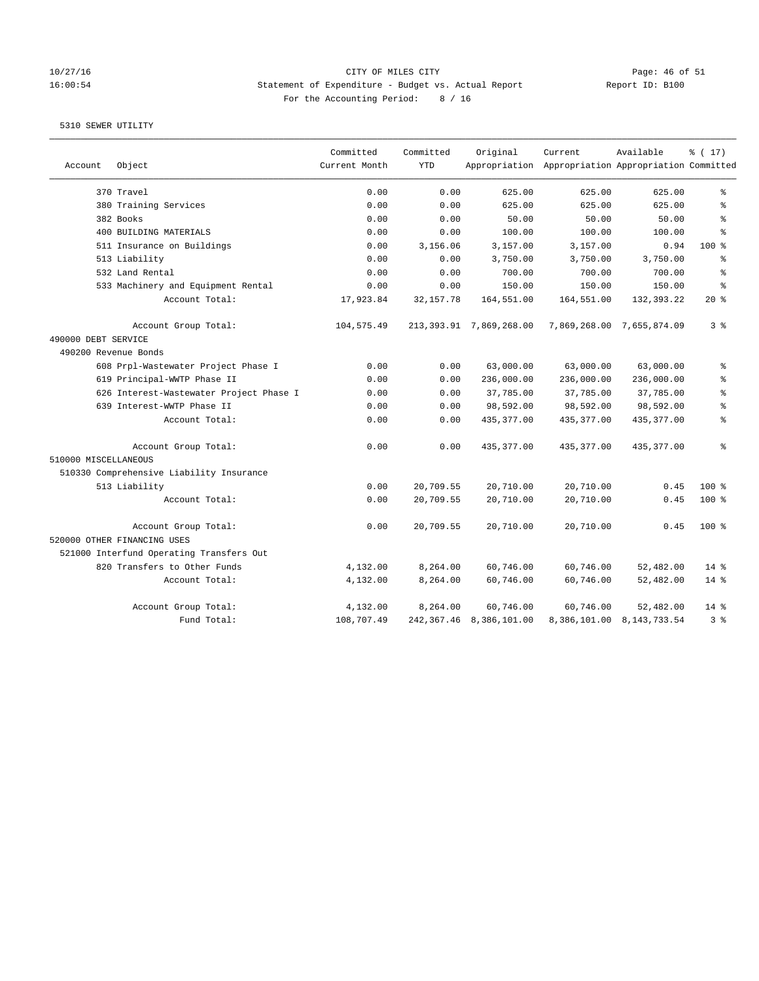## 10/27/16 Page: 46 of 51 16:00:54 Statement of Expenditure - Budget vs. Actual Report Changer Report ID: B100 For the Accounting Period: 8 / 16

|                      |                                          | Committed     | Committed   | Original                   | Current                                             | Available                 | % (17)         |
|----------------------|------------------------------------------|---------------|-------------|----------------------------|-----------------------------------------------------|---------------------------|----------------|
| Account              | Object                                   | Current Month | <b>YTD</b>  |                            | Appropriation Appropriation Appropriation Committed |                           |                |
|                      | 370 Travel                               | 0.00          | 0.00        | 625.00                     | 625.00                                              | 625.00                    | နွ             |
|                      | 380 Training Services                    | 0.00          | 0.00        | 625.00                     | 625.00                                              | 625.00                    | ి              |
|                      | 382 Books                                | 0.00          | 0.00        | 50.00                      | 50.00                                               | 50.00                     | ి              |
|                      | 400 BUILDING MATERIALS                   | 0.00          | 0.00        | 100.00                     | 100.00                                              | 100.00                    | ÷,             |
|                      | 511 Insurance on Buildings               | 0.00          | 3,156.06    | 3,157.00                   | 3,157.00                                            | 0.94                      | $100*$         |
|                      | 513 Liability                            | 0.00          | 0.00        | 3,750.00                   | 3,750.00                                            | 3,750.00                  | န္             |
|                      | 532 Land Rental                          | 0.00          | 0.00        | 700.00                     | 700.00                                              | 700.00                    | န္             |
|                      | 533 Machinery and Equipment Rental       | 0.00          | 0.00        | 150.00                     | 150.00                                              | 150.00                    | $\approx$      |
|                      | Account Total:                           | 17,923.84     | 32, 157. 78 | 164,551.00                 | 164,551.00                                          | 132,393.22                | 20%            |
|                      | Account Group Total:                     | 104,575.49    |             | 213, 393.91 7, 869, 268.00 |                                                     | 7,869,268.00 7,655,874.09 | 3 <sup>8</sup> |
| 490000 DEBT SERVICE  |                                          |               |             |                            |                                                     |                           |                |
| 490200 Revenue Bonds |                                          |               |             |                            |                                                     |                           |                |
|                      | 608 Prpl-Wastewater Project Phase I      | 0.00          | 0.00        | 63,000.00                  | 63,000.00                                           | 63,000.00                 | ÷,             |
|                      | 619 Principal-WWTP Phase II              | 0.00          | 0.00        | 236,000.00                 | 236,000.00                                          | 236,000.00                | ۹.             |
|                      | 626 Interest-Wastewater Project Phase I  | 0.00          | 0.00        | 37,785.00                  | 37,785.00                                           | 37,785.00                 | $\approx$      |
|                      | 639 Interest-WWTP Phase II               | 0.00          | 0.00        | 98,592.00                  | 98,592.00                                           | 98,592.00                 | $\approx$      |
|                      | Account Total:                           | 0.00          | 0.00        | 435, 377.00                | 435, 377.00                                         | 435, 377.00               | နွ             |
|                      | Account Group Total:                     | 0.00          | 0.00        | 435, 377.00                | 435,377.00                                          | 435, 377.00               | ៖              |
| 510000 MISCELLANEOUS |                                          |               |             |                            |                                                     |                           |                |
|                      | 510330 Comprehensive Liability Insurance |               |             |                            |                                                     |                           |                |
|                      | 513 Liability                            | 0.00          | 20,709.55   | 20,710.00                  | 20,710.00                                           | 0.45                      | $100$ %        |
|                      | Account Total:                           | 0.00          | 20,709.55   | 20,710.00                  | 20,710.00                                           | 0.45                      | 100 %          |
|                      | Account Group Total:                     | 0.00          | 20,709.55   | 20,710.00                  | 20,710.00                                           | 0.45                      | $100$ %        |
|                      | 520000 OTHER FINANCING USES              |               |             |                            |                                                     |                           |                |
|                      | 521000 Interfund Operating Transfers Out |               |             |                            |                                                     |                           |                |
|                      | 820 Transfers to Other Funds             | 4,132.00      | 8,264.00    | 60,746.00                  | 60,746.00                                           | 52,482.00                 | $14$ %         |
|                      | Account Total:                           | 4,132.00      | 8,264.00    | 60,746.00                  | 60,746.00                                           | 52,482.00                 | $14$ %         |
|                      | Account Group Total:                     | 4,132.00      | 8,264.00    | 60,746.00                  | 60,746.00                                           | 52,482.00                 | $14$ %         |
|                      | Fund Total:                              | 108,707.49    |             | 242, 367.46 8, 386, 101.00 |                                                     | 8,386,101.00 8,143,733.54 | 3%             |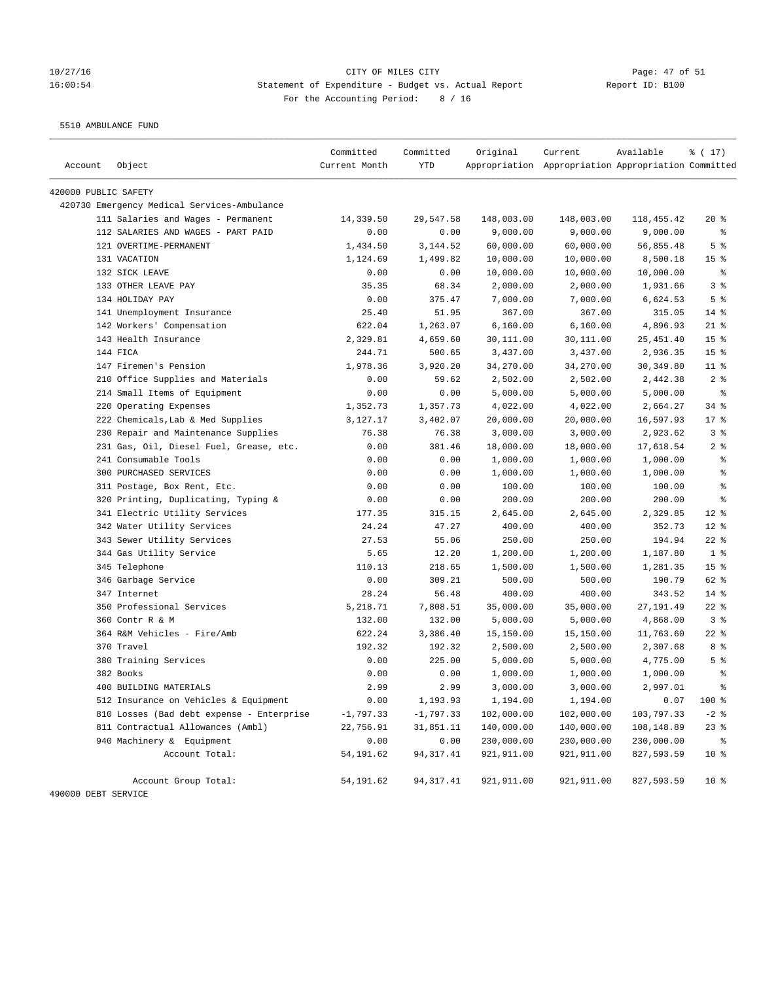## 10/27/16 Page: 47 of 51 16:00:54 Statement of Expenditure - Budget vs. Actual Report Changer Report ID: B100 For the Accounting Period: 8 / 16

5510 AMBULANCE FUND

|                      |                                             | Committed     | Committed   | Original    | Current                                             | Available  | % (17)                   |
|----------------------|---------------------------------------------|---------------|-------------|-------------|-----------------------------------------------------|------------|--------------------------|
| Account              | Object                                      | Current Month | <b>YTD</b>  |             | Appropriation Appropriation Appropriation Committed |            |                          |
| 420000 PUBLIC SAFETY |                                             |               |             |             |                                                     |            |                          |
|                      | 420730 Emergency Medical Services-Ambulance |               |             |             |                                                     |            |                          |
|                      | 111 Salaries and Wages - Permanent          | 14,339.50     | 29,547.58   | 148,003.00  | 148,003.00                                          | 118,455.42 | $20*$                    |
|                      | 112 SALARIES AND WAGES - PART PAID          | 0.00          | 0.00        | 9,000.00    | 9,000.00                                            | 9,000.00   | နွ                       |
|                      | 121 OVERTIME-PERMANENT                      | 1,434.50      | 3,144.52    | 60,000.00   | 60,000.00                                           | 56,855.48  | 5 <sup>°</sup>           |
|                      | 131 VACATION                                | 1,124.69      | 1,499.82    | 10,000.00   | 10,000.00                                           | 8,500.18   | 15 <sup>°</sup>          |
|                      | 132 SICK LEAVE                              | 0.00          | 0.00        | 10,000.00   | 10,000.00                                           | 10,000.00  | $\,{}^{\circ}\!\!\delta$ |
|                      | 133 OTHER LEAVE PAY                         | 35.35         | 68.34       | 2,000.00    | 2,000.00                                            | 1,931.66   | 3%                       |
|                      | 134 HOLIDAY PAY                             | 0.00          | 375.47      | 7,000.00    | 7,000.00                                            | 6,624.53   | 5 <sup>°</sup>           |
|                      | 141 Unemployment Insurance                  | 25.40         | 51.95       | 367.00      | 367.00                                              | 315.05     | $14$ %                   |
|                      | 142 Workers' Compensation                   | 622.04        | 1,263.07    | 6,160.00    | 6,160.00                                            | 4,896.93   | $21$ %                   |
|                      | 143 Health Insurance                        | 2,329.81      | 4,659.60    | 30,111.00   | 30,111.00                                           | 25,451.40  | 15 <sup>°</sup>          |
|                      | 144 FICA                                    | 244.71        | 500.65      | 3,437.00    | 3,437.00                                            | 2,936.35   | 15 <sup>°</sup>          |
|                      | 147 Firemen's Pension                       | 1,978.36      | 3,920.20    | 34,270.00   | 34,270.00                                           | 30, 349.80 | $11$ %                   |
|                      | 210 Office Supplies and Materials           | 0.00          | 59.62       | 2,502.00    | 2,502.00                                            | 2,442.38   | 2 <sup>8</sup>           |
|                      | 214 Small Items of Equipment                | 0.00          | 0.00        | 5,000.00    | 5,000.00                                            | 5,000.00   | $\epsilon$               |
|                      | 220 Operating Expenses                      | 1,352.73      | 1,357.73    | 4,022.00    | 4,022.00                                            | 2,664.27   | $34$ $%$                 |
|                      | 222 Chemicals, Lab & Med Supplies           | 3,127.17      | 3,402.07    | 20,000.00   | 20,000.00                                           | 16,597.93  | $17*$                    |
|                      | 230 Repair and Maintenance Supplies         | 76.38         | 76.38       | 3,000.00    | 3,000.00                                            | 2,923.62   | 3%                       |
|                      | 231 Gas, Oil, Diesel Fuel, Grease, etc.     | 0.00          | 381.46      | 18,000.00   | 18,000.00                                           | 17,618.54  | 2 <sup>8</sup>           |
|                      | 241 Consumable Tools                        | 0.00          | 0.00        | 1,000.00    | 1,000.00                                            | 1,000.00   | ್ಠಿ                      |
|                      | 300 PURCHASED SERVICES                      | 0.00          | 0.00        | 1,000.00    | 1,000.00                                            | 1,000.00   | る                        |
|                      | 311 Postage, Box Rent, Etc.                 | 0.00          | 0.00        | 100.00      | 100.00                                              | 100.00     | ್ಠಿ                      |
|                      | 320 Printing, Duplicating, Typing &         | 0.00          | 0.00        | 200.00      | 200.00                                              | 200.00     | $\epsilon$               |
|                      | 341 Electric Utility Services               | 177.35        | 315.15      | 2,645.00    | 2,645.00                                            | 2,329.85   | $12*$                    |
|                      | 342 Water Utility Services                  | 24.24         | 47.27       | 400.00      | 400.00                                              | 352.73     | $12*$                    |
|                      | 343 Sewer Utility Services                  | 27.53         | 55.06       | 250.00      | 250.00                                              | 194.94     | $22$ %                   |
|                      | 344 Gas Utility Service                     | 5.65          | 12.20       | 1,200.00    | 1,200.00                                            | 1,187.80   | 1 <sup>8</sup>           |
|                      | 345 Telephone                               | 110.13        | 218.65      | 1,500.00    | 1,500.00                                            | 1,281.35   | 15 <sup>°</sup>          |
|                      | 346 Garbage Service                         | 0.00          | 309.21      | 500.00      | 500.00                                              | 190.79     | 62 %                     |
|                      | 347 Internet                                | 28.24         | 56.48       | 400.00      | 400.00                                              | 343.52     | $14$ %                   |
|                      | 350 Professional Services                   | 5,218.71      | 7,808.51    | 35,000.00   | 35,000.00                                           | 27,191.49  | $22$ %                   |
|                      | 360 Contr R & M                             | 132.00        | 132.00      | 5,000.00    | 5,000.00                                            | 4,868.00   | 3%                       |
|                      | 364 R&M Vehicles - Fire/Amb                 | 622.24        | 3,386.40    | 15,150.00   | 15,150.00                                           | 11,763.60  | $22$ %                   |
|                      | 370 Travel                                  | 192.32        | 192.32      | 2,500.00    | 2,500.00                                            | 2,307.68   | 8 %                      |
|                      | 380 Training Services                       | 0.00          | 225.00      | 5,000.00    | 5,000.00                                            | 4,775.00   | 5 <sup>8</sup>           |
|                      | 382 Books                                   | 0.00          | 0.00        | 1,000.00    | 1,000.00                                            | 1,000.00   | ್ಠಿ                      |
|                      | 400 BUILDING MATERIALS                      | 2.99          | 2.99        | 3,000.00    | 3,000.00                                            | 2,997.01   | る                        |
|                      | 512 Insurance on Vehicles & Equipment       | 0.00          | 1,193.93    | 1,194.00    | 1,194.00                                            | 0.07       | 100 %                    |
|                      | 810 Losses (Bad debt expense - Enterprise   | $-1,797.33$   | $-1,797.33$ | 102,000.00  | 102,000.00                                          | 103,797.33 | $-2$ %                   |
|                      | 811 Contractual Allowances (Ambl)           | 22,756.91     | 31,851.11   | 140,000.00  | 140,000.00                                          | 108,148.89 | $23$ %                   |
|                      | 940 Machinery & Equipment                   | 0.00          | 0.00        | 230,000.00  | 230,000.00                                          | 230,000.00 | ႜ                        |
|                      | Account Total:                              | 54, 191.62    | 94, 317.41  | 921, 911.00 | 921, 911.00                                         | 827,593.59 | $10*$                    |
|                      | Account Group Total:                        | 54, 191.62    | 94,317.41   | 921,911.00  | 921,911.00                                          | 827,593.59 | 10 <sup>°</sup>          |
| 490000 DEBT SERVICE  |                                             |               |             |             |                                                     |            |                          |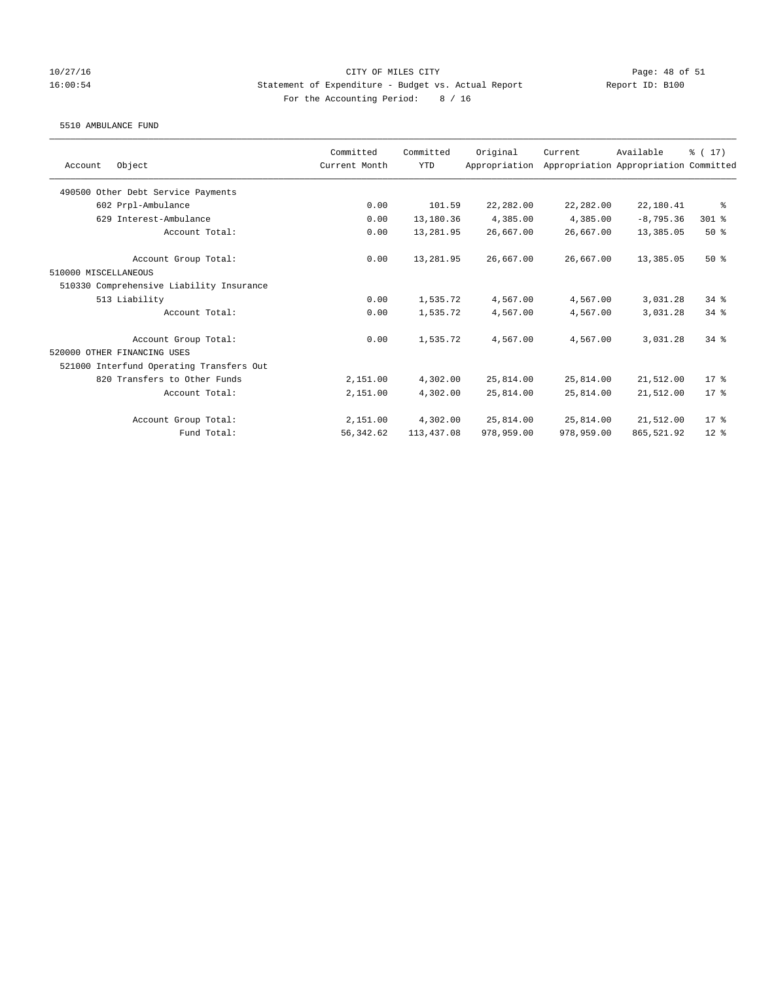### 10/27/16 CITY OF MILES CITY Page: 48 of 51 16:00:54 Statement of Expenditure - Budget vs. Actual Report Report ID: B100 For the Accounting Period: 8 / 16

### 5510 AMBULANCE FUND

|                                          | Committed     | Committed  | Original      | Current    | Available                             | $\frac{1}{6}$ (17) |
|------------------------------------------|---------------|------------|---------------|------------|---------------------------------------|--------------------|
| Object<br>Account                        | Current Month | <b>YTD</b> | Appropriation |            | Appropriation Appropriation Committed |                    |
| 490500 Other Debt Service Payments       |               |            |               |            |                                       |                    |
| 602 Prpl-Ambulance                       | 0.00          | 101.59     | 22,282.00     | 22,282.00  | 22,180.41                             | နွ                 |
| 629 Interest-Ambulance                   | 0.00          | 13,180.36  | 4,385.00      | 4,385.00   | $-8, 795.36$                          | 301 %              |
| Account Total:                           | 0.00          | 13,281.95  | 26,667.00     | 26,667.00  | 13,385.05                             | 50%                |
| Account Group Total:                     | 0.00          | 13,281.95  | 26,667.00     | 26,667.00  | 13,385.05                             | $50*$              |
| 510000 MISCELLANEOUS                     |               |            |               |            |                                       |                    |
| 510330 Comprehensive Liability Insurance |               |            |               |            |                                       |                    |
| 513 Liability                            | 0.00          | 1,535.72   | 4,567.00      | 4,567.00   | 3,031.28                              | $34$ $%$           |
| Account Total:                           | 0.00          | 1,535.72   | 4,567.00      | 4,567.00   | 3,031.28                              | $34$ $%$           |
| Account Group Total:                     | 0.00          | 1,535.72   | 4,567.00      | 4,567.00   | 3,031.28                              | 34.8               |
| 520000 OTHER FINANCING USES              |               |            |               |            |                                       |                    |
| 521000 Interfund Operating Transfers Out |               |            |               |            |                                       |                    |
| 820 Transfers to Other Funds             | 2,151.00      | 4,302.00   | 25,814.00     | 25,814.00  | 21,512.00                             | $17*$              |
| Account Total:                           | 2,151.00      | 4,302.00   | 25,814.00     | 25,814.00  | 21,512.00                             | $17*$              |
| Account Group Total:                     | 2,151.00      | 4,302.00   | 25,814.00     | 25,814.00  | 21,512.00                             | $17*$              |
| Fund Total:                              | 56, 342.62    | 113,437.08 | 978,959.00    | 978,959.00 | 865,521.92                            | $12*$              |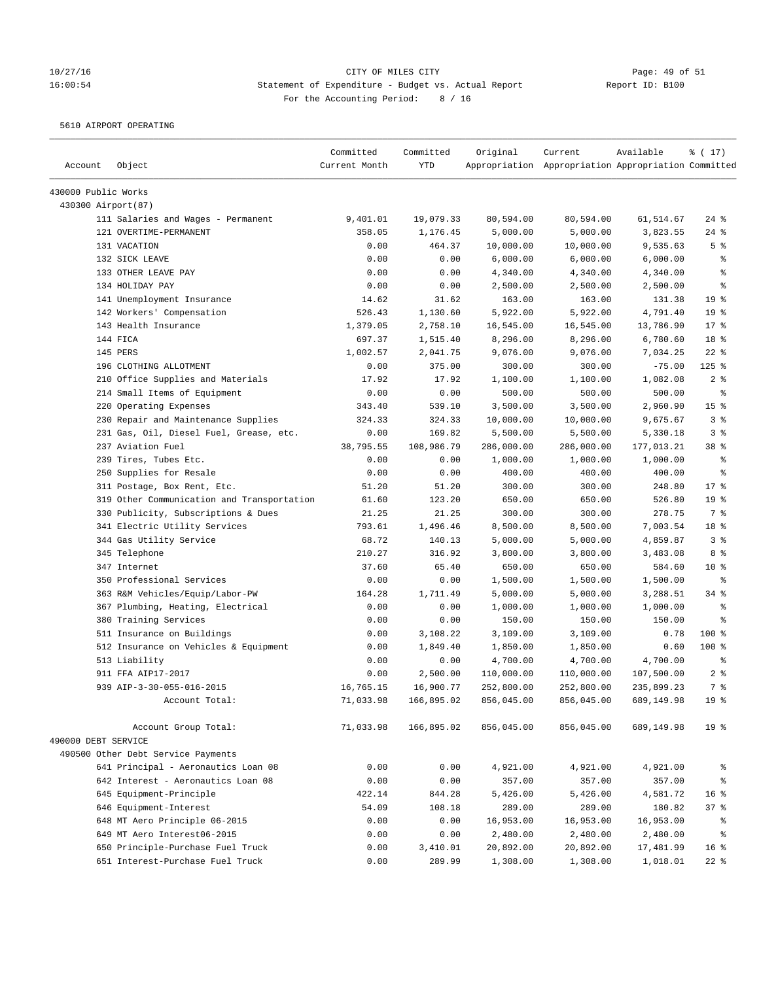# 10/27/16 Page: 49 of 51 16:00:54 Statement of Expenditure - Budget vs. Actual Report Changer Report ID: B100 For the Accounting Period: 8 / 16

5610 AIRPORT OPERATING

| Account             | Object                                     | Committed<br>Current Month | Committed<br>YTD | Original   | Current<br>Appropriation Appropriation Appropriation Committed | Available  | $\frac{1}{6}$ ( 17) |
|---------------------|--------------------------------------------|----------------------------|------------------|------------|----------------------------------------------------------------|------------|---------------------|
| 430000 Public Works |                                            |                            |                  |            |                                                                |            |                     |
| 430300 Airport(87)  |                                            |                            |                  |            |                                                                |            |                     |
|                     | 111 Salaries and Wages - Permanent         | 9,401.01                   | 19,079.33        | 80,594.00  | 80,594.00                                                      | 61,514.67  | $24$ %              |
|                     | 121 OVERTIME-PERMANENT                     | 358.05                     | 1,176.45         | 5,000.00   | 5,000.00                                                       | 3,823.55   | $24$ %              |
|                     | 131 VACATION                               | 0.00                       | 464.37           | 10,000.00  | 10,000.00                                                      | 9,535.63   | 5 <sup>°</sup>      |
|                     | 132 SICK LEAVE                             | 0.00                       | 0.00             | 6,000.00   | 6,000.00                                                       | 6,000.00   | ್ಠಿ                 |
|                     | 133 OTHER LEAVE PAY                        | 0.00                       | 0.00             | 4,340.00   | 4,340.00                                                       | 4,340.00   | နွ                  |
|                     | 134 HOLIDAY PAY                            | 0.00                       | 0.00             | 2,500.00   | 2,500.00                                                       | 2,500.00   | る                   |
|                     | 141 Unemployment Insurance                 | 14.62                      | 31.62            | 163.00     | 163.00                                                         | 131.38     | 19 <sup>°</sup>     |
|                     | 142 Workers' Compensation                  | 526.43                     | 1,130.60         | 5,922.00   | 5,922.00                                                       | 4,791.40   | 19 <sup>°</sup>     |
|                     | 143 Health Insurance                       | 1,379.05                   | 2,758.10         | 16,545.00  | 16,545.00                                                      | 13,786.90  | $17*$               |
|                     | 144 FICA                                   | 697.37                     | 1,515.40         | 8,296.00   | 8,296.00                                                       | 6,780.60   | 18 %                |
|                     | 145 PERS                                   | 1,002.57                   | 2,041.75         | 9,076.00   | 9,076.00                                                       | 7,034.25   | $22$ %              |
|                     | 196 CLOTHING ALLOTMENT                     | 0.00                       | 375.00           | 300.00     | 300.00                                                         | $-75.00$   | $125$ %             |
|                     | 210 Office Supplies and Materials          | 17.92                      | 17.92            | 1,100.00   | 1,100.00                                                       | 1,082.08   | 2 <sup>8</sup>      |
|                     | 214 Small Items of Equipment               | 0.00                       | 0.00             | 500.00     | 500.00                                                         | 500.00     | $\epsilon$          |
|                     | 220 Operating Expenses                     | 343.40                     | 539.10           | 3,500.00   | 3,500.00                                                       | 2,960.90   | 15 <sup>8</sup>     |
|                     | 230 Repair and Maintenance Supplies        | 324.33                     | 324.33           | 10,000.00  | 10,000.00                                                      | 9,675.67   | 3%                  |
|                     | 231 Gas, Oil, Diesel Fuel, Grease, etc.    | 0.00                       | 169.82           | 5,500.00   | 5,500.00                                                       | 5,330.18   | 3%                  |
|                     | 237 Aviation Fuel                          | 38,795.55                  | 108,986.79       | 286,000.00 | 286,000.00                                                     | 177,013.21 | 38 <sup>8</sup>     |
|                     | 239 Tires, Tubes Etc.                      | 0.00                       | 0.00             | 1,000.00   | 1,000.00                                                       | 1,000.00   | ႜ                   |
|                     | 250 Supplies for Resale                    | 0.00                       | 0.00             | 400.00     | 400.00                                                         | 400.00     | နွ                  |
|                     | 311 Postage, Box Rent, Etc.                | 51.20                      | 51.20            | 300.00     | 300.00                                                         | 248.80     | $17*$               |
|                     | 319 Other Communication and Transportation | 61.60                      | 123.20           | 650.00     | 650.00                                                         | 526.80     | 19 <sup>°</sup>     |
|                     | 330 Publicity, Subscriptions & Dues        | 21.25                      | 21.25            | 300.00     | 300.00                                                         | 278.75     | 7 %                 |
|                     | 341 Electric Utility Services              | 793.61                     | 1,496.46         | 8,500.00   | 8,500.00                                                       | 7,003.54   | 18 %                |
|                     | 344 Gas Utility Service                    | 68.72                      | 140.13           | 5,000.00   | 5,000.00                                                       | 4,859.87   | 3%                  |
|                     | 345 Telephone                              | 210.27                     | 316.92           | 3,800.00   | 3,800.00                                                       | 3,483.08   | 8 %                 |
|                     | 347 Internet                               | 37.60                      | 65.40            | 650.00     | 650.00                                                         | 584.60     | $10*$               |
|                     | 350 Professional Services                  | 0.00                       | 0.00             | 1,500.00   | 1,500.00                                                       | 1,500.00   | $\epsilon$          |
|                     | 363 R&M Vehicles/Equip/Labor-PW            | 164.28                     | 1,711.49         | 5,000.00   | 5,000.00                                                       | 3,288.51   | 34%                 |
|                     | 367 Plumbing, Heating, Electrical          | 0.00                       | 0.00             | 1,000.00   | 1,000.00                                                       | 1,000.00   | နွ                  |
|                     | 380 Training Services                      | 0.00                       | 0.00             | 150.00     | 150.00                                                         | 150.00     | နွ                  |
|                     | 511 Insurance on Buildings                 | 0.00                       | 3,108.22         | 3,109.00   | 3,109.00                                                       | 0.78       | 100 %               |
|                     | 512 Insurance on Vehicles & Equipment      | 0.00                       | 1,849.40         | 1,850.00   | 1,850.00                                                       | 0.60       | 100 %               |
|                     | 513 Liability                              | 0.00                       | 0.00             | 4,700.00   | 4,700.00                                                       | 4,700.00   | ႜ                   |
|                     | 911 FFA AIP17-2017                         | 0.00                       | 2,500.00         | 110,000.00 | 110,000.00                                                     | 107,500.00 | 2 <sup>8</sup>      |
|                     | 939 AIP-3-30-055-016-2015                  | 16,765.15                  | 16,900.77        | 252,800.00 | 252,800.00                                                     | 235,899.23 | 7 <sup>°</sup>      |
|                     | Account Total:                             | 71,033.98                  | 166,895.02       | 856,045.00 | 856,045.00                                                     | 689,149.98 | 19 <sup>°</sup>     |
|                     | Account Group Total:                       | 71,033.98                  | 166,895.02       | 856,045.00 | 856,045.00                                                     | 689,149.98 | 19 <sup>°</sup>     |
| 490000 DEBT SERVICE |                                            |                            |                  |            |                                                                |            |                     |
|                     | 490500 Other Debt Service Payments         |                            |                  |            |                                                                |            |                     |
|                     | 641 Principal - Aeronautics Loan 08        | 0.00                       | 0.00             | 4,921.00   | 4,921.00                                                       | 4,921.00   | နွ                  |
|                     | 642 Interest - Aeronautics Loan 08         | 0.00                       | 0.00             | 357.00     | 357.00                                                         | 357.00     | နွ                  |
|                     | 645 Equipment-Principle                    | 422.14                     | 844.28           | 5,426.00   | 5,426.00                                                       | 4,581.72   | 16 <sup>°</sup>     |
|                     | 646 Equipment-Interest                     | 54.09                      | 108.18           | 289.00     | 289.00                                                         | 180.82     | 37%                 |
|                     | 648 MT Aero Principle 06-2015              | 0.00                       | 0.00             | 16,953.00  | 16,953.00                                                      | 16,953.00  | ႜ                   |
|                     | 649 MT Aero Interest06-2015                | 0.00                       | 0.00             | 2,480.00   | 2,480.00                                                       | 2,480.00   | နွ                  |
|                     | 650 Principle-Purchase Fuel Truck          | 0.00                       | 3,410.01         | 20,892.00  | 20,892.00                                                      | 17,481.99  | 16 <sup>8</sup>     |
|                     | 651 Interest-Purchase Fuel Truck           | 0.00                       | 289.99           | 1,308.00   | 1,308.00                                                       | 1,018.01   | $22$ %              |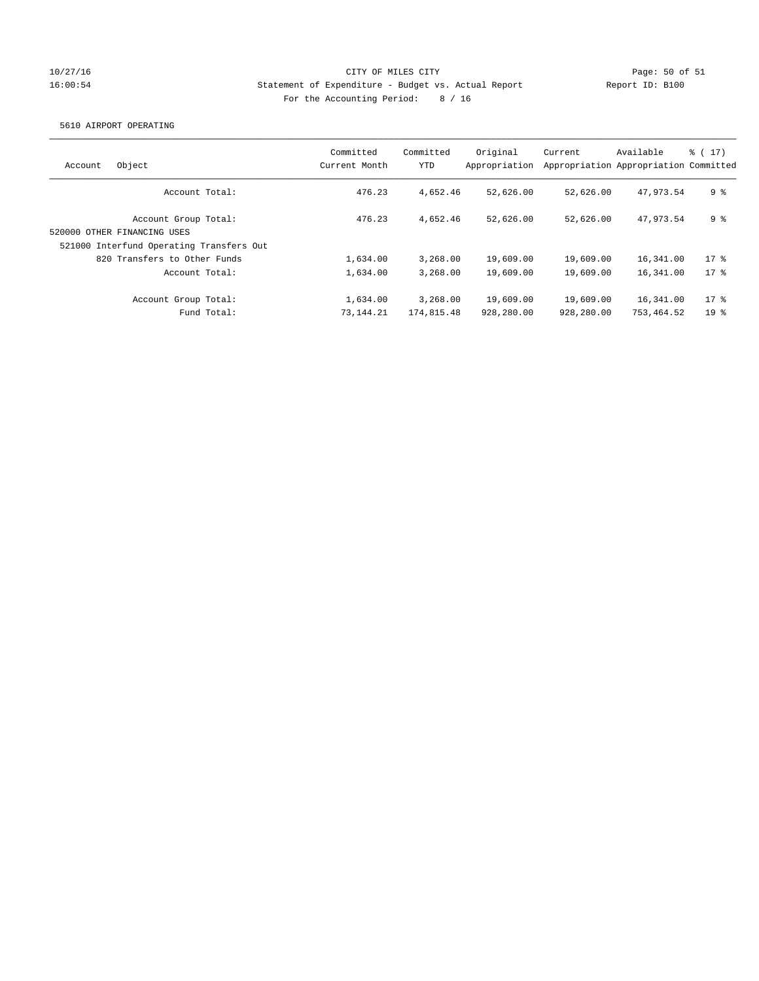## 10/27/16 CITY OF MILES CITY Page: 50 of 51 16:00:54 Statement of Expenditure - Budget vs. Actual Report Report ID: B100 For the Accounting Period: 8 / 16

### 5610 AIRPORT OPERATING

| Object<br>Account                                                                               | Committed<br>Current Month | Committed<br>YTD       | Original<br>Appropriation | Current                 | Available<br>Appropriation Appropriation Committed | $\frac{1}{6}$ ( 17 ) |
|-------------------------------------------------------------------------------------------------|----------------------------|------------------------|---------------------------|-------------------------|----------------------------------------------------|----------------------|
| Account Total:                                                                                  | 476.23                     | 4,652.46               | 52,626.00                 | 52,626.00               | 47.973.54                                          | 9 <sup>8</sup>       |
| Account Group Total:<br>520000 OTHER FINANCING USES<br>521000 Interfund Operating Transfers Out | 476.23                     | 4,652.46               | 52,626.00                 | 52,626.00               | 47.973.54                                          | 9 <sup>8</sup>       |
| 820 Transfers to Other Funds                                                                    | 1,634.00                   | 3,268.00               | 19,609.00                 | 19,609.00               | 16,341.00                                          | $17*$                |
| Account Total:                                                                                  | 1,634.00                   | 3,268.00               | 19,609.00                 | 19,609.00               | 16,341.00                                          | $17$ %               |
| Account Group Total:<br>Fund Total:                                                             | 1,634.00<br>73, 144. 21    | 3,268.00<br>174,815.48 | 19,609.00<br>928,280.00   | 19,609.00<br>928,280.00 | 16,341.00<br>753,464.52                            | $17*$<br>$19*$       |